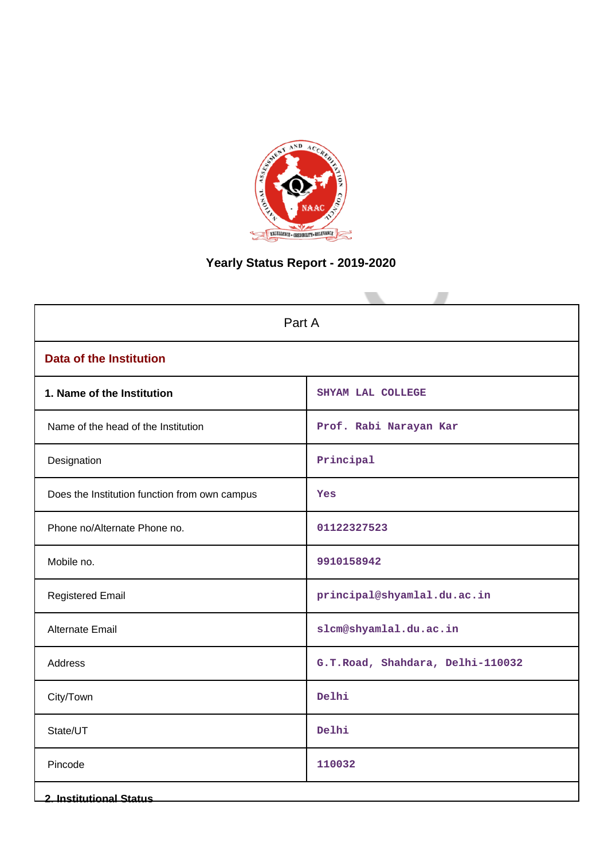

# **Yearly Status Report - 2019-2020**

| Part A                                        |                                  |  |  |  |
|-----------------------------------------------|----------------------------------|--|--|--|
| <b>Data of the Institution</b>                |                                  |  |  |  |
| 1. Name of the Institution                    | SHYAM LAL COLLEGE                |  |  |  |
| Name of the head of the Institution           | Prof. Rabi Narayan Kar           |  |  |  |
| Designation                                   | Principal                        |  |  |  |
| Does the Institution function from own campus | <b>Yes</b>                       |  |  |  |
| Phone no/Alternate Phone no.                  | 01122327523                      |  |  |  |
| Mobile no.                                    | 9910158942                       |  |  |  |
| <b>Registered Email</b>                       | principal@shyamlal.du.ac.in      |  |  |  |
| Alternate Email                               | slcm@shyamlal.du.ac.in           |  |  |  |
| Address                                       | G.T.Road, Shahdara, Delhi-110032 |  |  |  |
| City/Town                                     | Delhi                            |  |  |  |
| State/UT                                      | Delhi                            |  |  |  |
| Pincode                                       | 110032                           |  |  |  |
| <b>2. Institutional Status</b>                |                                  |  |  |  |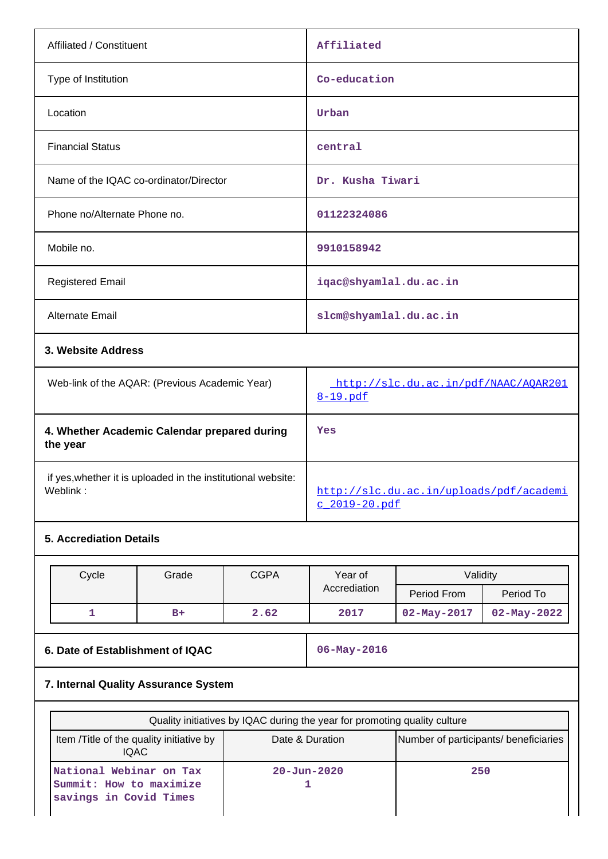| Affiliated / Constituent                       | Affiliated                                       |  |  |
|------------------------------------------------|--------------------------------------------------|--|--|
| Type of Institution                            | Co-education                                     |  |  |
| Location                                       | Urban                                            |  |  |
| <b>Financial Status</b>                        | central                                          |  |  |
| Name of the IQAC co-ordinator/Director         | Dr. Kusha Tiwari                                 |  |  |
| Phone no/Alternate Phone no.                   | 01122324086                                      |  |  |
| Mobile no.                                     | 9910158942                                       |  |  |
| <b>Registered Email</b>                        | iqac@shyamlal.du.ac.in                           |  |  |
| Alternate Email                                | slcm@shyamlal.du.ac.in                           |  |  |
| 3. Website Address                             |                                                  |  |  |
| Web-link of the AQAR: (Previous Academic Year) | http://slc.du.ac.in/pdf/NAAC/AQAR201<br>8-19.pdf |  |  |

| 4. Whether Academic Calendar prepared during<br>the year     | Yes                                     |
|--------------------------------------------------------------|-----------------------------------------|
| if yes, whether it is uploaded in the institutional website: | http://slc.du.ac.in/uploads/pdf/academi |
| Weblink:                                                     | $c$ 2019-20.pdf                         |

## **5. Accrediation Details**

| Cycle | Grade | <b>CGPA</b> | Year of      | Validity          |                   |
|-------|-------|-------------|--------------|-------------------|-------------------|
|       |       |             | Accrediation | Period From       | Period To         |
|       | $B+$  | 2.62        | 2017         | $02 - May - 2017$ | $02 - May - 2022$ |

**6. Date of Establishment of IQAC** 06-May-2016

# **7. Internal Quality Assurance System**

| Quality initiatives by IQAC during the year for promoting quality culture    |                                       |     |  |  |  |
|------------------------------------------------------------------------------|---------------------------------------|-----|--|--|--|
| Item /Title of the quality initiative by<br><b>IQAC</b>                      | Number of participants/ beneficiaries |     |  |  |  |
| National Webinar on Tax<br>Summit: How to maximize<br>savings in Covid Times | $20 - Jun - 2020$                     | 250 |  |  |  |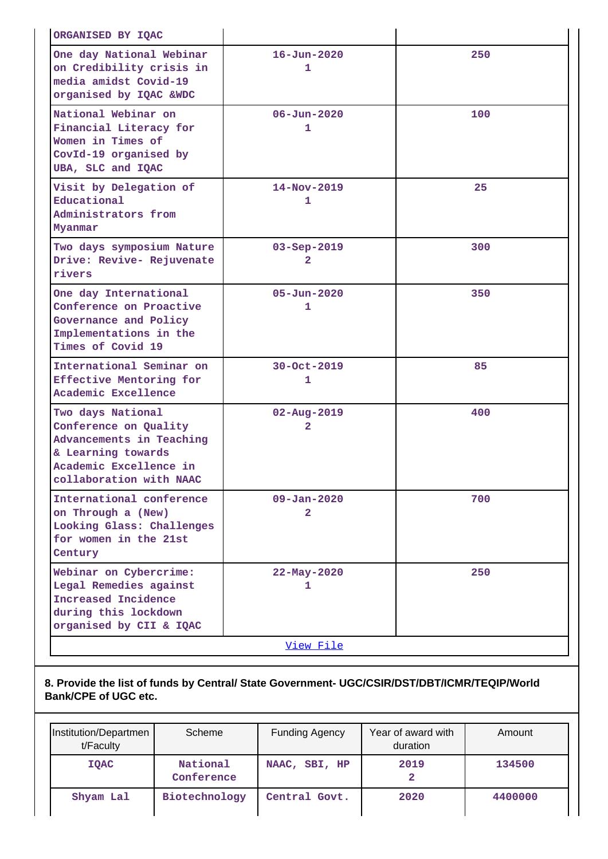| ORGANISED BY IQAC                                                                                                                                 |                                     |     |
|---------------------------------------------------------------------------------------------------------------------------------------------------|-------------------------------------|-----|
| One day National Webinar<br>on Credibility crisis in<br>media amidst Covid-19<br>organised by IQAC &WDC                                           | $16 - Jun - 2020$<br>1              | 250 |
| National Webinar on<br>Financial Literacy for<br>Women in Times of<br>CovId-19 organised by<br>UBA, SLC and IQAC                                  | $06 - Jun - 2020$<br>1              | 100 |
| Visit by Delegation of<br>Educational<br>Administrators from<br>Myanmar                                                                           | $14 - Nov - 2019$<br>1              | 25  |
| Two days symposium Nature<br>Drive: Revive- Rejuvenate<br>rivers                                                                                  | $03 - Sep - 2019$<br>2              | 300 |
| One day International<br>Conference on Proactive<br>Governance and Policy<br>Implementations in the<br>Times of Covid 19                          | $05 - Jun - 2020$<br>1              | 350 |
| International Seminar on<br>Effective Mentoring for<br>Academic Excellence                                                                        | $30 - Oct - 2019$<br>1              | 85  |
| Two days National<br>Conference on Quality<br>Advancements in Teaching<br>& Learning towards<br>Academic Excellence in<br>collaboration with NAAC | $02 - Aug - 2019$<br>2              | 400 |
| International conference<br>on Through a (New)<br>Looking Glass: Challenges<br>for women in the 21st<br>Century                                   | $09 - Jan - 2020$<br>$\overline{2}$ | 700 |
| Webinar on Cybercrime:<br>Legal Remedies against<br>Increased Incidence<br>during this lockdown<br>organised by CII & IQAC                        | $22 - May - 2020$<br>1              | 250 |
|                                                                                                                                                   | View File                           |     |

## **8. Provide the list of funds by Central/ State Government- UGC/CSIR/DST/DBT/ICMR/TEQIP/World Bank/CPE of UGC etc.**

| Institution/Departmen<br>t/Faculty | Scheme                 | <b>Funding Agency</b> | Year of award with<br>duration | Amount  |
|------------------------------------|------------------------|-----------------------|--------------------------------|---------|
| <b>IQAC</b>                        | National<br>Conference | NAAC, SBI, HP         | 2019                           | 134500  |
| Shyam Lal                          | Biotechnology          | Central Govt.         | 2020                           | 4400000 |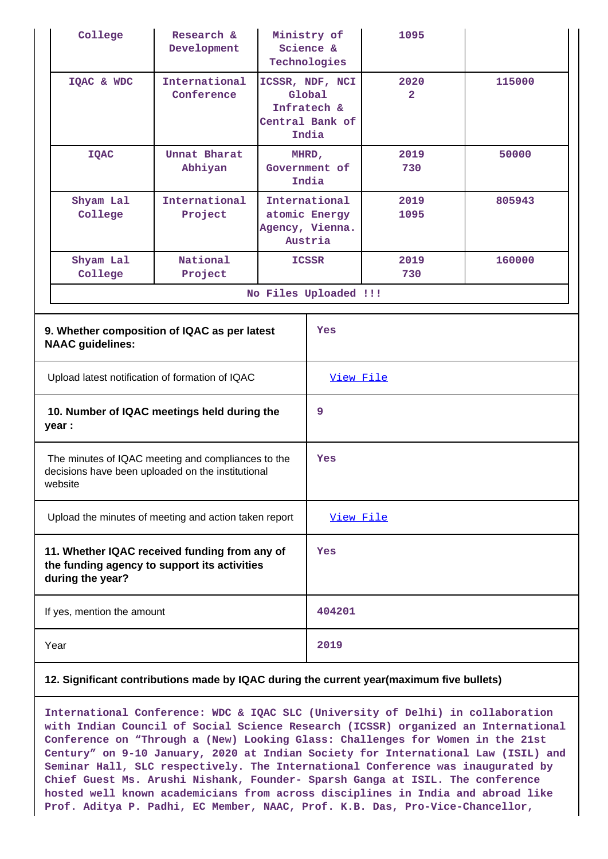|                                                                                                                   | College                                                                                                            | Research &<br>Development   |                                                                      | Ministry of<br>Science &<br>Technologies | 1095                   |        |
|-------------------------------------------------------------------------------------------------------------------|--------------------------------------------------------------------------------------------------------------------|-----------------------------|----------------------------------------------------------------------|------------------------------------------|------------------------|--------|
|                                                                                                                   | IQAC & WDC                                                                                                         | International<br>Conference | ICSSR, NDF, NCI<br>Global<br>Infratech &<br>Central Bank of<br>India |                                          | 2020<br>$\overline{2}$ | 115000 |
|                                                                                                                   | <b>IQAC</b>                                                                                                        | Unnat Bharat<br>Abhiyan     | MHRD,<br>Government of<br>India                                      |                                          | 2019<br>730            | 50000  |
|                                                                                                                   | Shyam Lal<br>College                                                                                               | International<br>Project    | International<br>atomic Energy<br>Agency, Vienna.<br>Austria         |                                          | 2019<br>1095           | 805943 |
|                                                                                                                   | Shyam Lal<br>College                                                                                               | National<br>Project         |                                                                      | ICSSR                                    | 2019<br>730            | 160000 |
|                                                                                                                   |                                                                                                                    |                             |                                                                      | No Files Uploaded !!!                    |                        |        |
|                                                                                                                   | 9. Whether composition of IQAC as per latest<br><b>NAAC</b> guidelines:                                            |                             |                                                                      | Yes                                      |                        |        |
|                                                                                                                   | Upload latest notification of formation of IQAC                                                                    |                             |                                                                      | View File                                |                        |        |
|                                                                                                                   | 10. Number of IQAC meetings held during the<br>year :                                                              |                             | 9                                                                    |                                          |                        |        |
|                                                                                                                   | The minutes of IQAC meeting and compliances to the<br>decisions have been uploaded on the institutional<br>website |                             | Yes                                                                  |                                          |                        |        |
|                                                                                                                   | Upload the minutes of meeting and action taken report                                                              |                             |                                                                      | View File                                |                        |        |
| 11. Whether IQAC received funding from any of<br>the funding agency to support its activities<br>during the year? |                                                                                                                    | Yes                         |                                                                      |                                          |                        |        |
|                                                                                                                   | If yes, mention the amount                                                                                         |                             |                                                                      | 404201                                   |                        |        |
| Year                                                                                                              |                                                                                                                    |                             | 2019                                                                 |                                          |                        |        |

### **12. Significant contributions made by IQAC during the current year(maximum five bullets)**

**International Conference: WDC & IQAC SLC (University of Delhi) in collaboration with Indian Council of Social Science Research (ICSSR) organized an International Conference on "Through a (New) Looking Glass: Challenges for Women in the 21st Century" on 9-10 January, 2020 at Indian Society for International Law (ISIL) and Seminar Hall, SLC respectively. The International Conference was inaugurated by Chief Guest Ms. Arushi Nishank, Founder- Sparsh Ganga at ISIL. The conference hosted well known academicians from across disciplines in India and abroad like Prof. Aditya P. Padhi, EC Member, NAAC, Prof. K.B. Das, Pro-Vice-Chancellor,**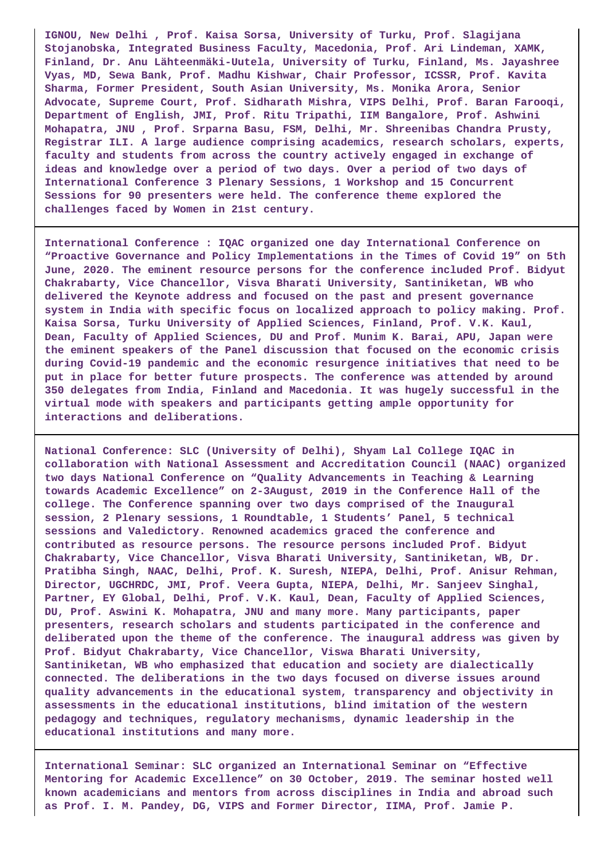**IGNOU, New Delhi , Prof. Kaisa Sorsa, University of Turku, Prof. Slagijana Stojanobska, Integrated Business Faculty, Macedonia, Prof. Ari Lindeman, XAMK, Finland, Dr. Anu Lähteenmäki-Uutela, University of Turku, Finland, Ms. Jayashree Vyas, MD, Sewa Bank, Prof. Madhu Kishwar, Chair Professor, ICSSR, Prof. Kavita Sharma, Former President, South Asian University, Ms. Monika Arora, Senior Advocate, Supreme Court, Prof. Sidharath Mishra, VIPS Delhi, Prof. Baran Farooqi, Department of English, JMI, Prof. Ritu Tripathi, IIM Bangalore, Prof. Ashwini Mohapatra, JNU , Prof. Srparna Basu, FSM, Delhi, Mr. Shreenibas Chandra Prusty, Registrar ILI. A large audience comprising academics, research scholars, experts, faculty and students from across the country actively engaged in exchange of ideas and knowledge over a period of two days. Over a period of two days of International Conference 3 Plenary Sessions, 1 Workshop and 15 Concurrent Sessions for 90 presenters were held. The conference theme explored the challenges faced by Women in 21st century.**

**International Conference : IQAC organized one day International Conference on "Proactive Governance and Policy Implementations in the Times of Covid 19" on 5th June, 2020. The eminent resource persons for the conference included Prof. Bidyut Chakrabarty, Vice Chancellor, Visva Bharati University, Santiniketan, WB who delivered the Keynote address and focused on the past and present governance system in India with specific focus on localized approach to policy making. Prof. Kaisa Sorsa, Turku University of Applied Sciences, Finland, Prof. V.K. Kaul, Dean, Faculty of Applied Sciences, DU and Prof. Munim K. Barai, APU, Japan were the eminent speakers of the Panel discussion that focused on the economic crisis during Covid-19 pandemic and the economic resurgence initiatives that need to be put in place for better future prospects. The conference was attended by around 350 delegates from India, Finland and Macedonia. It was hugely successful in the virtual mode with speakers and participants getting ample opportunity for interactions and deliberations.**

**National Conference: SLC (University of Delhi), Shyam Lal College IQAC in collaboration with National Assessment and Accreditation Council (NAAC) organized two days National Conference on "Quality Advancements in Teaching & Learning towards Academic Excellence" on 2-3August, 2019 in the Conference Hall of the college. The Conference spanning over two days comprised of the Inaugural session, 2 Plenary sessions, 1 Roundtable, 1 Students' Panel, 5 technical sessions and Valedictory. Renowned academics graced the conference and contributed as resource persons. The resource persons included Prof. Bidyut Chakrabarty, Vice Chancellor, Visva Bharati University, Santiniketan, WB, Dr. Pratibha Singh, NAAC, Delhi, Prof. K. Suresh, NIEPA, Delhi, Prof. Anisur Rehman, Director, UGCHRDC, JMI, Prof. Veera Gupta, NIEPA, Delhi, Mr. Sanjeev Singhal, Partner, EY Global, Delhi, Prof. V.K. Kaul, Dean, Faculty of Applied Sciences, DU, Prof. Aswini K. Mohapatra, JNU and many more. Many participants, paper presenters, research scholars and students participated in the conference and deliberated upon the theme of the conference. The inaugural address was given by Prof. Bidyut Chakrabarty, Vice Chancellor, Viswa Bharati University, Santiniketan, WB who emphasized that education and society are dialectically connected. The deliberations in the two days focused on diverse issues around quality advancements in the educational system, transparency and objectivity in assessments in the educational institutions, blind imitation of the western pedagogy and techniques, regulatory mechanisms, dynamic leadership in the educational institutions and many more.**

**International Seminar: SLC organized an International Seminar on "Effective Mentoring for Academic Excellence" on 30 October, 2019. The seminar hosted well known academicians and mentors from across disciplines in India and abroad such as Prof. I. M. Pandey, DG, VIPS and Former Director, IIMA, Prof. Jamie P.**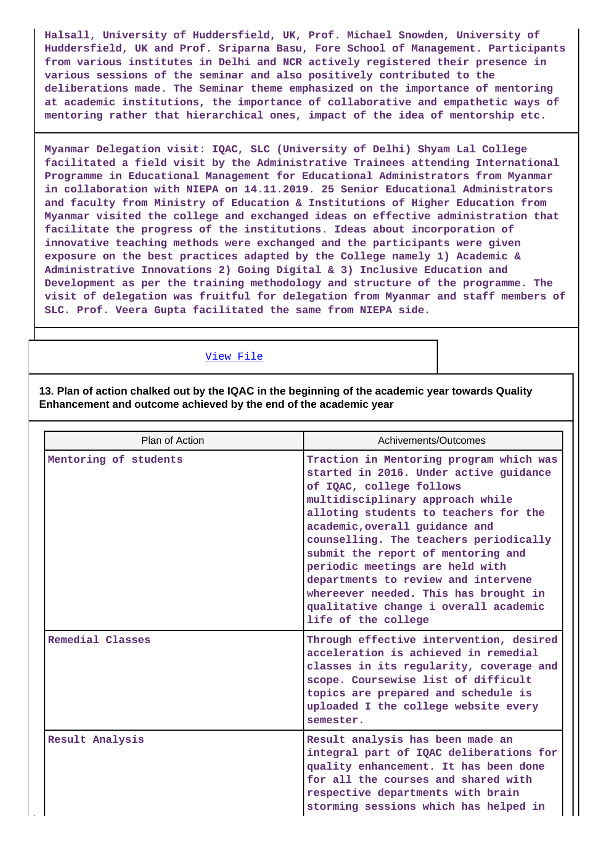**Halsall, University of Huddersfield, UK, Prof. Michael Snowden, University of Huddersfield, UK and Prof. Sriparna Basu, Fore School of Management. Participants from various institutes in Delhi and NCR actively registered their presence in various sessions of the seminar and also positively contributed to the deliberations made. The Seminar theme emphasized on the importance of mentoring at academic institutions, the importance of collaborative and empathetic ways of mentoring rather that hierarchical ones, impact of the idea of mentorship etc.**

**Myanmar Delegation visit: IQAC, SLC (University of Delhi) Shyam Lal College facilitated a field visit by the Administrative Trainees attending International Programme in Educational Management for Educational Administrators from Myanmar in collaboration with NIEPA on 14.11.2019. 25 Senior Educational Administrators and faculty from Ministry of Education & Institutions of Higher Education from Myanmar visited the college and exchanged ideas on effective administration that facilitate the progress of the institutions. Ideas about incorporation of innovative teaching methods were exchanged and the participants were given exposure on the best practices adapted by the College namely 1) Academic & Administrative Innovations 2) Going Digital & 3) Inclusive Education and Development as per the training methodology and structure of the programme. The visit of delegation was fruitful for delegation from Myanmar and staff members of SLC. Prof. Veera Gupta facilitated the same from NIEPA side.**

[View File](https://assessmentonline.naac.gov.in/public/Postacc/Contribution/10001_Contribution.xlsx)

**13. Plan of action chalked out by the IQAC in the beginning of the academic year towards Quality Enhancement and outcome achieved by the end of the academic year**

| Plan of Action        | Achivements/Outcomes                                                                                                                                                                                                                                                                                                                                                                                                                                                                            |
|-----------------------|-------------------------------------------------------------------------------------------------------------------------------------------------------------------------------------------------------------------------------------------------------------------------------------------------------------------------------------------------------------------------------------------------------------------------------------------------------------------------------------------------|
| Mentoring of students | Traction in Mentoring program which was<br>started in 2016. Under active guidance<br>of IQAC, college follows<br>multidisciplinary approach while<br>alloting students to teachers for the<br>academic, overall guidance and<br>counselling. The teachers periodically<br>submit the report of mentoring and<br>periodic meetings are held with<br>departments to review and intervene<br>whereever needed. This has brought in<br>qualitative change i overall academic<br>life of the college |
| Remedial Classes      | Through effective intervention, desired<br>acceleration is achieved in remedial<br>classes in its regularity, coverage and<br>scope. Coursewise list of difficult<br>topics are prepared and schedule is<br>uploaded I the college website every<br>semester.                                                                                                                                                                                                                                   |
| Result Analysis       | Result analysis has been made an<br>integral part of IQAC deliberations for<br>quality enhancement. It has been done<br>for all the courses and shared with<br>respective departments with brain<br>storming sessions which has helped in                                                                                                                                                                                                                                                       |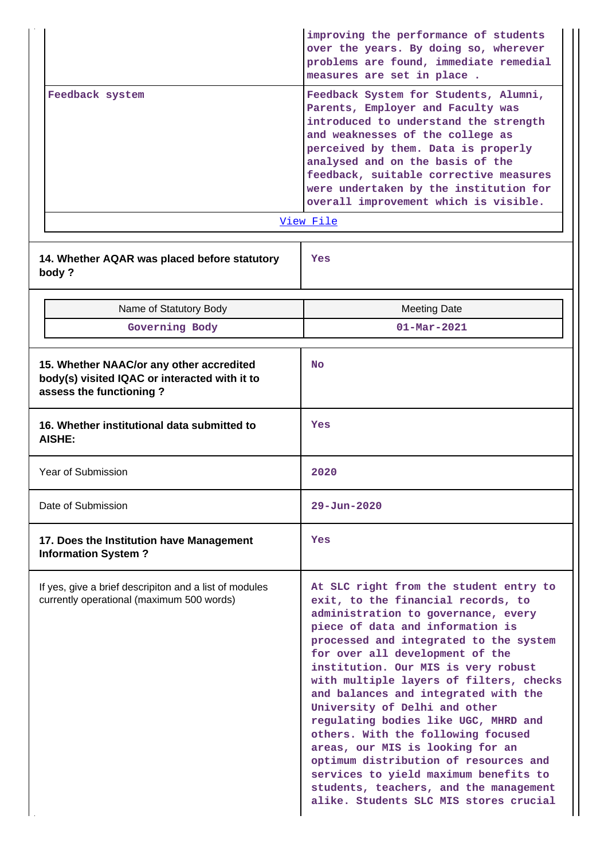|                                                                                                                      | improving the performance of students<br>over the years. By doing so, wherever<br>problems are found, immediate remedial<br>measures are set in place.                                                                                                                                                                                                                                                                                                                                                                                                                                                                                                                                  |  |  |  |
|----------------------------------------------------------------------------------------------------------------------|-----------------------------------------------------------------------------------------------------------------------------------------------------------------------------------------------------------------------------------------------------------------------------------------------------------------------------------------------------------------------------------------------------------------------------------------------------------------------------------------------------------------------------------------------------------------------------------------------------------------------------------------------------------------------------------------|--|--|--|
| Feedback system                                                                                                      | Feedback System for Students, Alumni,<br>Parents, Employer and Faculty was<br>introduced to understand the strength<br>and weaknesses of the college as<br>perceived by them. Data is properly<br>analysed and on the basis of the<br>feedback, suitable corrective measures<br>were undertaken by the institution for<br>overall improvement which is visible.                                                                                                                                                                                                                                                                                                                         |  |  |  |
|                                                                                                                      | View File                                                                                                                                                                                                                                                                                                                                                                                                                                                                                                                                                                                                                                                                               |  |  |  |
| 14. Whether AQAR was placed before statutory<br>body?                                                                | Yes                                                                                                                                                                                                                                                                                                                                                                                                                                                                                                                                                                                                                                                                                     |  |  |  |
| Name of Statutory Body                                                                                               | <b>Meeting Date</b>                                                                                                                                                                                                                                                                                                                                                                                                                                                                                                                                                                                                                                                                     |  |  |  |
| Governing Body                                                                                                       | $01 - \text{Mar} - 2021$                                                                                                                                                                                                                                                                                                                                                                                                                                                                                                                                                                                                                                                                |  |  |  |
| 15. Whether NAAC/or any other accredited<br>body(s) visited IQAC or interacted with it to<br>assess the functioning? | <b>No</b>                                                                                                                                                                                                                                                                                                                                                                                                                                                                                                                                                                                                                                                                               |  |  |  |
| 16. Whether institutional data submitted to<br>AISHE:                                                                | Yes                                                                                                                                                                                                                                                                                                                                                                                                                                                                                                                                                                                                                                                                                     |  |  |  |
| Year of Submission                                                                                                   | 2020                                                                                                                                                                                                                                                                                                                                                                                                                                                                                                                                                                                                                                                                                    |  |  |  |
| Date of Submission                                                                                                   | $29 - Jun - 2020$                                                                                                                                                                                                                                                                                                                                                                                                                                                                                                                                                                                                                                                                       |  |  |  |
| 17. Does the Institution have Management<br><b>Information System?</b>                                               | Yes                                                                                                                                                                                                                                                                                                                                                                                                                                                                                                                                                                                                                                                                                     |  |  |  |
| If yes, give a brief descripiton and a list of modules<br>currently operational (maximum 500 words)                  | At SLC right from the student entry to<br>exit, to the financial records, to<br>administration to governance, every<br>piece of data and information is<br>processed and integrated to the system<br>for over all development of the<br>institution. Our MIS is very robust<br>with multiple layers of filters, checks<br>and balances and integrated with the<br>University of Delhi and other<br>regulating bodies like UGC, MHRD and<br>others. With the following focused<br>areas, our MIS is looking for an<br>optimum distribution of resources and<br>services to yield maximum benefits to<br>students, teachers, and the management<br>alike. Students SLC MIS stores crucial |  |  |  |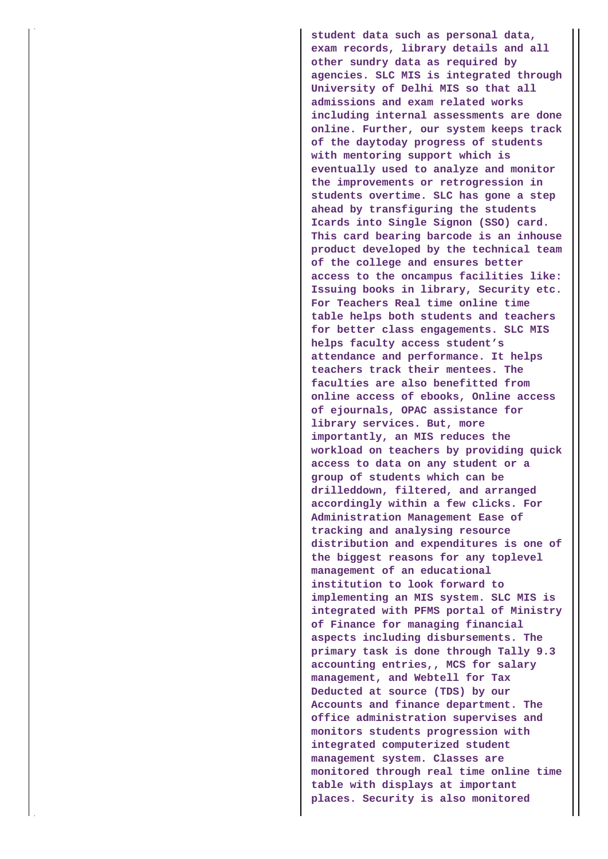**student data such as personal data, exam records, library details and all other sundry data as required by agencies. SLC MIS is integrated through University of Delhi MIS so that all admissions and exam related works including internal assessments are done online. Further, our system keeps track of the daytoday progress of students with mentoring support which is eventually used to analyze and monitor the improvements or retrogression in students overtime. SLC has gone a step ahead by transfiguring the students Icards into Single Signon (SSO) card. This card bearing barcode is an inhouse product developed by the technical team of the college and ensures better access to the oncampus facilities like: Issuing books in library, Security etc. For Teachers Real time online time table helps both students and teachers for better class engagements. SLC MIS helps faculty access student's attendance and performance. It helps teachers track their mentees. The faculties are also benefitted from online access of ebooks, Online access of ejournals, OPAC assistance for library services. But, more importantly, an MIS reduces the workload on teachers by providing quick access to data on any student or a group of students which can be drilleddown, filtered, and arranged accordingly within a few clicks. For Administration Management Ease of tracking and analysing resource distribution and expenditures is one of the biggest reasons for any toplevel management of an educational institution to look forward to implementing an MIS system. SLC MIS is integrated with PFMS portal of Ministry of Finance for managing financial aspects including disbursements. The primary task is done through Tally 9.3 accounting entries,, MCS for salary management, and Webtell for Tax Deducted at source (TDS) by our Accounts and finance department. The office administration supervises and monitors students progression with integrated computerized student management system. Classes are monitored through real time online time table with displays at important places. Security is also monitored**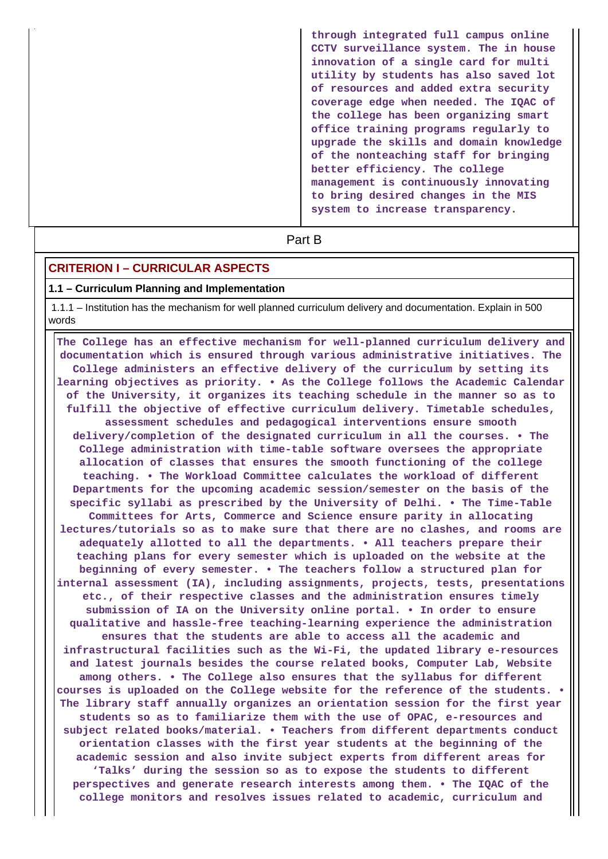**through integrated full campus online CCTV surveillance system. The in house innovation of a single card for multi utility by students has also saved lot of resources and added extra security coverage edge when needed. The IQAC of the college has been organizing smart office training programs regularly to upgrade the skills and domain knowledge of the nonteaching staff for bringing better efficiency. The college management is continuously innovating to bring desired changes in the MIS system to increase transparency.**

**Part B** 

## **CRITERION I – CURRICULAR ASPECTS**

#### **1.1 – Curriculum Planning and Implementation**

 1.1.1 – Institution has the mechanism for well planned curriculum delivery and documentation. Explain in 500 words

 **The College has an effective mechanism for well-planned curriculum delivery and documentation which is ensured through various administrative initiatives. The College administers an effective delivery of the curriculum by setting its learning objectives as priority. • As the College follows the Academic Calendar of the University, it organizes its teaching schedule in the manner so as to fulfill the objective of effective curriculum delivery. Timetable schedules, assessment schedules and pedagogical interventions ensure smooth delivery/completion of the designated curriculum in all the courses. • The College administration with time-table software oversees the appropriate allocation of classes that ensures the smooth functioning of the college teaching. • The Workload Committee calculates the workload of different Departments for the upcoming academic session/semester on the basis of the specific syllabi as prescribed by the University of Delhi. • The Time-Table Committees for Arts, Commerce and Science ensure parity in allocating lectures/tutorials so as to make sure that there are no clashes, and rooms are adequately allotted to all the departments. • All teachers prepare their teaching plans for every semester which is uploaded on the website at the beginning of every semester. • The teachers follow a structured plan for internal assessment (IA), including assignments, projects, tests, presentations etc., of their respective classes and the administration ensures timely submission of IA on the University online portal. • In order to ensure qualitative and hassle-free teaching-learning experience the administration ensures that the students are able to access all the academic and infrastructural facilities such as the Wi-Fi, the updated library e-resources and latest journals besides the course related books, Computer Lab, Website among others. • The College also ensures that the syllabus for different courses is uploaded on the College website for the reference of the students. • The library staff annually organizes an orientation session for the first year students so as to familiarize them with the use of OPAC, e-resources and subject related books/material. • Teachers from different departments conduct orientation classes with the first year students at the beginning of the academic session and also invite subject experts from different areas for 'Talks' during the session so as to expose the students to different perspectives and generate research interests among them. • The IQAC of the college monitors and resolves issues related to academic, curriculum and**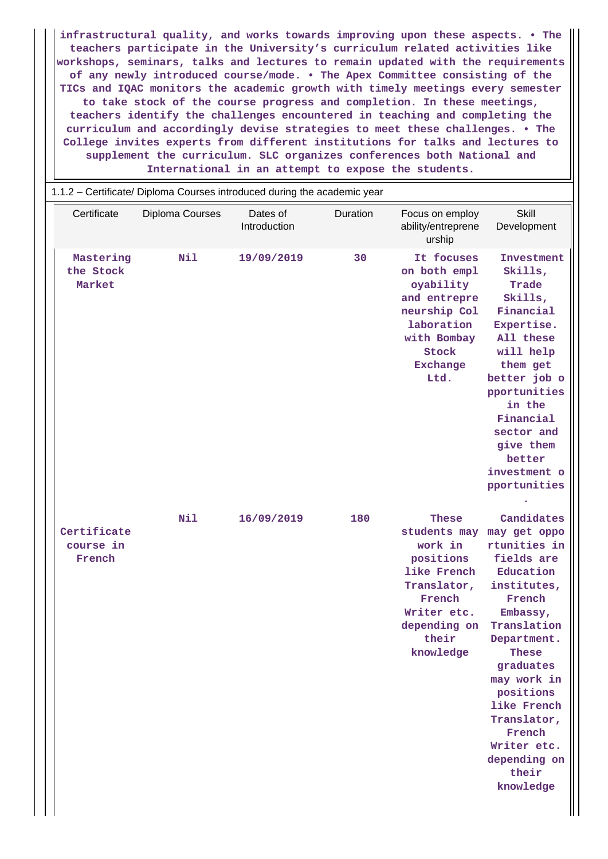**infrastructural quality, and works towards improving upon these aspects. • The teachers participate in the University's curriculum related activities like workshops, seminars, talks and lectures to remain updated with the requirements of any newly introduced course/mode. • The Apex Committee consisting of the TICs and IQAC monitors the academic growth with timely meetings every semester to take stock of the course progress and completion. In these meetings, teachers identify the challenges encountered in teaching and completing the curriculum and accordingly devise strategies to meet these challenges. • The College invites experts from different institutions for talks and lectures to supplement the curriculum. SLC organizes conferences both National and International in an attempt to expose the students.**

|                                    | 1.1.2 - Certificate/ Diploma Courses introduced during the academic year |                          |          |                                                                                                                                                   |                                                                                                                                                                                                                                                                                                |
|------------------------------------|--------------------------------------------------------------------------|--------------------------|----------|---------------------------------------------------------------------------------------------------------------------------------------------------|------------------------------------------------------------------------------------------------------------------------------------------------------------------------------------------------------------------------------------------------------------------------------------------------|
| Certificate                        | Diploma Courses                                                          | Dates of<br>Introduction | Duration | Focus on employ<br>ability/entreprene<br>urship                                                                                                   | Skill<br>Development                                                                                                                                                                                                                                                                           |
| Mastering<br>the Stock<br>Market   | <b>Nil</b>                                                               | 19/09/2019               | 30       | It focuses<br>on both empl<br>oyability<br>and entrepre<br>neurship Col<br>laboration<br>with Bombay<br>Stock<br><b>Exchange</b><br>Ltd.          | Investment<br>Skills,<br>Trade<br>Skills,<br>Financial<br>Expertise.<br>All these<br>will help<br>them get<br>better job o<br>pportunities<br>in the<br>Financial<br>sector and<br>give them<br>better<br>investment o<br>pportunities                                                         |
| Certificate<br>course in<br>French | Nil                                                                      | 16/09/2019               | 180      | <b>These</b><br>students may<br>work in<br>positions<br>like French<br>Translator,<br>French<br>Writer etc.<br>depending on<br>their<br>knowledge | Candidates<br>may get oppo<br>rtunities in<br>fields are<br>Education<br>institutes,<br>French<br>Embassy,<br>Translation<br>Department.<br><b>These</b><br>graduates<br>may work in<br>positions<br>like French<br>Translator,<br>French<br>Writer etc.<br>depending on<br>their<br>knowledge |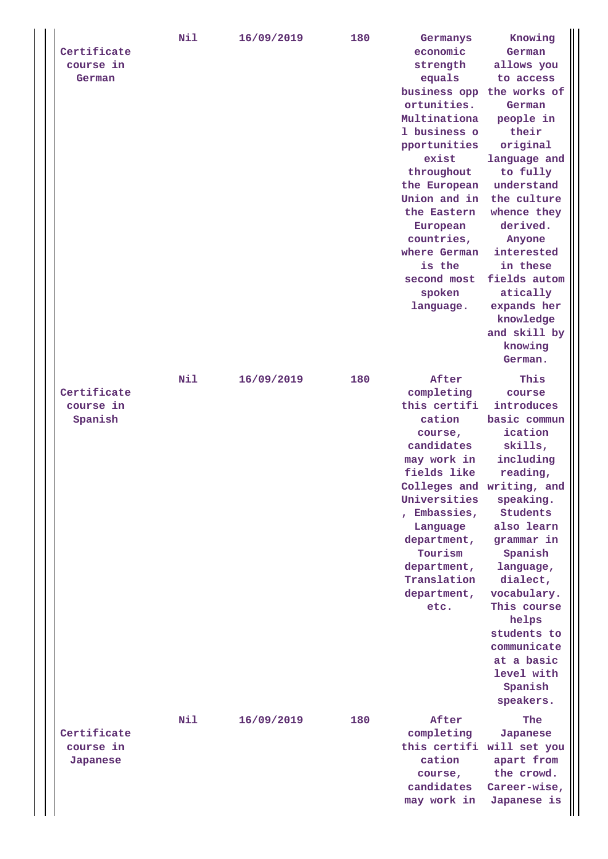| equals<br>to access<br>German<br>business opp the works of<br>ortunities.<br>German<br>Multinationa<br>people in<br>1 business o<br>their<br>pportunities<br>original<br>exist<br>language and<br>throughout<br>to fully<br>understand<br>the European<br>Union and in<br>the culture<br>the Eastern<br>whence they<br>derived.<br>European<br>countries,<br>Anyone<br>where German<br>interested<br>is the<br>in these<br>second most<br>fields autom<br>spoken<br>atically<br>language.<br>expands her<br>knowledge<br>and skill by<br>knowing<br>German.<br>Nil<br>After<br>This<br>16/09/2019<br>180<br>Certificate<br>completing<br>course<br>course in<br>this certifi<br>introduces<br>cation<br>basic commun<br>Spanish<br>ication<br>course,<br>candidates<br>skills,<br>may work in<br>including<br>fields like<br>reading,<br>Colleges and writing, and<br>Universities<br>speaking.<br>Students<br>, Embassies,<br>also learn<br>Language<br>department,<br>grammar in<br>Tourism<br>Spanish<br>department,<br>language,<br>Translation<br>dialect,<br>department,<br>vocabulary.<br>etc.<br>This course<br>helps<br>students to<br>communicate<br>at a basic<br>level with<br>Spanish<br>speakers.<br>Nil<br>180<br>After<br>16/09/2019<br>The<br>Certificate<br>completing<br>Japanese<br>course in<br>this certifi will set you<br>cation<br>apart from<br>Japanese<br>the crowd.<br>course,<br>candidates<br>Career-wise,<br>Japanese is<br>may work in |  | Certificate | Nil | 16/09/2019 | 180 | Germanys<br>economic | Knowing<br>German |
|-------------------------------------------------------------------------------------------------------------------------------------------------------------------------------------------------------------------------------------------------------------------------------------------------------------------------------------------------------------------------------------------------------------------------------------------------------------------------------------------------------------------------------------------------------------------------------------------------------------------------------------------------------------------------------------------------------------------------------------------------------------------------------------------------------------------------------------------------------------------------------------------------------------------------------------------------------------------------------------------------------------------------------------------------------------------------------------------------------------------------------------------------------------------------------------------------------------------------------------------------------------------------------------------------------------------------------------------------------------------------------------------------------------------------------------------------------------------------|--|-------------|-----|------------|-----|----------------------|-------------------|
|                                                                                                                                                                                                                                                                                                                                                                                                                                                                                                                                                                                                                                                                                                                                                                                                                                                                                                                                                                                                                                                                                                                                                                                                                                                                                                                                                                                                                                                                         |  | course in   |     |            |     | strength             | allows you        |
|                                                                                                                                                                                                                                                                                                                                                                                                                                                                                                                                                                                                                                                                                                                                                                                                                                                                                                                                                                                                                                                                                                                                                                                                                                                                                                                                                                                                                                                                         |  |             |     |            |     |                      |                   |
|                                                                                                                                                                                                                                                                                                                                                                                                                                                                                                                                                                                                                                                                                                                                                                                                                                                                                                                                                                                                                                                                                                                                                                                                                                                                                                                                                                                                                                                                         |  |             |     |            |     |                      |                   |
|                                                                                                                                                                                                                                                                                                                                                                                                                                                                                                                                                                                                                                                                                                                                                                                                                                                                                                                                                                                                                                                                                                                                                                                                                                                                                                                                                                                                                                                                         |  |             |     |            |     |                      |                   |
|                                                                                                                                                                                                                                                                                                                                                                                                                                                                                                                                                                                                                                                                                                                                                                                                                                                                                                                                                                                                                                                                                                                                                                                                                                                                                                                                                                                                                                                                         |  |             |     |            |     |                      |                   |
|                                                                                                                                                                                                                                                                                                                                                                                                                                                                                                                                                                                                                                                                                                                                                                                                                                                                                                                                                                                                                                                                                                                                                                                                                                                                                                                                                                                                                                                                         |  |             |     |            |     |                      |                   |
|                                                                                                                                                                                                                                                                                                                                                                                                                                                                                                                                                                                                                                                                                                                                                                                                                                                                                                                                                                                                                                                                                                                                                                                                                                                                                                                                                                                                                                                                         |  |             |     |            |     |                      |                   |
|                                                                                                                                                                                                                                                                                                                                                                                                                                                                                                                                                                                                                                                                                                                                                                                                                                                                                                                                                                                                                                                                                                                                                                                                                                                                                                                                                                                                                                                                         |  |             |     |            |     |                      |                   |
|                                                                                                                                                                                                                                                                                                                                                                                                                                                                                                                                                                                                                                                                                                                                                                                                                                                                                                                                                                                                                                                                                                                                                                                                                                                                                                                                                                                                                                                                         |  |             |     |            |     |                      |                   |
|                                                                                                                                                                                                                                                                                                                                                                                                                                                                                                                                                                                                                                                                                                                                                                                                                                                                                                                                                                                                                                                                                                                                                                                                                                                                                                                                                                                                                                                                         |  |             |     |            |     |                      |                   |
|                                                                                                                                                                                                                                                                                                                                                                                                                                                                                                                                                                                                                                                                                                                                                                                                                                                                                                                                                                                                                                                                                                                                                                                                                                                                                                                                                                                                                                                                         |  |             |     |            |     |                      |                   |
|                                                                                                                                                                                                                                                                                                                                                                                                                                                                                                                                                                                                                                                                                                                                                                                                                                                                                                                                                                                                                                                                                                                                                                                                                                                                                                                                                                                                                                                                         |  |             |     |            |     |                      |                   |
|                                                                                                                                                                                                                                                                                                                                                                                                                                                                                                                                                                                                                                                                                                                                                                                                                                                                                                                                                                                                                                                                                                                                                                                                                                                                                                                                                                                                                                                                         |  |             |     |            |     |                      |                   |
|                                                                                                                                                                                                                                                                                                                                                                                                                                                                                                                                                                                                                                                                                                                                                                                                                                                                                                                                                                                                                                                                                                                                                                                                                                                                                                                                                                                                                                                                         |  |             |     |            |     |                      |                   |
|                                                                                                                                                                                                                                                                                                                                                                                                                                                                                                                                                                                                                                                                                                                                                                                                                                                                                                                                                                                                                                                                                                                                                                                                                                                                                                                                                                                                                                                                         |  |             |     |            |     |                      |                   |
|                                                                                                                                                                                                                                                                                                                                                                                                                                                                                                                                                                                                                                                                                                                                                                                                                                                                                                                                                                                                                                                                                                                                                                                                                                                                                                                                                                                                                                                                         |  |             |     |            |     |                      |                   |
|                                                                                                                                                                                                                                                                                                                                                                                                                                                                                                                                                                                                                                                                                                                                                                                                                                                                                                                                                                                                                                                                                                                                                                                                                                                                                                                                                                                                                                                                         |  |             |     |            |     |                      |                   |
|                                                                                                                                                                                                                                                                                                                                                                                                                                                                                                                                                                                                                                                                                                                                                                                                                                                                                                                                                                                                                                                                                                                                                                                                                                                                                                                                                                                                                                                                         |  |             |     |            |     |                      |                   |
|                                                                                                                                                                                                                                                                                                                                                                                                                                                                                                                                                                                                                                                                                                                                                                                                                                                                                                                                                                                                                                                                                                                                                                                                                                                                                                                                                                                                                                                                         |  |             |     |            |     |                      |                   |
|                                                                                                                                                                                                                                                                                                                                                                                                                                                                                                                                                                                                                                                                                                                                                                                                                                                                                                                                                                                                                                                                                                                                                                                                                                                                                                                                                                                                                                                                         |  |             |     |            |     |                      |                   |
|                                                                                                                                                                                                                                                                                                                                                                                                                                                                                                                                                                                                                                                                                                                                                                                                                                                                                                                                                                                                                                                                                                                                                                                                                                                                                                                                                                                                                                                                         |  |             |     |            |     |                      |                   |
|                                                                                                                                                                                                                                                                                                                                                                                                                                                                                                                                                                                                                                                                                                                                                                                                                                                                                                                                                                                                                                                                                                                                                                                                                                                                                                                                                                                                                                                                         |  |             |     |            |     |                      |                   |
|                                                                                                                                                                                                                                                                                                                                                                                                                                                                                                                                                                                                                                                                                                                                                                                                                                                                                                                                                                                                                                                                                                                                                                                                                                                                                                                                                                                                                                                                         |  |             |     |            |     |                      |                   |
|                                                                                                                                                                                                                                                                                                                                                                                                                                                                                                                                                                                                                                                                                                                                                                                                                                                                                                                                                                                                                                                                                                                                                                                                                                                                                                                                                                                                                                                                         |  |             |     |            |     |                      |                   |
|                                                                                                                                                                                                                                                                                                                                                                                                                                                                                                                                                                                                                                                                                                                                                                                                                                                                                                                                                                                                                                                                                                                                                                                                                                                                                                                                                                                                                                                                         |  |             |     |            |     |                      |                   |
|                                                                                                                                                                                                                                                                                                                                                                                                                                                                                                                                                                                                                                                                                                                                                                                                                                                                                                                                                                                                                                                                                                                                                                                                                                                                                                                                                                                                                                                                         |  |             |     |            |     |                      |                   |
|                                                                                                                                                                                                                                                                                                                                                                                                                                                                                                                                                                                                                                                                                                                                                                                                                                                                                                                                                                                                                                                                                                                                                                                                                                                                                                                                                                                                                                                                         |  |             |     |            |     |                      |                   |
|                                                                                                                                                                                                                                                                                                                                                                                                                                                                                                                                                                                                                                                                                                                                                                                                                                                                                                                                                                                                                                                                                                                                                                                                                                                                                                                                                                                                                                                                         |  |             |     |            |     |                      |                   |
|                                                                                                                                                                                                                                                                                                                                                                                                                                                                                                                                                                                                                                                                                                                                                                                                                                                                                                                                                                                                                                                                                                                                                                                                                                                                                                                                                                                                                                                                         |  |             |     |            |     |                      |                   |
|                                                                                                                                                                                                                                                                                                                                                                                                                                                                                                                                                                                                                                                                                                                                                                                                                                                                                                                                                                                                                                                                                                                                                                                                                                                                                                                                                                                                                                                                         |  |             |     |            |     |                      |                   |
|                                                                                                                                                                                                                                                                                                                                                                                                                                                                                                                                                                                                                                                                                                                                                                                                                                                                                                                                                                                                                                                                                                                                                                                                                                                                                                                                                                                                                                                                         |  |             |     |            |     |                      |                   |
|                                                                                                                                                                                                                                                                                                                                                                                                                                                                                                                                                                                                                                                                                                                                                                                                                                                                                                                                                                                                                                                                                                                                                                                                                                                                                                                                                                                                                                                                         |  |             |     |            |     |                      |                   |
|                                                                                                                                                                                                                                                                                                                                                                                                                                                                                                                                                                                                                                                                                                                                                                                                                                                                                                                                                                                                                                                                                                                                                                                                                                                                                                                                                                                                                                                                         |  |             |     |            |     |                      |                   |
|                                                                                                                                                                                                                                                                                                                                                                                                                                                                                                                                                                                                                                                                                                                                                                                                                                                                                                                                                                                                                                                                                                                                                                                                                                                                                                                                                                                                                                                                         |  |             |     |            |     |                      |                   |
|                                                                                                                                                                                                                                                                                                                                                                                                                                                                                                                                                                                                                                                                                                                                                                                                                                                                                                                                                                                                                                                                                                                                                                                                                                                                                                                                                                                                                                                                         |  |             |     |            |     |                      |                   |
|                                                                                                                                                                                                                                                                                                                                                                                                                                                                                                                                                                                                                                                                                                                                                                                                                                                                                                                                                                                                                                                                                                                                                                                                                                                                                                                                                                                                                                                                         |  |             |     |            |     |                      |                   |
|                                                                                                                                                                                                                                                                                                                                                                                                                                                                                                                                                                                                                                                                                                                                                                                                                                                                                                                                                                                                                                                                                                                                                                                                                                                                                                                                                                                                                                                                         |  |             |     |            |     |                      |                   |
|                                                                                                                                                                                                                                                                                                                                                                                                                                                                                                                                                                                                                                                                                                                                                                                                                                                                                                                                                                                                                                                                                                                                                                                                                                                                                                                                                                                                                                                                         |  |             |     |            |     |                      |                   |
|                                                                                                                                                                                                                                                                                                                                                                                                                                                                                                                                                                                                                                                                                                                                                                                                                                                                                                                                                                                                                                                                                                                                                                                                                                                                                                                                                                                                                                                                         |  |             |     |            |     |                      |                   |
|                                                                                                                                                                                                                                                                                                                                                                                                                                                                                                                                                                                                                                                                                                                                                                                                                                                                                                                                                                                                                                                                                                                                                                                                                                                                                                                                                                                                                                                                         |  |             |     |            |     |                      |                   |
|                                                                                                                                                                                                                                                                                                                                                                                                                                                                                                                                                                                                                                                                                                                                                                                                                                                                                                                                                                                                                                                                                                                                                                                                                                                                                                                                                                                                                                                                         |  |             |     |            |     |                      |                   |
|                                                                                                                                                                                                                                                                                                                                                                                                                                                                                                                                                                                                                                                                                                                                                                                                                                                                                                                                                                                                                                                                                                                                                                                                                                                                                                                                                                                                                                                                         |  |             |     |            |     |                      |                   |
|                                                                                                                                                                                                                                                                                                                                                                                                                                                                                                                                                                                                                                                                                                                                                                                                                                                                                                                                                                                                                                                                                                                                                                                                                                                                                                                                                                                                                                                                         |  |             |     |            |     |                      |                   |
|                                                                                                                                                                                                                                                                                                                                                                                                                                                                                                                                                                                                                                                                                                                                                                                                                                                                                                                                                                                                                                                                                                                                                                                                                                                                                                                                                                                                                                                                         |  |             |     |            |     |                      |                   |
|                                                                                                                                                                                                                                                                                                                                                                                                                                                                                                                                                                                                                                                                                                                                                                                                                                                                                                                                                                                                                                                                                                                                                                                                                                                                                                                                                                                                                                                                         |  |             |     |            |     |                      |                   |
|                                                                                                                                                                                                                                                                                                                                                                                                                                                                                                                                                                                                                                                                                                                                                                                                                                                                                                                                                                                                                                                                                                                                                                                                                                                                                                                                                                                                                                                                         |  |             |     |            |     |                      |                   |
|                                                                                                                                                                                                                                                                                                                                                                                                                                                                                                                                                                                                                                                                                                                                                                                                                                                                                                                                                                                                                                                                                                                                                                                                                                                                                                                                                                                                                                                                         |  |             |     |            |     |                      |                   |
|                                                                                                                                                                                                                                                                                                                                                                                                                                                                                                                                                                                                                                                                                                                                                                                                                                                                                                                                                                                                                                                                                                                                                                                                                                                                                                                                                                                                                                                                         |  |             |     |            |     |                      |                   |
|                                                                                                                                                                                                                                                                                                                                                                                                                                                                                                                                                                                                                                                                                                                                                                                                                                                                                                                                                                                                                                                                                                                                                                                                                                                                                                                                                                                                                                                                         |  |             |     |            |     |                      |                   |
|                                                                                                                                                                                                                                                                                                                                                                                                                                                                                                                                                                                                                                                                                                                                                                                                                                                                                                                                                                                                                                                                                                                                                                                                                                                                                                                                                                                                                                                                         |  |             |     |            |     |                      |                   |
|                                                                                                                                                                                                                                                                                                                                                                                                                                                                                                                                                                                                                                                                                                                                                                                                                                                                                                                                                                                                                                                                                                                                                                                                                                                                                                                                                                                                                                                                         |  |             |     |            |     |                      |                   |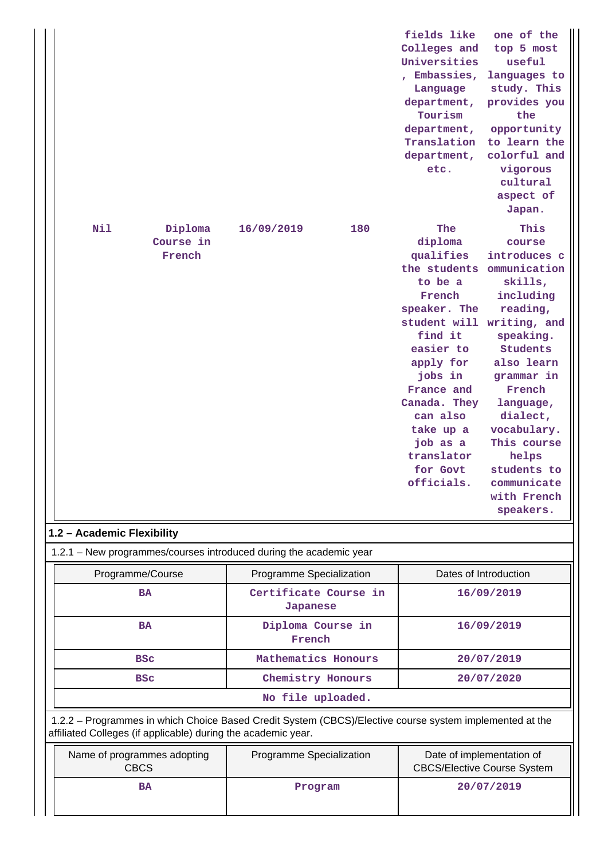| Nil<br>Diploma<br>Course in<br>French                                                                                                                                    | 16/09/2019<br>180                 | fields like<br>one of the<br>Colleges and<br>top 5 most<br>Universities<br>useful<br>Embassies,<br>languages to<br>study. This<br>Language<br>department,<br>provides you<br>Tourism<br>the<br>opportunity<br>department,<br>to learn the<br>Translation<br>colorful and<br>department,<br>etc.<br>vigorous<br>cultural<br>aspect of<br>Japan.<br>The<br>This<br>diploma<br>course<br>qualifies<br>introduces c<br>the students<br>ommunication<br>to be a<br>skills,<br>French<br>including<br>speaker. The<br>reading,<br>student will writing, and<br>find it<br>speaking.<br>easier to<br><b>Students</b><br>apply for<br>also learn<br>jobs in<br>grammar in<br>France and<br>French<br>Canada. They<br>language,<br>can also<br>dialect,<br>take up a<br>vocabulary.<br>job as a<br>This course<br>translator<br>helps<br>students to<br>for Govt<br>officials.<br>communicate<br>with French<br>speakers. |  |  |  |
|--------------------------------------------------------------------------------------------------------------------------------------------------------------------------|-----------------------------------|------------------------------------------------------------------------------------------------------------------------------------------------------------------------------------------------------------------------------------------------------------------------------------------------------------------------------------------------------------------------------------------------------------------------------------------------------------------------------------------------------------------------------------------------------------------------------------------------------------------------------------------------------------------------------------------------------------------------------------------------------------------------------------------------------------------------------------------------------------------------------------------------------------------|--|--|--|
|                                                                                                                                                                          |                                   |                                                                                                                                                                                                                                                                                                                                                                                                                                                                                                                                                                                                                                                                                                                                                                                                                                                                                                                  |  |  |  |
| 1.2 - Academic Flexibility                                                                                                                                               |                                   |                                                                                                                                                                                                                                                                                                                                                                                                                                                                                                                                                                                                                                                                                                                                                                                                                                                                                                                  |  |  |  |
| 1.2.1 – New programmes/courses introduced during the academic year                                                                                                       |                                   |                                                                                                                                                                                                                                                                                                                                                                                                                                                                                                                                                                                                                                                                                                                                                                                                                                                                                                                  |  |  |  |
| Programme/Course                                                                                                                                                         | Programme Specialization          | Dates of Introduction                                                                                                                                                                                                                                                                                                                                                                                                                                                                                                                                                                                                                                                                                                                                                                                                                                                                                            |  |  |  |
| <b>BA</b>                                                                                                                                                                | Certificate Course in<br>Japanese | 16/09/2019                                                                                                                                                                                                                                                                                                                                                                                                                                                                                                                                                                                                                                                                                                                                                                                                                                                                                                       |  |  |  |
| <b>BA</b>                                                                                                                                                                | Diploma Course in<br>French       | 16/09/2019                                                                                                                                                                                                                                                                                                                                                                                                                                                                                                                                                                                                                                                                                                                                                                                                                                                                                                       |  |  |  |
| <b>BSC</b>                                                                                                                                                               | Mathematics Honours               | 20/07/2019                                                                                                                                                                                                                                                                                                                                                                                                                                                                                                                                                                                                                                                                                                                                                                                                                                                                                                       |  |  |  |
| <b>BSC</b>                                                                                                                                                               | Chemistry Honours<br>20/07/2020   |                                                                                                                                                                                                                                                                                                                                                                                                                                                                                                                                                                                                                                                                                                                                                                                                                                                                                                                  |  |  |  |
|                                                                                                                                                                          | No file uploaded.                 |                                                                                                                                                                                                                                                                                                                                                                                                                                                                                                                                                                                                                                                                                                                                                                                                                                                                                                                  |  |  |  |
| 1.2.2 - Programmes in which Choice Based Credit System (CBCS)/Elective course system implemented at the<br>affiliated Colleges (if applicable) during the academic year. |                                   |                                                                                                                                                                                                                                                                                                                                                                                                                                                                                                                                                                                                                                                                                                                                                                                                                                                                                                                  |  |  |  |
| Name of programmes adopting<br><b>CBCS</b>                                                                                                                               | Programme Specialization          | Date of implementation of<br><b>CBCS/Elective Course System</b>                                                                                                                                                                                                                                                                                                                                                                                                                                                                                                                                                                                                                                                                                                                                                                                                                                                  |  |  |  |
| <b>BA</b>                                                                                                                                                                | Program                           | 20/07/2019                                                                                                                                                                                                                                                                                                                                                                                                                                                                                                                                                                                                                                                                                                                                                                                                                                                                                                       |  |  |  |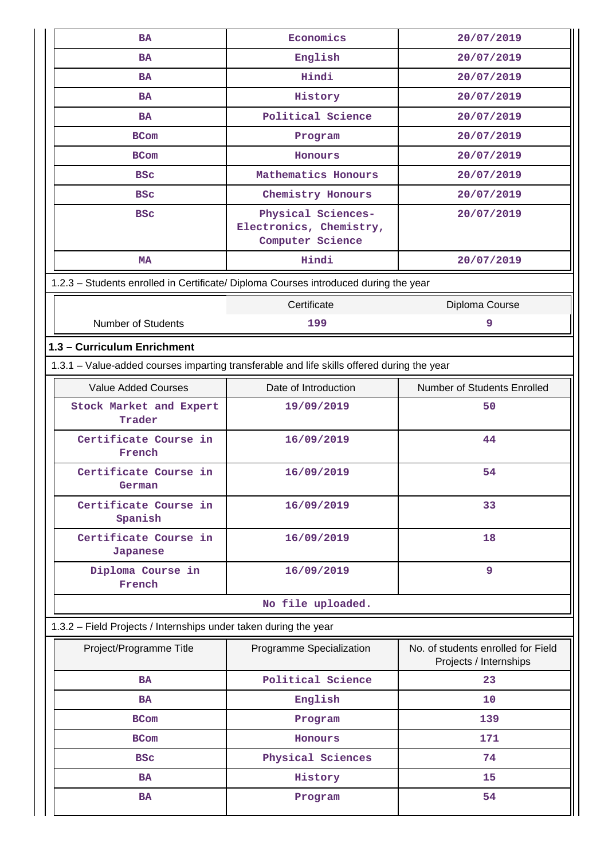| <b>BA</b>                                                                                  | Economics                                                         | 20/07/2019                                                   |  |  |
|--------------------------------------------------------------------------------------------|-------------------------------------------------------------------|--------------------------------------------------------------|--|--|
| <b>BA</b>                                                                                  | English                                                           | 20/07/2019                                                   |  |  |
| <b>BA</b>                                                                                  | Hindi                                                             | 20/07/2019                                                   |  |  |
| <b>BA</b>                                                                                  | History                                                           | 20/07/2019                                                   |  |  |
| <b>BA</b>                                                                                  | Political Science                                                 | 20/07/2019                                                   |  |  |
| <b>BCom</b>                                                                                | Program                                                           | 20/07/2019                                                   |  |  |
| <b>BCom</b>                                                                                | Honours                                                           | 20/07/2019                                                   |  |  |
| <b>BSC</b>                                                                                 | Mathematics Honours                                               | 20/07/2019                                                   |  |  |
| <b>BSC</b>                                                                                 | Chemistry Honours                                                 | 20/07/2019                                                   |  |  |
| <b>BSC</b>                                                                                 | Physical Sciences-<br>Electronics, Chemistry,<br>Computer Science | 20/07/2019                                                   |  |  |
| <b>MA</b>                                                                                  | Hindi                                                             | 20/07/2019                                                   |  |  |
| 1.2.3 - Students enrolled in Certificate/ Diploma Courses introduced during the year       |                                                                   |                                                              |  |  |
|                                                                                            | Certificate                                                       | Diploma Course                                               |  |  |
| <b>Number of Students</b>                                                                  | 199                                                               | 9                                                            |  |  |
| 1.3 - Curriculum Enrichment                                                                |                                                                   |                                                              |  |  |
| 1.3.1 - Value-added courses imparting transferable and life skills offered during the year |                                                                   |                                                              |  |  |
| <b>Value Added Courses</b>                                                                 | Date of Introduction                                              | Number of Students Enrolled                                  |  |  |
| Stock Market and Expert<br>Trader                                                          | 19/09/2019                                                        | 50                                                           |  |  |
| Certificate Course in<br>French                                                            | 16/09/2019                                                        | 44                                                           |  |  |
| Certificate Course in<br>German                                                            | 16/09/2019                                                        | 54                                                           |  |  |
| Certificate Course in<br>Spanish                                                           | 16/09/2019                                                        | 33                                                           |  |  |
| Certificate Course in<br>Japanese                                                          | 16/09/2019                                                        | 18                                                           |  |  |
| Diploma Course in<br>French                                                                | 16/09/2019                                                        | 9                                                            |  |  |
|                                                                                            | No file uploaded.                                                 |                                                              |  |  |
| 1.3.2 - Field Projects / Internships under taken during the year                           |                                                                   |                                                              |  |  |
| Project/Programme Title                                                                    | Programme Specialization                                          | No. of students enrolled for Field<br>Projects / Internships |  |  |
| <b>BA</b>                                                                                  | Political Science                                                 | 23                                                           |  |  |
| <b>BA</b>                                                                                  | English                                                           | 10 <sup>°</sup>                                              |  |  |
| <b>BCom</b>                                                                                | Program                                                           | 139                                                          |  |  |
| <b>BCom</b>                                                                                | Honours                                                           | 171                                                          |  |  |
| <b>BSC</b>                                                                                 | Physical Sciences                                                 | 74                                                           |  |  |
| <b>BA</b>                                                                                  | History                                                           | 15                                                           |  |  |
| <b>BA</b>                                                                                  | Program                                                           | 54                                                           |  |  |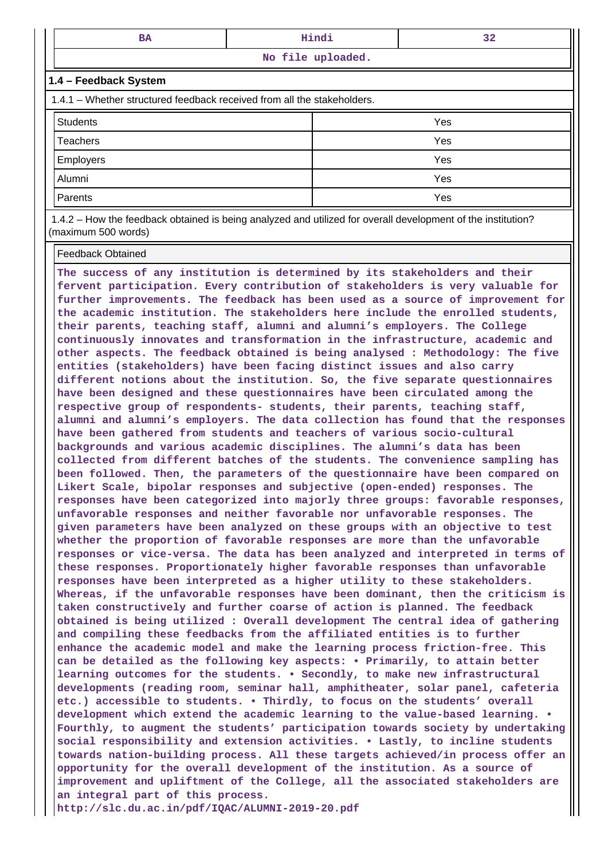| <b>BA</b>                                                                                                    | Hindi |     | 32 |  |  |
|--------------------------------------------------------------------------------------------------------------|-------|-----|----|--|--|
| No file uploaded.                                                                                            |       |     |    |  |  |
| 1.4 - Feedback System                                                                                        |       |     |    |  |  |
| 1.4.1 – Whether structured feedback received from all the stakeholders.                                      |       |     |    |  |  |
| <b>Students</b>                                                                                              |       | Yes |    |  |  |
| Teachers                                                                                                     |       | Yes |    |  |  |
| <b>Employers</b>                                                                                             | Yes   |     |    |  |  |
| Alumni                                                                                                       |       | Yes |    |  |  |
| Yes<br>Parents                                                                                               |       |     |    |  |  |
| 1.4.2 – How the feedback obtained is being analyzed and utilized for overall development of the institution? |       |     |    |  |  |

(maximum 500 words)

Feedback Obtained

**The success of any institution is determined by its stakeholders and their fervent participation. Every contribution of stakeholders is very valuable for further improvements. The feedback has been used as a source of improvement for the academic institution. The stakeholders here include the enrolled students, their parents, teaching staff, alumni and alumni's employers. The College continuously innovates and transformation in the infrastructure, academic and other aspects. The feedback obtained is being analysed : Methodology: The five entities (stakeholders) have been facing distinct issues and also carry different notions about the institution. So, the five separate questionnaires have been designed and these questionnaires have been circulated among the respective group of respondents- students, their parents, teaching staff, alumni and alumni's employers. The data collection has found that the responses have been gathered from students and teachers of various socio-cultural backgrounds and various academic disciplines. The alumni's data has been collected from different batches of the students. The convenience sampling has been followed. Then, the parameters of the questionnaire have been compared on Likert Scale, bipolar responses and subjective (open-ended) responses. The responses have been categorized into majorly three groups: favorable responses, unfavorable responses and neither favorable nor unfavorable responses. The given parameters have been analyzed on these groups with an objective to test whether the proportion of favorable responses are more than the unfavorable responses or vice-versa. The data has been analyzed and interpreted in terms of these responses. Proportionately higher favorable responses than unfavorable responses have been interpreted as a higher utility to these stakeholders. Whereas, if the unfavorable responses have been dominant, then the criticism is taken constructively and further coarse of action is planned. The feedback obtained is being utilized : Overall development The central idea of gathering and compiling these feedbacks from the affiliated entities is to further enhance the academic model and make the learning process friction-free. This can be detailed as the following key aspects: • Primarily, to attain better learning outcomes for the students. • Secondly, to make new infrastructural developments (reading room, seminar hall, amphitheater, solar panel, cafeteria etc.) accessible to students. • Thirdly, to focus on the students' overall development which extend the academic learning to the value-based learning. • Fourthly, to augment the students' participation towards society by undertaking social responsibility and extension activities. • Lastly, to incline students towards nation-building process. All these targets achieved/in process offer an opportunity for the overall development of the institution. As a source of improvement and upliftment of the College, all the associated stakeholders are an integral part of this process. http://slc.du.ac.in/pdf/IQAC/ALUMNI-2019-20.pdf**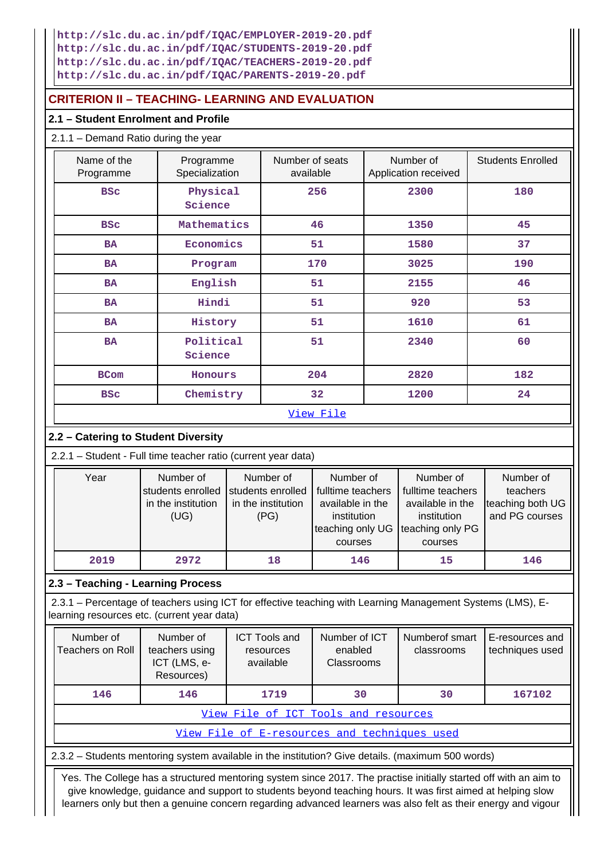**http://slc.du.ac.in/pdf/IQAC/EMPLOYER-2019-20.pdf http://slc.du.ac.in/pdf/IQAC/STUDENTS-2019-20.pdf http://slc.du.ac.in/pdf/IQAC/TEACHERS-2019-20.pdf http://slc.du.ac.in/pdf/IQAC/PARENTS-2019-20.pdf**

## **CRITERION II – TEACHING- LEARNING AND EVALUATION**

## **2.1 – Student Enrolment and Profile**

### 2.1.1 – Demand Ratio during the year

| Name of the<br>Programme | Programme<br>Specialization | Number of seats<br>available | Number of<br>Application received | <b>Students Enrolled</b> |
|--------------------------|-----------------------------|------------------------------|-----------------------------------|--------------------------|
| <b>BSC</b>               | Physical<br>Science         | 256                          | 2300                              | 180                      |
| <b>BSC</b>               | Mathematics                 | 46                           | 1350                              | 45                       |
| <b>BA</b>                | Economics                   | 51                           | 1580                              | 37                       |
| <b>BA</b>                | Program                     | 170                          | 3025                              | 190                      |
| <b>BA</b>                | English                     | 51                           | 2155                              | 46                       |
| <b>BA</b>                | Hindi                       | 51                           | 920                               | 53                       |
| <b>BA</b>                | History                     | 51                           | 1610                              | 61                       |
| BA                       | Political<br>Science        | 51                           | 2340                              | 60                       |
| <b>BCom</b>              | Honours                     | 204                          | 2820                              | 182                      |
| <b>BSC</b>               | Chemistry                   | 32                           | 1200                              | 24                       |
|                          |                             | View File                    |                                   |                          |

## **2.2 – Catering to Student Diversity**

2.2.1 – Student - Full time teacher ratio (current year data)

| Year | Number of          | Number of          | Number of                         | Number of         | Number of        |
|------|--------------------|--------------------|-----------------------------------|-------------------|------------------|
|      | students enrolled  | students enrolled  | fulltime teachers                 | fulltime teachers | teachers         |
|      | in the institution | in the institution | available in the                  | available in the  | teaching both UG |
|      | (UG)               | (PG)               | institution                       | institution       | and PG courses   |
|      |                    |                    | teaching only UG teaching only PG |                   |                  |
|      |                    |                    | courses                           | courses           |                  |
| 2019 | 2972               | 18                 | 146                               | 15                | 146              |

## **2.3 – Teaching - Learning Process**

 2.3.1 – Percentage of teachers using ICT for effective teaching with Learning Management Systems (LMS), Elearning resources etc. (current year data)

| Number of<br>Teachers on Roll        | Number of<br>teachers using<br>ICT (LMS, e-<br>Resources) | <b>ICT Tools and</b><br>resources<br>available | Number of ICT<br>enabled<br>Classrooms | Numberof smart<br>classrooms | E-resources and<br>techniques used |  |
|--------------------------------------|-----------------------------------------------------------|------------------------------------------------|----------------------------------------|------------------------------|------------------------------------|--|
| 146                                  | 146                                                       | 1719                                           | 30                                     | 30                           | 167102                             |  |
| View File of ICT Tools and resources |                                                           |                                                |                                        |                              |                                    |  |
|                                      | View File of E-resources and techniques used              |                                                |                                        |                              |                                    |  |

2.3.2 – Students mentoring system available in the institution? Give details. (maximum 500 words)

 Yes. The College has a structured mentoring system since 2017. The practise initially started off with an aim to give knowledge, guidance and support to students beyond teaching hours. It was first aimed at helping slow learners only but then a genuine concern regarding advanced learners was also felt as their energy and vigour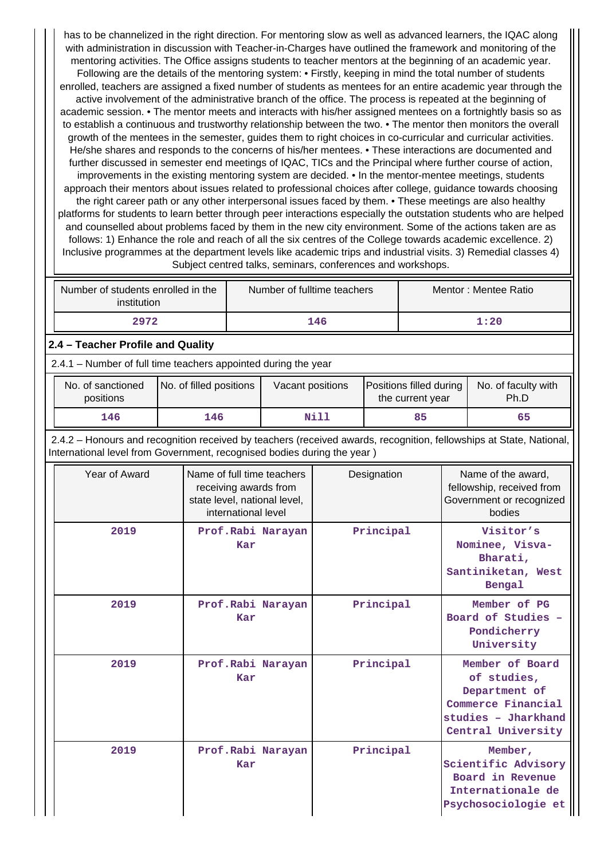has to be channelized in the right direction. For mentoring slow as well as advanced learners, the IQAC along with administration in discussion with Teacher-in-Charges have outlined the framework and monitoring of the mentoring activities. The Office assigns students to teacher mentors at the beginning of an academic year. Following are the details of the mentoring system: • Firstly, keeping in mind the total number of students enrolled, teachers are assigned a fixed number of students as mentees for an entire academic year through the active involvement of the administrative branch of the office. The process is repeated at the beginning of academic session. • The mentor meets and interacts with his/her assigned mentees on a fortnightly basis so as to establish a continuous and trustworthy relationship between the two. • The mentor then monitors the overall growth of the mentees in the semester, guides them to right choices in co-curricular and curricular activities. He/she shares and responds to the concerns of his/her mentees. • These interactions are documented and further discussed in semester end meetings of IQAC, TICs and the Principal where further course of action, improvements in the existing mentoring system are decided. • In the mentor-mentee meetings, students approach their mentors about issues related to professional choices after college, guidance towards choosing the right career path or any other interpersonal issues faced by them. • These meetings are also healthy platforms for students to learn better through peer interactions especially the outstation students who are helped and counselled about problems faced by them in the new city environment. Some of the actions taken are as follows: 1) Enhance the role and reach of all the six centres of the College towards academic excellence. 2) Inclusive programmes at the department levels like academic trips and industrial visits. 3) Remedial classes 4) Subject centred talks, seminars, conferences and workshops.

| Number of students enrolled in the<br>institution | Number of fulltime teachers | Mentor: Mentee Ratio |
|---------------------------------------------------|-----------------------------|----------------------|
| 2972                                              | 146                         | 1:20                 |

### **2.4 – Teacher Profile and Quality**

2.4.1 – Number of full time teachers appointed during the year

| No. of sanctioned<br>positions | No. of filled positions | Vacant positions | Positions filled during<br>the current year | No. of faculty with<br>Ph.D |
|--------------------------------|-------------------------|------------------|---------------------------------------------|-----------------------------|
| 146                            | 146                     | Nill             | 85                                          | 65                          |

 2.4.2 – Honours and recognition received by teachers (received awards, recognition, fellowships at State, National, International level from Government, recognised bodies during the year )

| Year of Award | Name of full time teachers<br>receiving awards from<br>state level, national level,<br>international level | Designation | Name of the award,<br>fellowship, received from<br>Government or recognized<br>bodies                              |
|---------------|------------------------------------------------------------------------------------------------------------|-------------|--------------------------------------------------------------------------------------------------------------------|
| 2019          | Prof.Rabi Narayan<br>Kar                                                                                   | Principal   | Visitor's<br>Nominee, Visva-<br>Bharati,<br>Santiniketan, West<br>Bengal                                           |
| 2019          | Prof.Rabi Narayan<br>Kar                                                                                   | Principal   | Member of PG<br>Board of Studies -<br>Pondicherry<br>University                                                    |
| 2019          | Prof.Rabi Narayan<br>Kar                                                                                   | Principal   | Member of Board<br>of studies,<br>Department of<br>Commerce Financial<br>studies - Jharkhand<br>Central University |
| 2019          | Prof.Rabi Narayan<br>Kar                                                                                   | Principal   | Member,<br>Scientific Advisory<br>Board in Revenue<br>Internationale de<br>Psychosociologie et                     |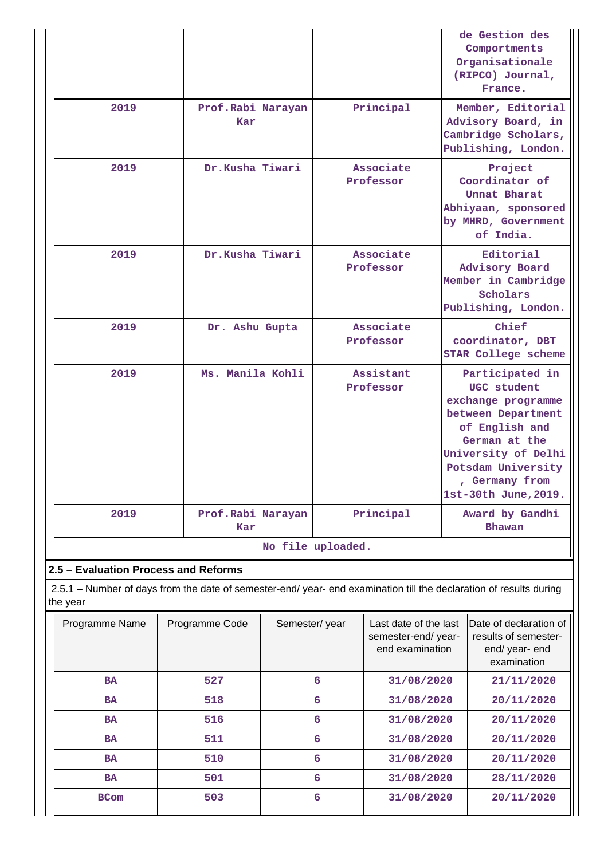|                                                                                                                                |                          |                        | de Gestion des<br>Comportments<br>Organisationale<br>(RIPCO) Journal,<br>France.                                                                                                                     |  |  |  |
|--------------------------------------------------------------------------------------------------------------------------------|--------------------------|------------------------|------------------------------------------------------------------------------------------------------------------------------------------------------------------------------------------------------|--|--|--|
| 2019                                                                                                                           | Prof.Rabi Narayan<br>Kar | Principal              | Member, Editorial<br>Advisory Board, in<br>Cambridge Scholars,<br>Publishing, London.                                                                                                                |  |  |  |
| 2019                                                                                                                           | Dr.Kusha Tiwari          | Associate<br>Professor | Project<br>Coordinator of<br>Unnat Bharat<br>Abhiyaan, sponsored<br>by MHRD, Government<br>of India.                                                                                                 |  |  |  |
| 2019                                                                                                                           | Dr.Kusha Tiwari          | Associate<br>Professor | Editorial<br>Advisory Board<br>Member in Cambridge<br>Scholars<br>Publishing, London.                                                                                                                |  |  |  |
| 2019                                                                                                                           | Dr. Ashu Gupta           | Associate<br>Professor | Chief<br>coordinator, DBT<br><b>STAR College scheme</b>                                                                                                                                              |  |  |  |
| 2019                                                                                                                           | Ms. Manila Kohli         | Assistant<br>Professor | Participated in<br>UGC student<br>exchange programme<br>between Department<br>of English and<br>German at the<br>University of Delhi<br>Potsdam University<br>, Germany from<br>1st-30th June, 2019. |  |  |  |
| 2019                                                                                                                           | Prof.Rabi Narayan<br>Kar | Principal              | Award by Gandhi<br><b>Bhawan</b>                                                                                                                                                                     |  |  |  |
|                                                                                                                                | No file uploaded.        |                        |                                                                                                                                                                                                      |  |  |  |
| 2.5 - Evaluation Process and Reforms                                                                                           |                          |                        |                                                                                                                                                                                                      |  |  |  |
| 2.5.1 – Number of days from the date of semester-end/ year- end examination till the declaration of results during<br>the year |                          |                        |                                                                                                                                                                                                      |  |  |  |

| Programme Name | Programme Code | Semester/year | Last date of the last<br>semester-end/year-<br>end examination | Date of declaration of<br>results of semester-<br>end/year-end<br>examination |
|----------------|----------------|---------------|----------------------------------------------------------------|-------------------------------------------------------------------------------|
| <b>BA</b>      | 527            | 6             | 31/08/2020                                                     | 21/11/2020                                                                    |
| <b>BA</b>      | 518            | 6             | 31/08/2020                                                     | 20/11/2020                                                                    |
| <b>BA</b>      | 516            | 6             | 31/08/2020                                                     | 20/11/2020                                                                    |
| <b>BA</b>      | 511            | 6             | 31/08/2020                                                     | 20/11/2020                                                                    |
| <b>BA</b>      | 510            | 6             | 31/08/2020                                                     | 20/11/2020                                                                    |
| <b>BA</b>      | 501            | 6             | 31/08/2020                                                     | 28/11/2020                                                                    |
| <b>BCom</b>    | 503            | 6             | 31/08/2020                                                     | 20/11/2020                                                                    |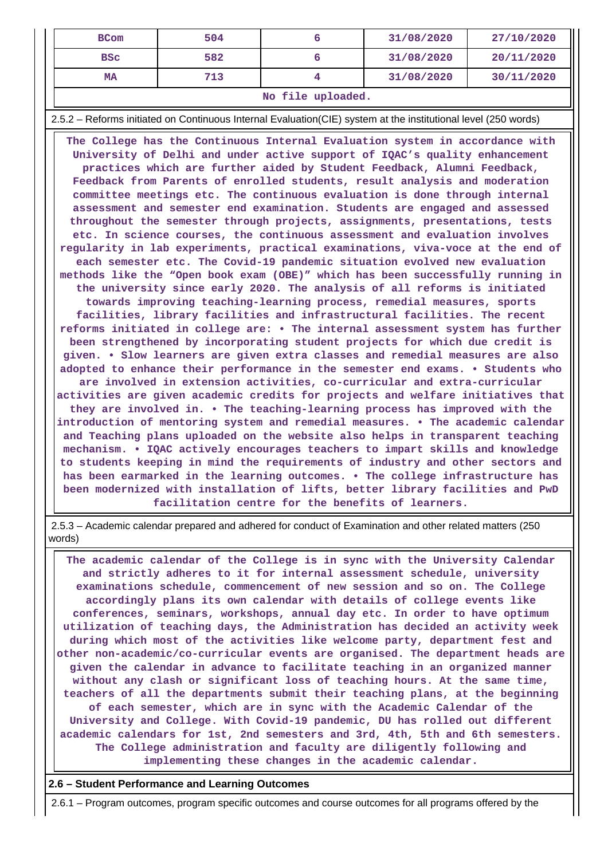| <b>BCom</b>       | 504 |  | 31/08/2020 | 27/10/2020 |  |  |
|-------------------|-----|--|------------|------------|--|--|
| <b>BSC</b>        | 582 |  | 31/08/2020 | 20/11/2020 |  |  |
| MA                | 713 |  | 31/08/2020 | 30/11/2020 |  |  |
| No file uploaded. |     |  |            |            |  |  |

2.5.2 – Reforms initiated on Continuous Internal Evaluation(CIE) system at the institutional level (250 words)

 **The College has the Continuous Internal Evaluation system in accordance with University of Delhi and under active support of IQAC's quality enhancement practices which are further aided by Student Feedback, Alumni Feedback, Feedback from Parents of enrolled students, result analysis and moderation committee meetings etc. The continuous evaluation is done through internal assessment and semester end examination. Students are engaged and assessed throughout the semester through projects, assignments, presentations, tests etc. In science courses, the continuous assessment and evaluation involves regularity in lab experiments, practical examinations, viva-voce at the end of each semester etc. The Covid-19 pandemic situation evolved new evaluation methods like the "Open book exam (OBE)" which has been successfully running in the university since early 2020. The analysis of all reforms is initiated towards improving teaching-learning process, remedial measures, sports facilities, library facilities and infrastructural facilities. The recent reforms initiated in college are: • The internal assessment system has further been strengthened by incorporating student projects for which due credit is given. • Slow learners are given extra classes and remedial measures are also adopted to enhance their performance in the semester end exams. • Students who are involved in extension activities, co-curricular and extra-curricular activities are given academic credits for projects and welfare initiatives that they are involved in. • The teaching-learning process has improved with the introduction of mentoring system and remedial measures. • The academic calendar and Teaching plans uploaded on the website also helps in transparent teaching mechanism. • IQAC actively encourages teachers to impart skills and knowledge to students keeping in mind the requirements of industry and other sectors and has been earmarked in the learning outcomes. • The college infrastructure has been modernized with installation of lifts, better library facilities and PwD facilitation centre for the benefits of learners.**

 2.5.3 – Academic calendar prepared and adhered for conduct of Examination and other related matters (250 words)

 **The academic calendar of the College is in sync with the University Calendar and strictly adheres to it for internal assessment schedule, university examinations schedule, commencement of new session and so on. The College accordingly plans its own calendar with details of college events like conferences, seminars, workshops, annual day etc. In order to have optimum utilization of teaching days, the Administration has decided an activity week during which most of the activities like welcome party, department fest and other non-academic/co-curricular events are organised. The department heads are given the calendar in advance to facilitate teaching in an organized manner without any clash or significant loss of teaching hours. At the same time, teachers of all the departments submit their teaching plans, at the beginning of each semester, which are in sync with the Academic Calendar of the University and College. With Covid-19 pandemic, DU has rolled out different academic calendars for 1st, 2nd semesters and 3rd, 4th, 5th and 6th semesters. The College administration and faculty are diligently following and implementing these changes in the academic calendar.**

#### **2.6 – Student Performance and Learning Outcomes**

2.6.1 – Program outcomes, program specific outcomes and course outcomes for all programs offered by the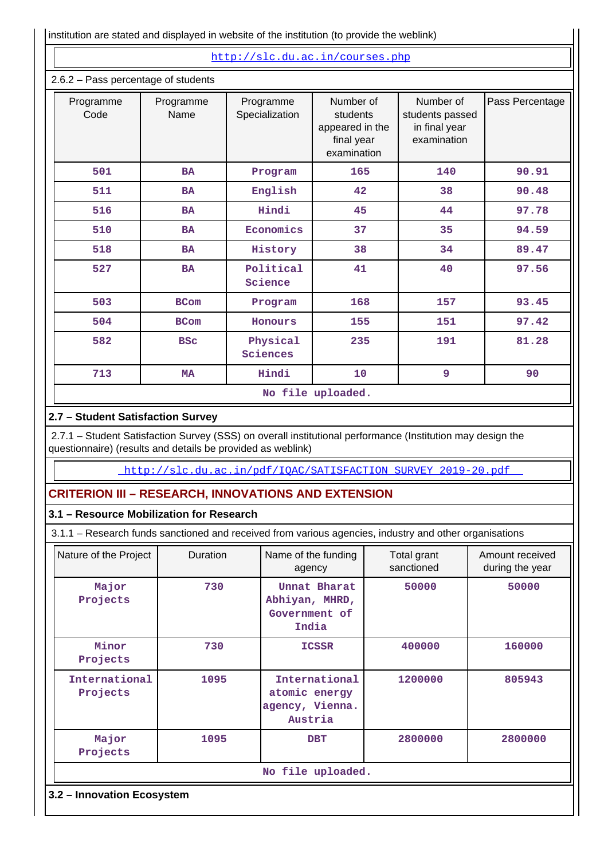| institution are stated and displayed in website of the institution (to provide the weblink)                                                                               |                   |      |                             |                                                                       |     |                                                              |                                    |  |
|---------------------------------------------------------------------------------------------------------------------------------------------------------------------------|-------------------|------|-----------------------------|-----------------------------------------------------------------------|-----|--------------------------------------------------------------|------------------------------------|--|
|                                                                                                                                                                           |                   |      |                             | http://slc.du.ac.in/courses.php                                       |     |                                                              |                                    |  |
| 2.6.2 - Pass percentage of students                                                                                                                                       |                   |      |                             |                                                                       |     |                                                              |                                    |  |
| Programme<br>Code                                                                                                                                                         | Programme<br>Name |      | Programme<br>Specialization | Number of<br>students<br>appeared in the<br>final year<br>examination |     | Number of<br>students passed<br>in final year<br>examination | Pass Percentage                    |  |
| 501                                                                                                                                                                       | <b>BA</b>         |      | Program                     | 165                                                                   |     | 140                                                          | 90.91                              |  |
| 511                                                                                                                                                                       | BA                |      | English                     | 42                                                                    |     | 38                                                           | 90.48                              |  |
| 516                                                                                                                                                                       | BA                |      | Hindi                       | 45                                                                    |     | 44                                                           | 97.78                              |  |
| 510                                                                                                                                                                       | <b>BA</b>         |      | Economics                   | 37                                                                    |     | 35                                                           | 94.59                              |  |
| 518                                                                                                                                                                       | BA                |      | History                     | 38                                                                    |     | 34                                                           | 89.47                              |  |
| 527                                                                                                                                                                       | <b>BA</b>         |      | Political<br>Science        | 41                                                                    |     | 40                                                           | 97.56                              |  |
| 503                                                                                                                                                                       | <b>BCom</b>       |      | Program                     |                                                                       | 168 |                                                              | 93.45                              |  |
| 504                                                                                                                                                                       | <b>BCom</b>       |      | Honours                     | 155                                                                   |     | 151                                                          | 97.42                              |  |
| 582                                                                                                                                                                       | <b>BSC</b>        |      | Physical<br>Sciences        | 235                                                                   |     | 191                                                          | 81.28                              |  |
| 713                                                                                                                                                                       | <b>MA</b>         |      | Hindi                       | 10                                                                    |     | 9                                                            | 90                                 |  |
|                                                                                                                                                                           |                   |      |                             | No file uploaded.                                                     |     |                                                              |                                    |  |
| 2.7 - Student Satisfaction Survey                                                                                                                                         |                   |      |                             |                                                                       |     |                                                              |                                    |  |
| 2.7.1 - Student Satisfaction Survey (SSS) on overall institutional performance (Institution may design the<br>questionnaire) (results and details be provided as weblink) |                   |      |                             |                                                                       |     |                                                              |                                    |  |
|                                                                                                                                                                           |                   |      |                             |                                                                       |     | http://slc.du.ac.in/pdf/IQAC/SATISFACTION SURVEY 2019-20.pdf |                                    |  |
| <b>CRITERION III - RESEARCH, INNOVATIONS AND EXTENSION</b>                                                                                                                |                   |      |                             |                                                                       |     |                                                              |                                    |  |
| 3.1 - Resource Mobilization for Research                                                                                                                                  |                   |      |                             |                                                                       |     |                                                              |                                    |  |
| 3.1.1 - Research funds sanctioned and received from various agencies, industry and other organisations                                                                    |                   |      |                             |                                                                       |     |                                                              |                                    |  |
| Nature of the Project                                                                                                                                                     | Duration          |      | Name of the funding         |                                                                       |     | Total grant<br>sanctioned                                    | Amount received<br>during the year |  |
| Major<br>Projects                                                                                                                                                         |                   | 730  |                             | agency<br>Unnat Bharat<br>Abhiyan, MHRD,<br>Government of<br>India    |     | 50000                                                        | 50000                              |  |
| Minor<br>Projects                                                                                                                                                         |                   | 730  |                             | <b>ICSSR</b>                                                          |     | 400000                                                       | 160000                             |  |
| International<br>Projects                                                                                                                                                 |                   | 1095 | agency, Vienna.             | International<br>atomic energy<br>Austria                             |     | 1200000                                                      | 805943                             |  |

**No file uploaded.**

 **1095 DBT 2800000 2800000**

**3.2 – Innovation Ecosystem**

 **Major Projects**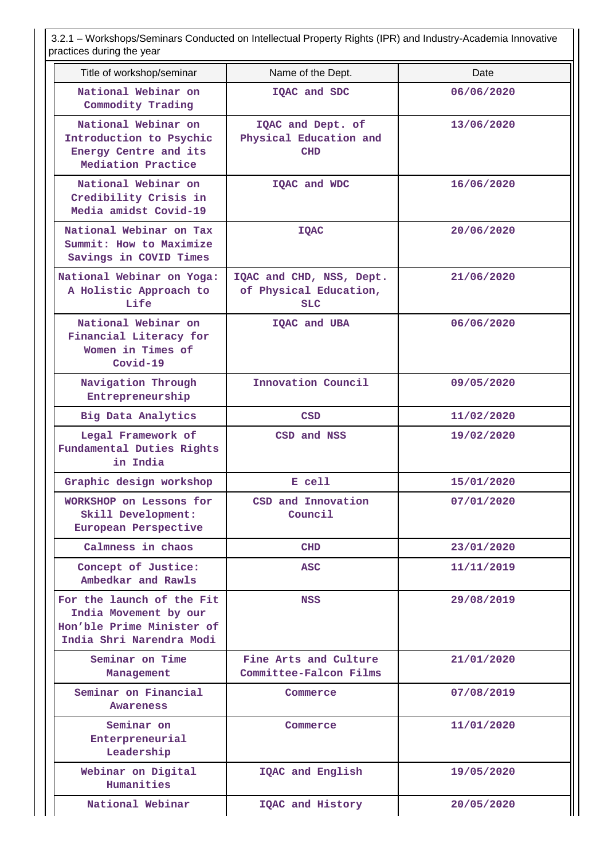3.2.1 – Workshops/Seminars Conducted on Intellectual Property Rights (IPR) and Industry-Academia Innovative practices during the year

| praotiooo aaring tho your                                                                                   |                                                                  |            |
|-------------------------------------------------------------------------------------------------------------|------------------------------------------------------------------|------------|
| Title of workshop/seminar                                                                                   | Name of the Dept.                                                | Date       |
| National Webinar on<br>Commodity Trading                                                                    | IQAC and SDC                                                     | 06/06/2020 |
| National Webinar on<br>Introduction to Psychic<br>Energy Centre and its<br>Mediation Practice               | IQAC and Dept. of<br>Physical Education and<br><b>CHD</b>        | 13/06/2020 |
| National Webinar on<br>Credibility Crisis in<br>Media amidst Covid-19                                       | IQAC and WDC                                                     | 16/06/2020 |
| National Webinar on Tax<br>Summit: How to Maximize<br>Savings in COVID Times                                | <b>IQAC</b>                                                      | 20/06/2020 |
| National Webinar on Yoga:<br>A Holistic Approach to<br>Life                                                 | IQAC and CHD, NSS, Dept.<br>of Physical Education,<br><b>SLC</b> | 21/06/2020 |
| National Webinar on<br>Financial Literacy for<br>Women in Times of<br>$Covid-19$                            | IQAC and UBA                                                     | 06/06/2020 |
| Navigation Through<br>Entrepreneurship                                                                      | Innovation Council                                               | 09/05/2020 |
| Big Data Analytics                                                                                          | <b>CSD</b>                                                       | 11/02/2020 |
| Legal Framework of<br>Fundamental Duties Rights<br>in India                                                 | CSD and NSS                                                      | 19/02/2020 |
| Graphic design workshop                                                                                     | E cell                                                           | 15/01/2020 |
| WORKSHOP on Lessons for<br>Skill Development:<br>European Perspective                                       | CSD and Innovation<br>Council                                    | 07/01/2020 |
| Calmness in chaos                                                                                           | <b>CHD</b>                                                       | 23/01/2020 |
| Concept of Justice:<br>Ambedkar and Rawls                                                                   | <b>ASC</b>                                                       | 11/11/2019 |
| For the launch of the Fit<br>India Movement by our<br>Hon'ble Prime Minister of<br>India Shri Narendra Modi | NSS                                                              | 29/08/2019 |
| Seminar on Time<br>Management                                                                               | Fine Arts and Culture<br>Committee-Falcon Films                  | 21/01/2020 |
| Seminar on Financial<br><b>Awareness</b>                                                                    | Commerce                                                         | 07/08/2019 |
| Seminar on<br>Enterpreneurial<br>Leadership                                                                 | Commerce                                                         | 11/01/2020 |
| Webinar on Digital<br>Humanities                                                                            | IQAC and English                                                 | 19/05/2020 |
| National Webinar                                                                                            | IQAC and History                                                 | 20/05/2020 |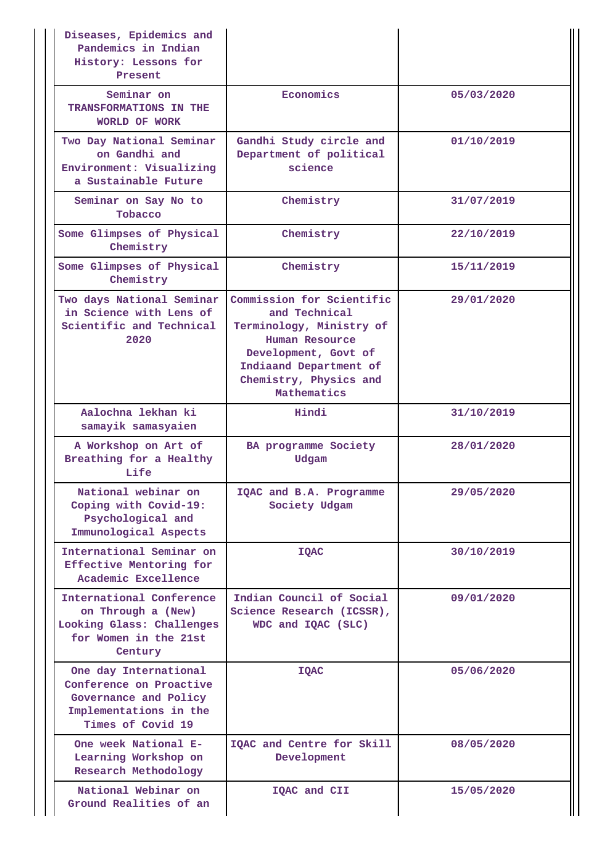| Diseases, Epidemics and<br>Pandemics in Indian<br>History: Lessons for<br>Present                                        |                                                                                                                                                                                     |            |
|--------------------------------------------------------------------------------------------------------------------------|-------------------------------------------------------------------------------------------------------------------------------------------------------------------------------------|------------|
| Seminar on<br>TRANSFORMATIONS IN THE<br>WORLD OF WORK                                                                    | Economics                                                                                                                                                                           | 05/03/2020 |
| Two Day National Seminar<br>on Gandhi and<br>Environment: Visualizing<br>a Sustainable Future                            | Gandhi Study circle and<br>Department of political<br>science                                                                                                                       | 01/10/2019 |
| Seminar on Say No to<br>Tobacco                                                                                          | Chemistry                                                                                                                                                                           | 31/07/2019 |
| Some Glimpses of Physical<br>Chemistry                                                                                   | Chemistry                                                                                                                                                                           | 22/10/2019 |
| Some Glimpses of Physical<br>Chemistry                                                                                   | Chemistry                                                                                                                                                                           | 15/11/2019 |
| Two days National Seminar<br>in Science with Lens of<br>Scientific and Technical<br>2020                                 | Commission for Scientific<br>and Technical<br>Terminology, Ministry of<br>Human Resource<br>Development, Govt of<br>Indiaand Department of<br>Chemistry, Physics and<br>Mathematics | 29/01/2020 |
| Aalochna lekhan ki<br>samayik samasyaien                                                                                 | Hindi                                                                                                                                                                               | 31/10/2019 |
| A Workshop on Art of<br>Breathing for a Healthy<br>Life                                                                  | BA programme Society<br>Udgam                                                                                                                                                       | 28/01/2020 |
| National webinar on<br>Coping with Covid-19:<br>Psychological and<br>Immunological Aspects                               | IQAC and B.A. Programme<br>Society Udgam                                                                                                                                            | 29/05/2020 |
| International Seminar on<br>Effective Mentoring for<br>Academic Excellence                                               | <b>IQAC</b>                                                                                                                                                                         | 30/10/2019 |
| International Conference<br>on Through a (New)<br>Looking Glass: Challenges<br>for Women in the 21st<br>Century          | Indian Council of Social<br>Science Research (ICSSR),<br>WDC and IQAC (SLC)                                                                                                         | 09/01/2020 |
| One day International<br>Conference on Proactive<br>Governance and Policy<br>Implementations in the<br>Times of Covid 19 | <b>IQAC</b>                                                                                                                                                                         | 05/06/2020 |
| One week National E-<br>Learning Workshop on<br>Research Methodology                                                     | IQAC and Centre for Skill<br>Development                                                                                                                                            | 08/05/2020 |
| National Webinar on<br>Ground Realities of an                                                                            | IQAC and CII                                                                                                                                                                        | 15/05/2020 |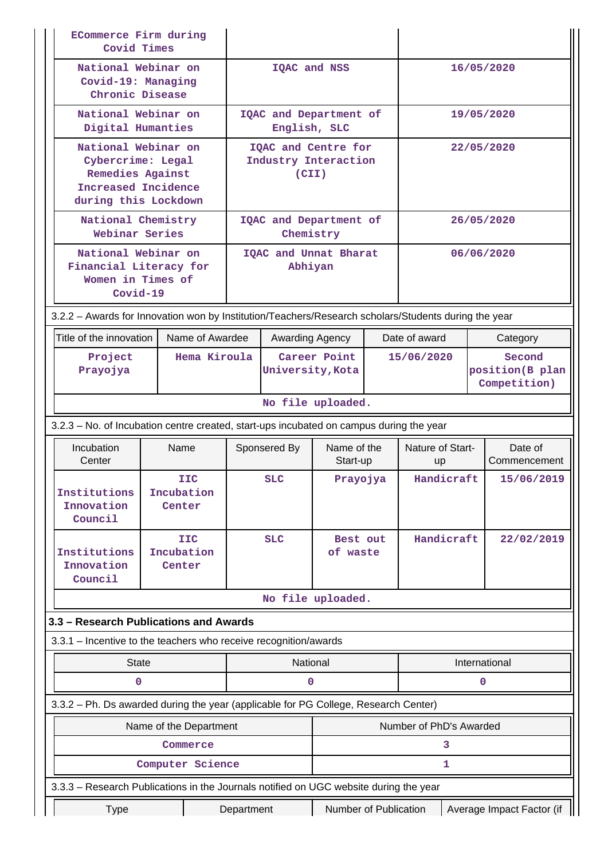| <b>ECommerce Firm during</b><br>Covid Times                                                          |                                                                                |                        |                                  |                                        |                         |            |                           |                                           |                         |  |
|------------------------------------------------------------------------------------------------------|--------------------------------------------------------------------------------|------------------------|----------------------------------|----------------------------------------|-------------------------|------------|---------------------------|-------------------------------------------|-------------------------|--|
|                                                                                                      | National Webinar on<br>Covid-19: Managing<br>Chronic Disease                   |                        |                                  | IQAC and NSS                           |                         |            |                           | 16/05/2020                                |                         |  |
|                                                                                                      | National Webinar on<br>Digital Humanties                                       |                        |                                  | IQAC and Department of<br>English, SLC |                         |            |                           | 19/05/2020                                |                         |  |
| National Webinar on                                                                                  |                                                                                |                        |                                  | IQAC and Centre for                    |                         |            |                           |                                           | 22/05/2020              |  |
| Cybercrime: Legal<br>Remedies Against<br>Increased Incidence<br>during this Lockdown                 |                                                                                |                        | Industry Interaction<br>(CII)    |                                        |                         |            |                           |                                           |                         |  |
| National Chemistry<br>Webinar Series                                                                 |                                                                                |                        |                                  | IQAC and Department of<br>Chemistry    |                         |            |                           |                                           | 26/05/2020              |  |
|                                                                                                      | National Webinar on<br>Financial Literacy for<br>Women in Times of<br>Covid-19 |                        |                                  | IQAC and Unnat Bharat<br>Abhiyan       |                         |            |                           | 06/06/2020                                |                         |  |
| 3.2.2 - Awards for Innovation won by Institution/Teachers/Research scholars/Students during the year |                                                                                |                        |                                  |                                        |                         |            |                           |                                           |                         |  |
| Title of the innovation                                                                              |                                                                                | Name of Awardee        |                                  | Awarding Agency                        |                         |            | Date of award             |                                           | Category                |  |
| Project<br>Prayojya                                                                                  |                                                                                | Hema Kiroula           | Career Point<br>University, Kota |                                        |                         | 15/06/2020 |                           | Second<br>position(B plan<br>Competition) |                         |  |
|                                                                                                      |                                                                                |                        |                                  |                                        | No file uploaded.       |            |                           |                                           |                         |  |
| 3.2.3 – No. of Incubation centre created, start-ups incubated on campus during the year              |                                                                                |                        |                                  |                                        |                         |            |                           |                                           |                         |  |
| Incubation<br>Center                                                                                 | Name                                                                           |                        | Sponsered By                     |                                        | Name of the<br>Start-up |            | Nature of Start-<br>up    |                                           | Date of<br>Commencement |  |
| Institutions<br>Innovation<br>Council                                                                | Incubation<br>Center                                                           | <b>IIC</b>             |                                  | <b>SLC</b>                             | Prayojya                |            | Handicraft                |                                           | 15/06/2019              |  |
| Institutions<br>Innovation<br>Council                                                                | Incubation<br>Center                                                           | <b>IIC</b>             |                                  | <b>SLC</b>                             | Best out<br>of waste    |            | Handicraft                |                                           | 22/02/2019              |  |
|                                                                                                      |                                                                                |                        |                                  |                                        | No file uploaded.       |            |                           |                                           |                         |  |
| 3.3 – Research Publications and Awards                                                               |                                                                                |                        |                                  |                                        |                         |            |                           |                                           |                         |  |
| 3.3.1 – Incentive to the teachers who receive recognition/awards                                     |                                                                                |                        |                                  |                                        |                         |            |                           |                                           |                         |  |
| <b>State</b><br>0                                                                                    |                                                                                |                        |                                  | National<br>0                          |                         |            |                           |                                           | International<br>0      |  |
| 3.3.2 - Ph. Ds awarded during the year (applicable for PG College, Research Center)                  |                                                                                |                        |                                  |                                        |                         |            |                           |                                           |                         |  |
|                                                                                                      |                                                                                | Name of the Department |                                  |                                        |                         |            | Number of PhD's Awarded   |                                           |                         |  |
|                                                                                                      |                                                                                | Commerce               |                                  |                                        |                         |            |                           | 3                                         |                         |  |
|                                                                                                      |                                                                                | Computer Science       |                                  |                                        |                         |            |                           | 1                                         |                         |  |
| 3.3.3 - Research Publications in the Journals notified on UGC website during the year                |                                                                                |                        |                                  |                                        |                         |            |                           |                                           |                         |  |
| <b>Type</b>                                                                                          |                                                                                |                        | Department                       |                                        | Number of Publication   |            | Average Impact Factor (if |                                           |                         |  |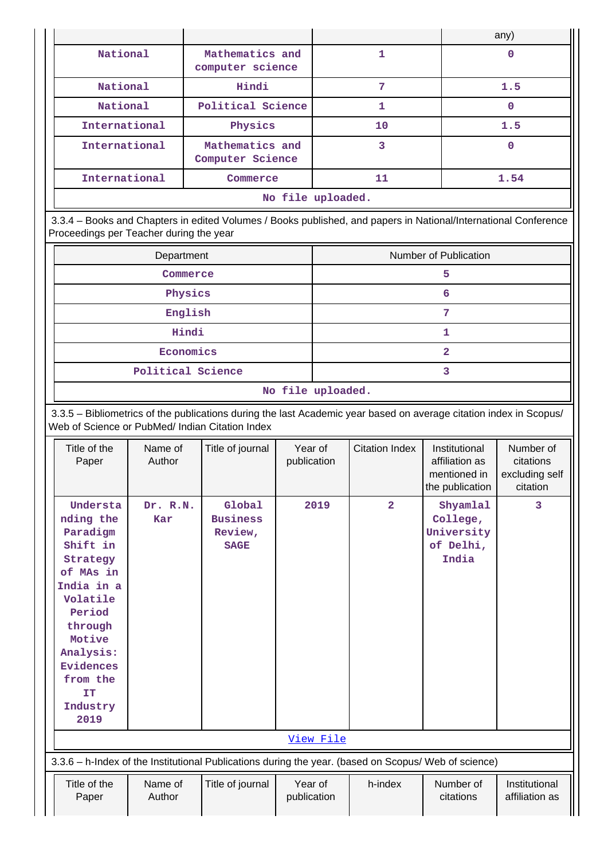|               |                                     |    | any) |  |  |  |  |  |
|---------------|-------------------------------------|----|------|--|--|--|--|--|
| National      | Mathematics and<br>computer science |    |      |  |  |  |  |  |
| National      | Hindi                               | 7  | 1.5  |  |  |  |  |  |
| National      | Political Science                   |    | 0    |  |  |  |  |  |
| International | Physics                             | 10 | 1.5  |  |  |  |  |  |
| International | Mathematics and<br>Computer Science | 3  | 0    |  |  |  |  |  |
| International | Commerce                            | 11 | 1.54 |  |  |  |  |  |
|               | No file uploaded.                   |    |      |  |  |  |  |  |

 3.3.4 – Books and Chapters in edited Volumes / Books published, and papers in National/International Conference Proceedings per Teacher during the year

| Department        | Number of Publication |
|-------------------|-----------------------|
| Commerce          |                       |
| Physics           | 6                     |
| English           |                       |
| Hindi             |                       |
| Economics         |                       |
| Political Science |                       |

**No file uploaded.**

 3.3.5 – Bibliometrics of the publications during the last Academic year based on average citation index in Scopus/ Web of Science or PubMed/ Indian Citation Index

| Title of the<br>Paper                                                                                                                                                                                  | Name of<br>Author | Title of journal                                                                                     | Year of<br>publication | <b>Citation Index</b> | Institutional<br>affiliation as<br>mentioned in<br>the publication | Number of<br>citations<br>excluding self<br>citation |
|--------------------------------------------------------------------------------------------------------------------------------------------------------------------------------------------------------|-------------------|------------------------------------------------------------------------------------------------------|------------------------|-----------------------|--------------------------------------------------------------------|------------------------------------------------------|
| Understa<br>nding the<br>Paradigm<br>Shift in<br>Strategy<br>of MAs in<br>India in a<br>Volatile<br>Period<br>through<br>Motive<br>Analysis:<br><b>Evidences</b><br>from the<br>IT<br>Industry<br>2019 | Dr. R.N.<br>Kar   | Global<br><b>Business</b><br>Review,<br><b>SAGE</b>                                                  | 2019                   | $\overline{2}$        | Shyamlal<br>College,<br>University<br>of Delhi,<br>India           | 3                                                    |
|                                                                                                                                                                                                        |                   |                                                                                                      | View File              |                       |                                                                    |                                                      |
|                                                                                                                                                                                                        |                   | 3.3.6 - h-Index of the Institutional Publications during the year. (based on Scopus/ Web of science) |                        |                       |                                                                    |                                                      |
| Title of the<br>Paper                                                                                                                                                                                  | Name of<br>Author | Title of journal                                                                                     | Year of<br>publication | h-index               | Number of<br>citations                                             | Institutional<br>affiliation as                      |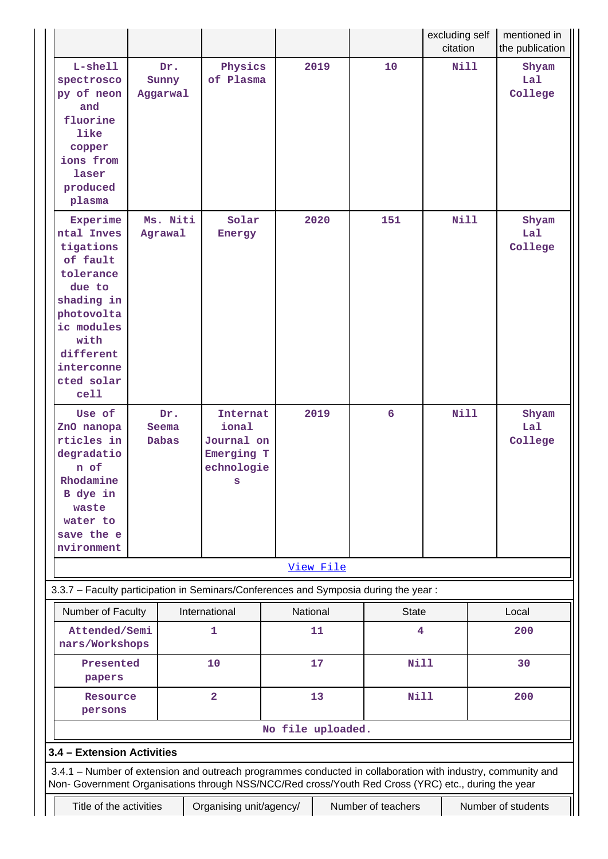|                                                                                                                                                                                                                    |                              |                                                                  |                   |           |                    | excluding self<br>citation | mentioned in<br>the publication |
|--------------------------------------------------------------------------------------------------------------------------------------------------------------------------------------------------------------------|------------------------------|------------------------------------------------------------------|-------------------|-----------|--------------------|----------------------------|---------------------------------|
| L-shell<br>spectrosco<br>py of neon<br>and<br>fluorine<br>like<br>copper<br>ions from<br>laser<br>produced<br>plasma                                                                                               | Dr.<br>Sunny<br>Aggarwal     | Physics<br>of Plasma                                             |                   | 2019      | 10                 | Nill                       | Shyam<br>Lal<br>College         |
| Experime<br>ntal Inves<br>tigations<br>of fault<br>tolerance<br>due to<br>shading in<br>photovolta<br>ic modules<br>with<br>different<br>interconne<br>cted solar<br>cell                                          | Ms. Niti<br>Agrawal          | Solar<br>Energy                                                  |                   | 2020      | 151                | <b>Nill</b>                | Shyam<br>Lal<br>College         |
| Use of<br>ZnO nanopa<br>rticles in<br>degradatio<br>n of<br>Rhodamine<br>B dye in<br>waste<br>water to<br>save the e<br>nvironment                                                                                 | Dr.<br>Seema<br><b>Dabas</b> | Internat<br>ional<br>Journal on<br>Emerging T<br>echnologie<br>s |                   | 2019      | 6                  | <b>Nill</b>                | Shyam<br>Lal<br>College         |
|                                                                                                                                                                                                                    |                              |                                                                  |                   | View File |                    |                            |                                 |
| 3.3.7 - Faculty participation in Seminars/Conferences and Symposia during the year:                                                                                                                                |                              |                                                                  |                   |           |                    |                            |                                 |
| Number of Faculty                                                                                                                                                                                                  |                              | International                                                    | National          |           | <b>State</b>       |                            | Local                           |
| Attended/Semi<br>nars/Workshops                                                                                                                                                                                    |                              | 1                                                                |                   | 11        | 4                  |                            | 200                             |
| Presented<br>papers                                                                                                                                                                                                |                              | 10                                                               |                   | 17        | Nill               |                            | 30                              |
| Resource<br>persons                                                                                                                                                                                                |                              | $\overline{\mathbf{2}}$                                          |                   | 13        | <b>Nill</b>        |                            | 200                             |
|                                                                                                                                                                                                                    |                              |                                                                  | No file uploaded. |           |                    |                            |                                 |
| 3.4 - Extension Activities                                                                                                                                                                                         |                              |                                                                  |                   |           |                    |                            |                                 |
| 3.4.1 – Number of extension and outreach programmes conducted in collaboration with industry, community and<br>Non- Government Organisations through NSS/NCC/Red cross/Youth Red Cross (YRC) etc., during the year |                              |                                                                  |                   |           |                    |                            |                                 |
| Title of the activities                                                                                                                                                                                            |                              | Organising unit/agency/                                          |                   |           | Number of teachers |                            | Number of students              |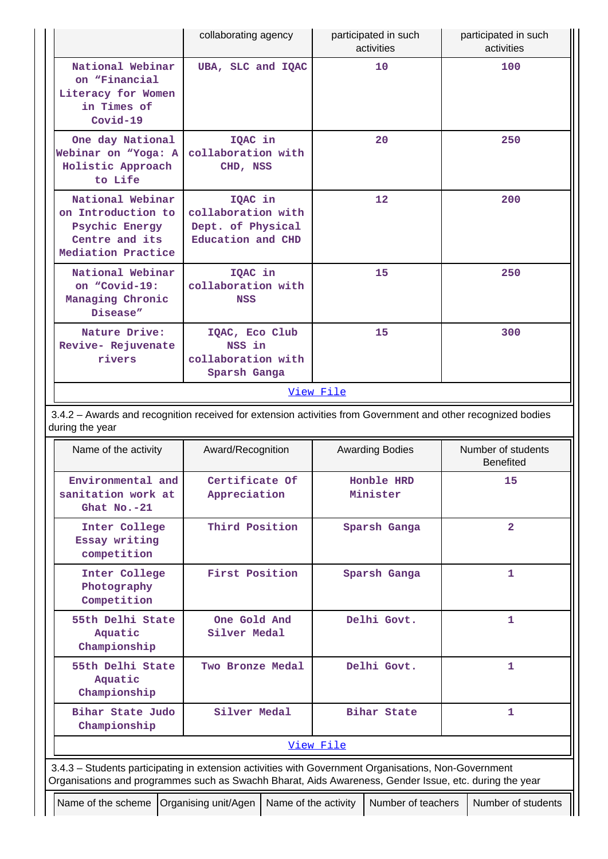|                                                                                                                                                                                                                | collaborating agency                                                    | participated in such<br>activities | participated in such<br>activities     |
|----------------------------------------------------------------------------------------------------------------------------------------------------------------------------------------------------------------|-------------------------------------------------------------------------|------------------------------------|----------------------------------------|
| National Webinar<br>on "Financial<br>Literacy for Women<br>in Times of<br>$Covid-19$                                                                                                                           | UBA, SLC and IQAC                                                       | 10                                 | 100                                    |
| One day National<br>Webinar on "Yoga: A<br>Holistic Approach<br>to Life                                                                                                                                        | IQAC in<br>collaboration with<br>CHD, NSS                               | 20                                 | 250                                    |
| National Webinar<br>on Introduction to<br>Psychic Energy<br>Centre and its<br>Mediation Practice                                                                                                               | IQAC in<br>collaboration with<br>Dept. of Physical<br>Education and CHD | $12 \,$                            | 200                                    |
| National Webinar<br>on "Covid-19:<br>Managing Chronic<br>Disease"                                                                                                                                              | IQAC in<br>collaboration with<br><b>NSS</b>                             | 15                                 | 250                                    |
| Nature Drive:<br>Revive- Rejuvenate<br>rivers                                                                                                                                                                  | IQAC, Eco Club<br>NSS in<br>collaboration with<br>Sparsh Ganga          | 15                                 | 300                                    |
|                                                                                                                                                                                                                |                                                                         | View File                          |                                        |
| 3.4.2 - Awards and recognition received for extension activities from Government and other recognized bodies<br>during the year                                                                                |                                                                         |                                    |                                        |
| Name of the activity                                                                                                                                                                                           | Award/Recognition                                                       | <b>Awarding Bodies</b>             | Number of students<br><b>Benefited</b> |
| Environmental and<br>sanitation work at<br>Ghat No.-21                                                                                                                                                         | Certificate Of<br>Appreciation                                          | Honble HRD<br>Minister             | 15                                     |
|                                                                                                                                                                                                                |                                                                         |                                    |                                        |
| Inter College<br>Essay writing<br>competition                                                                                                                                                                  | Third Position                                                          | Sparsh Ganga                       | $\overline{2}$                         |
| Inter College<br>Photography<br>Competition                                                                                                                                                                    | First Position                                                          | Sparsh Ganga                       | 1.                                     |
| 55th Delhi State<br>Aquatic<br>Championship                                                                                                                                                                    | One Gold And<br>Silver Medal                                            | Delhi Govt.                        | 1                                      |
| 55th Delhi State<br>Aquatic<br>Championship                                                                                                                                                                    | Two Bronze Medal                                                        | Delhi Govt.                        | $\mathbf{1}$                           |
| Bihar State Judo<br>Championship                                                                                                                                                                               | Silver Medal                                                            | Bihar State                        | 1                                      |
|                                                                                                                                                                                                                |                                                                         | View File                          |                                        |
| 3.4.3 - Students participating in extension activities with Government Organisations, Non-Government<br>Organisations and programmes such as Swachh Bharat, Aids Awareness, Gender Issue, etc. during the year |                                                                         |                                    |                                        |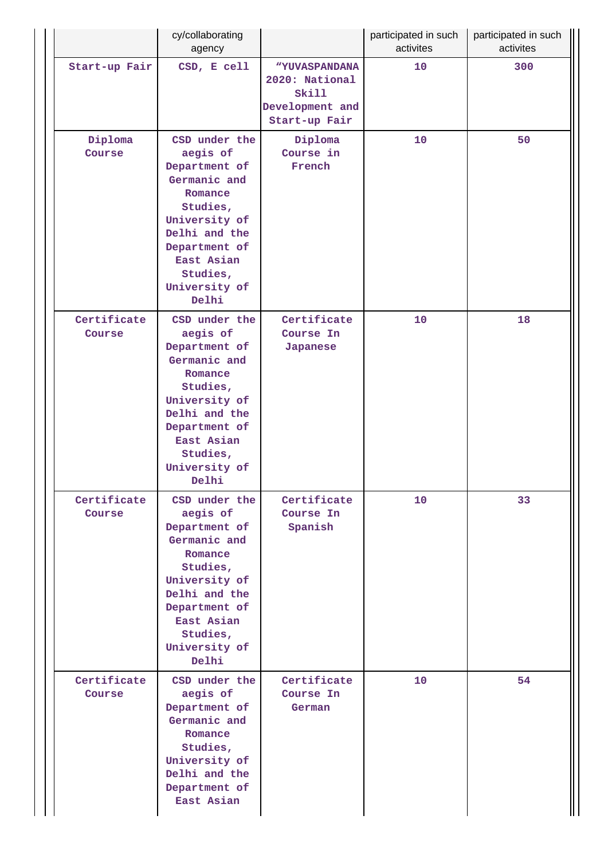|                       | cy/collaborating<br>agency                                                                                                                                                               |                                                                              | participated in such<br>activites | participated in such<br>activites |
|-----------------------|------------------------------------------------------------------------------------------------------------------------------------------------------------------------------------------|------------------------------------------------------------------------------|-----------------------------------|-----------------------------------|
| Start-up Fair         | CSD, E cell                                                                                                                                                                              | "YUVASPANDANA<br>2020: National<br>Skill<br>Development and<br>Start-up Fair | 10                                | 300                               |
| Diploma<br>Course     | CSD under the<br>aegis of<br>Department of<br>Germanic and<br>Romance<br>Studies,<br>University of<br>Delhi and the<br>Department of<br>East Asian<br>Studies,<br>University of<br>Delhi | Diploma<br>Course in<br>French                                               | 10                                | 50                                |
| Certificate<br>Course | CSD under the<br>aegis of<br>Department of<br>Germanic and<br>Romance<br>Studies,<br>University of<br>Delhi and the<br>Department of<br>East Asian<br>Studies,<br>University of<br>Delhi | Certificate<br>Course In<br>Japanese                                         | 10                                | 18                                |
| Certificate<br>Course | CSD under the<br>aegis of<br>Department of<br>Germanic and<br>Romance<br>Studies,<br>University of<br>Delhi and the<br>Department of<br>East Asian<br>Studies,<br>University of<br>Delhi | Certificate<br>Course In<br>Spanish                                          | 10 <sup>°</sup>                   | 33                                |
| Certificate<br>Course | CSD under the<br>aegis of<br>Department of<br>Germanic and<br>Romance<br>Studies,<br>University of<br>Delhi and the<br>Department of<br>East Asian                                       | Certificate<br>Course In<br>German                                           | 10 <sub>1</sub>                   | 54                                |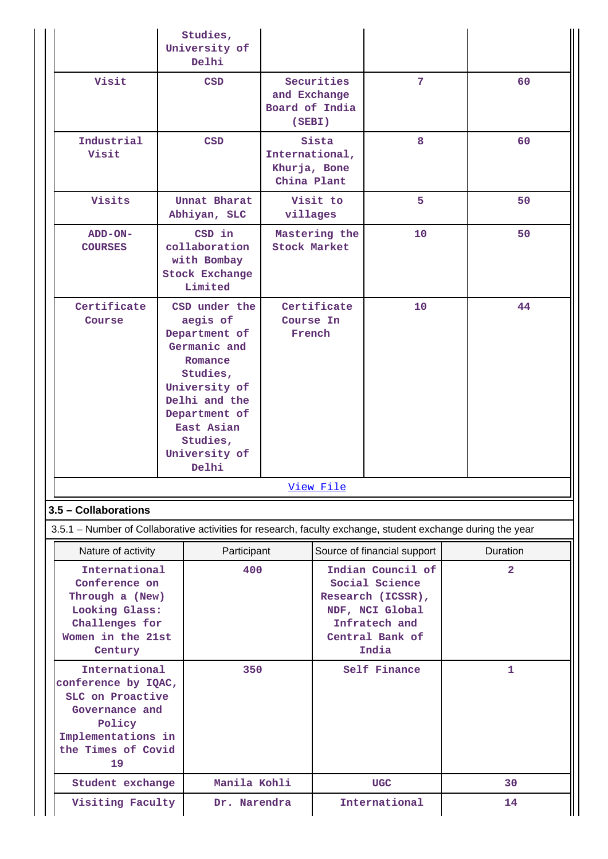|                                                                                                                                        | Studies,<br>University of<br>Delhi                                                                                                                                                       |                                      |                                                        |                                                                                                                          |                |  |
|----------------------------------------------------------------------------------------------------------------------------------------|------------------------------------------------------------------------------------------------------------------------------------------------------------------------------------------|--------------------------------------|--------------------------------------------------------|--------------------------------------------------------------------------------------------------------------------------|----------------|--|
| Visit                                                                                                                                  | <b>CSD</b>                                                                                                                                                                               |                                      | Securities<br>and Exchange<br>Board of India<br>(SEBI) | 7                                                                                                                        | 60             |  |
| Industrial<br>Visit                                                                                                                    | <b>CSD</b>                                                                                                                                                                               |                                      | Sista<br>International,<br>Khurja, Bone<br>China Plant | 8                                                                                                                        | 60             |  |
| Visits                                                                                                                                 | Unnat Bharat<br>Abhiyan, SLC                                                                                                                                                             |                                      | Visit to<br>villages                                   | 5                                                                                                                        | 50             |  |
| ADD-ON-<br><b>COURSES</b>                                                                                                              | CSD in<br>collaboration<br>with Bombay<br><b>Stock Exchange</b><br>Limited                                                                                                               | Mastering the<br><b>Stock Market</b> |                                                        | 10                                                                                                                       | 50             |  |
| Certificate<br>Course                                                                                                                  | CSD under the<br>aegis of<br>Department of<br>Germanic and<br>Romance<br>Studies,<br>University of<br>Delhi and the<br>Department of<br>East Asian<br>Studies,<br>University of<br>Delhi | Certificate<br>Course In<br>French   |                                                        | 10                                                                                                                       | 44             |  |
|                                                                                                                                        |                                                                                                                                                                                          |                                      | View File                                              |                                                                                                                          |                |  |
| 3.5 - Collaborations                                                                                                                   |                                                                                                                                                                                          |                                      |                                                        |                                                                                                                          |                |  |
| 3.5.1 – Number of Collaborative activities for research, faculty exchange, student exchange during the year                            |                                                                                                                                                                                          |                                      |                                                        |                                                                                                                          |                |  |
| Nature of activity                                                                                                                     |                                                                                                                                                                                          | Participant                          |                                                        | Source of financial support                                                                                              | Duration       |  |
| Century                                                                                                                                | International<br>Conference on<br>Through a (New)<br>Looking Glass:<br>Challenges for<br>Women in the 21st                                                                               |                                      |                                                        | Indian Council of<br>Social Science<br>Research (ICSSR),<br>NDF, NCI Global<br>Infratech and<br>Central Bank of<br>India | $\overline{2}$ |  |
| International<br>conference by IQAC,<br>SLC on Proactive<br>Governance and<br>Policy<br>Implementations in<br>the Times of Covid<br>19 |                                                                                                                                                                                          | 350                                  |                                                        | Self Finance                                                                                                             | $\mathbf{1}$   |  |
| Student exchange                                                                                                                       |                                                                                                                                                                                          | Manila Kohli                         |                                                        | <b>UGC</b>                                                                                                               | 30             |  |
| Visiting Faculty                                                                                                                       |                                                                                                                                                                                          | Dr. Narendra                         |                                                        | International                                                                                                            | 14             |  |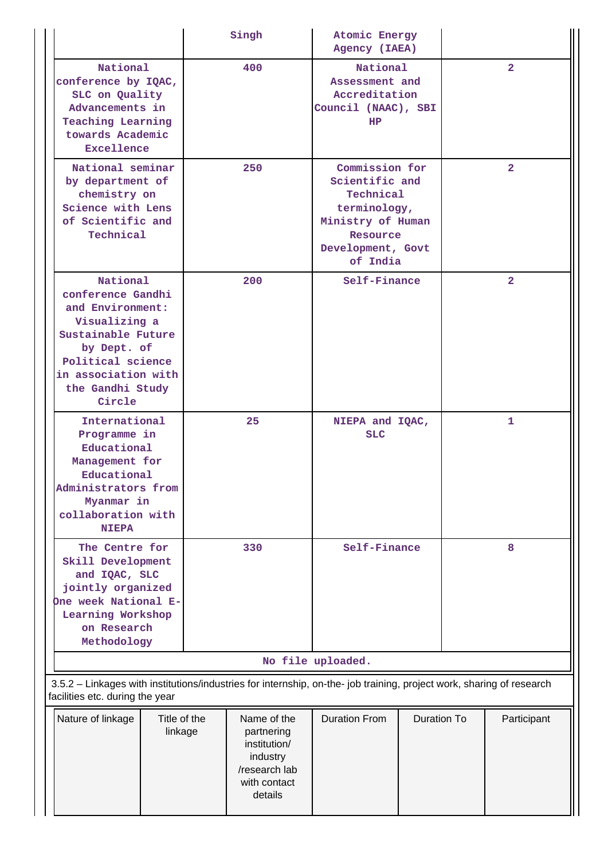|                                                                                                                                                                                   |                         | Singh                                                                                             | Atomic Energy<br>Agency (IAEA)                                                                                                  |                            |                |                |  |
|-----------------------------------------------------------------------------------------------------------------------------------------------------------------------------------|-------------------------|---------------------------------------------------------------------------------------------------|---------------------------------------------------------------------------------------------------------------------------------|----------------------------|----------------|----------------|--|
| National<br>conference by IQAC,<br>SLC on Quality<br>Advancements in<br><b>Teaching Learning</b><br>towards Academic<br>Excellence                                                |                         | 400                                                                                               | National<br>Assessment and<br>Accreditation<br>Council (NAAC), SBI<br>HP                                                        |                            |                | $\overline{2}$ |  |
| National seminar<br>by department of<br>chemistry on<br>Science with Lens<br>of Scientific and<br>Technical                                                                       |                         | 250                                                                                               | Commission for<br>Scientific and<br>Technical<br>terminology,<br>Ministry of Human<br>Resource<br>Development, Govt<br>of India |                            | $\overline{2}$ |                |  |
| National<br>conference Gandhi<br>and Environment:<br>Visualizing a<br>Sustainable Future<br>by Dept. of<br>Political science<br>in association with<br>the Gandhi Study<br>Circle |                         | 200                                                                                               | Self-Finance                                                                                                                    |                            | $\overline{2}$ |                |  |
| International<br>Programme in<br>Educational<br>Management for<br>Educational<br>Administrators from<br>Myanmar in<br>collaboration with<br><b>NIEPA</b>                          |                         | 25                                                                                                | NIEPA and IQAC,<br><b>SLC</b>                                                                                                   |                            | 1              |                |  |
| The Centre for<br>Skill Development<br>and IQAC, SLC<br>jointly organized<br>One week National E-<br>Learning Workshop<br>on Research<br>Methodology                              |                         | 330                                                                                               | Self-Finance                                                                                                                    |                            | 8              |                |  |
|                                                                                                                                                                                   |                         |                                                                                                   | No file uploaded.                                                                                                               |                            |                |                |  |
| 3.5.2 - Linkages with institutions/industries for internship, on-the- job training, project work, sharing of research<br>facilities etc. during the year                          |                         |                                                                                                   |                                                                                                                                 |                            |                |                |  |
| Nature of linkage                                                                                                                                                                 | Title of the<br>linkage | Name of the<br>partnering<br>institution/<br>industry<br>/research lab<br>with contact<br>details | <b>Duration From</b>                                                                                                            | Duration To<br>Participant |                |                |  |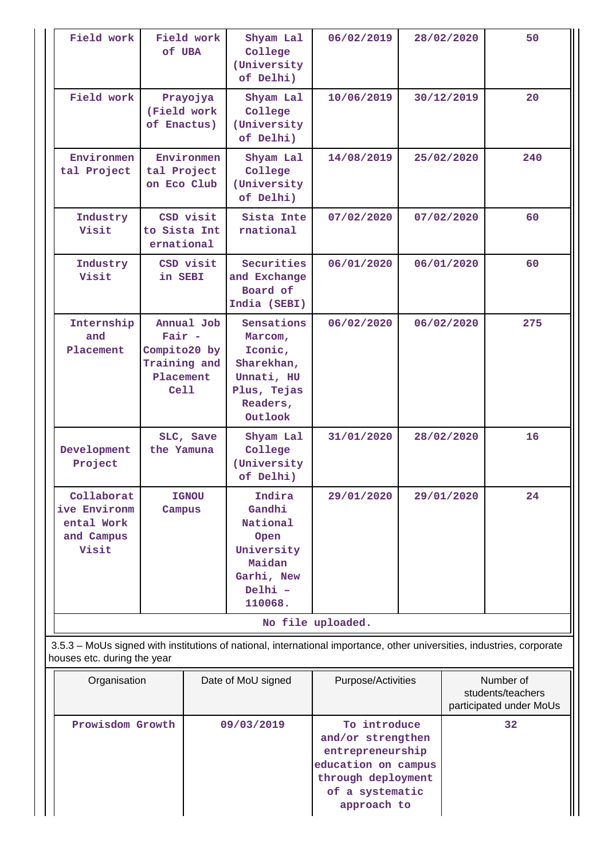| Field work                                                      | Field work<br>of UBA                                          |            | Shyam Lal<br>College<br>(University<br>of Delhi)                                                                       | 06/02/2019         |    | 28/02/2020 | 50                                                        |  |
|-----------------------------------------------------------------|---------------------------------------------------------------|------------|------------------------------------------------------------------------------------------------------------------------|--------------------|----|------------|-----------------------------------------------------------|--|
| Field work                                                      | Prayojya<br>(Field work<br>of Enactus)                        |            | Shyam Lal<br>College<br>(University<br>of Delhi)                                                                       | 10/06/2019         |    | 30/12/2019 | 20                                                        |  |
| Environmen<br>tal Project                                       | Environmen<br>tal Project<br>on Eco Club                      |            | Shyam Lal<br>College<br>(University<br>of Delhi)                                                                       | 14/08/2019         |    | 25/02/2020 | 240                                                       |  |
| Industry<br>Visit                                               | to Sista Int<br>ernational                                    | CSD visit  | Sista Inte<br>rnational                                                                                                | 07/02/2020         |    | 07/02/2020 | 60                                                        |  |
| Industry<br>Visit                                               | CSD visit<br>in SEBI                                          |            | Securities<br>and Exchange<br>Board of<br>India (SEBI)                                                                 | 06/01/2020         |    | 06/01/2020 | 60                                                        |  |
| Internship<br>and<br>Placement                                  | $Fair -$<br>Compito20 by<br>Training and<br>Placement<br>Cell | Annual Job | Sensations<br>Marcom,<br>Iconic,<br>Sharekhan,<br>Unnati, HU<br>Plus, Tejas<br>Readers,<br>Outlook                     | 06/02/2020         |    | 06/02/2020 | 275                                                       |  |
| Development<br>Project                                          | the Yamuna                                                    | SLC, Save  | Shyam Lal<br>College<br>(University<br>of Delhi)                                                                       | 31/01/2020         |    | 28/02/2020 | 16                                                        |  |
| Collaborat<br>ive Environm<br>ental Work<br>and Campus<br>Visit | <b>IGNOU</b><br>Campus                                        |            | Indira<br>Gandhi<br>National<br>Open<br>University<br>Maidan<br>Garhi, New<br>Delhi -<br>110068.                       | 29/01/2020         |    | 29/01/2020 | 24                                                        |  |
|                                                                 |                                                               |            |                                                                                                                        | No file uploaded.  |    |            |                                                           |  |
| houses etc. during the year                                     |                                                               |            | 3.5.3 – MoUs signed with institutions of national, international importance, other universities, industries, corporate |                    |    |            |                                                           |  |
| Organisation                                                    |                                                               |            | Date of MoU signed                                                                                                     | Purpose/Activities |    |            | Number of<br>students/teachers<br>participated under MoUs |  |
| Prowisdom Growth                                                |                                                               | 09/03/2019 | To introduce<br>and/or strengthen                                                                                      |                    | 32 |            |                                                           |  |

| Organisation     | Date of MoU signed | Purpose/Activities                                                                                                                   | Number of<br>students/teachers<br>participated under MoUs |
|------------------|--------------------|--------------------------------------------------------------------------------------------------------------------------------------|-----------------------------------------------------------|
| Prowisdom Growth | 09/03/2019         | To introduce<br>and/or strengthen<br>entrepreneurship<br>education on campus<br>through deployment<br>of a systematic<br>approach to | 32                                                        |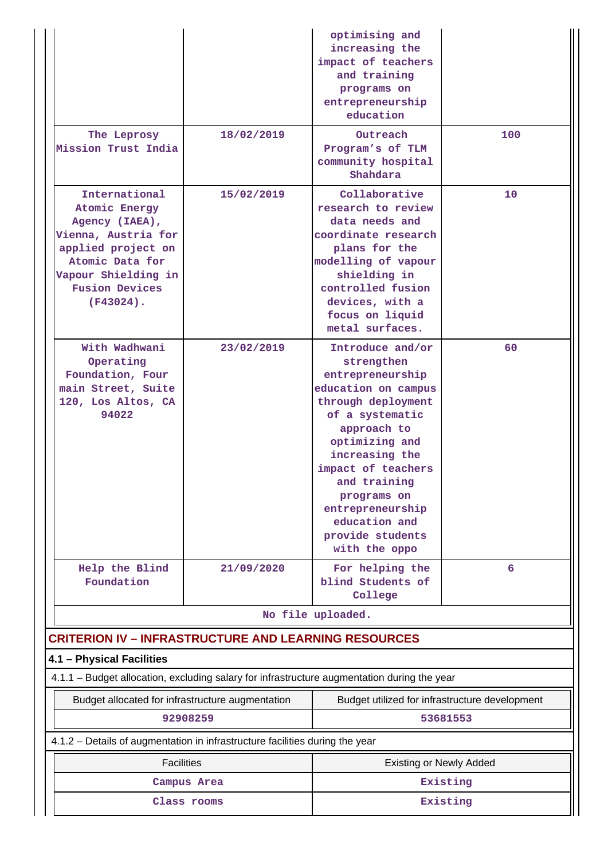| The Leprosy<br>Mission Trust India                                                                                                                                               | 18/02/2019  | optimising and<br>increasing the<br>impact of teachers<br>and training<br>programs on<br>entrepreneurship<br>education<br>Outreach<br>Program's of TLM<br>community hospital                                                                                                                         | 100      |  |
|----------------------------------------------------------------------------------------------------------------------------------------------------------------------------------|-------------|------------------------------------------------------------------------------------------------------------------------------------------------------------------------------------------------------------------------------------------------------------------------------------------------------|----------|--|
|                                                                                                                                                                                  |             | Shahdara                                                                                                                                                                                                                                                                                             |          |  |
| International<br>Atomic Energy<br>Agency (IAEA),<br>Vienna, Austria for<br>applied project on<br>Atomic Data for<br>Vapour Shielding in<br><b>Fusion Devices</b><br>$(F43024)$ . | 15/02/2019  | Collaborative<br>research to review<br>data needs and<br>coordinate research<br>plans for the<br>modelling of vapour<br>shielding in<br>controlled fusion<br>devices, with a<br>focus on liquid<br>metal surfaces.                                                                                   | 10       |  |
| With Wadhwani<br>Operating<br>Foundation, Four<br>main Street, Suite<br>120, Los Altos, CA<br>94022                                                                              | 23/02/2019  | Introduce and/or<br>strengthen<br>entrepreneurship<br>education on campus<br>through deployment<br>of a systematic<br>approach to<br>optimizing and<br>increasing the<br>impact of teachers<br>and training<br>programs on<br>entrepreneurship<br>education and<br>provide students<br>with the oppo | 60       |  |
| Help the Blind<br>Foundation                                                                                                                                                     | 21/09/2020  | For helping the<br>blind Students of<br>College                                                                                                                                                                                                                                                      | 6        |  |
|                                                                                                                                                                                  |             | No file uploaded.                                                                                                                                                                                                                                                                                    |          |  |
| <b>CRITERION IV - INFRASTRUCTURE AND LEARNING RESOURCES</b>                                                                                                                      |             |                                                                                                                                                                                                                                                                                                      |          |  |
| 4.1 - Physical Facilities<br>4.1.1 - Budget allocation, excluding salary for infrastructure augmentation during the year                                                         |             |                                                                                                                                                                                                                                                                                                      |          |  |
| Budget allocated for infrastructure augmentation                                                                                                                                 |             | Budget utilized for infrastructure development                                                                                                                                                                                                                                                       |          |  |
|                                                                                                                                                                                  | 92908259    |                                                                                                                                                                                                                                                                                                      | 53681553 |  |
| 4.1.2 – Details of augmentation in infrastructure facilities during the year                                                                                                     |             |                                                                                                                                                                                                                                                                                                      |          |  |
| <b>Facilities</b>                                                                                                                                                                |             | <b>Existing or Newly Added</b>                                                                                                                                                                                                                                                                       |          |  |
|                                                                                                                                                                                  | Campus Area |                                                                                                                                                                                                                                                                                                      | Existing |  |
|                                                                                                                                                                                  | Class rooms | Existing                                                                                                                                                                                                                                                                                             |          |  |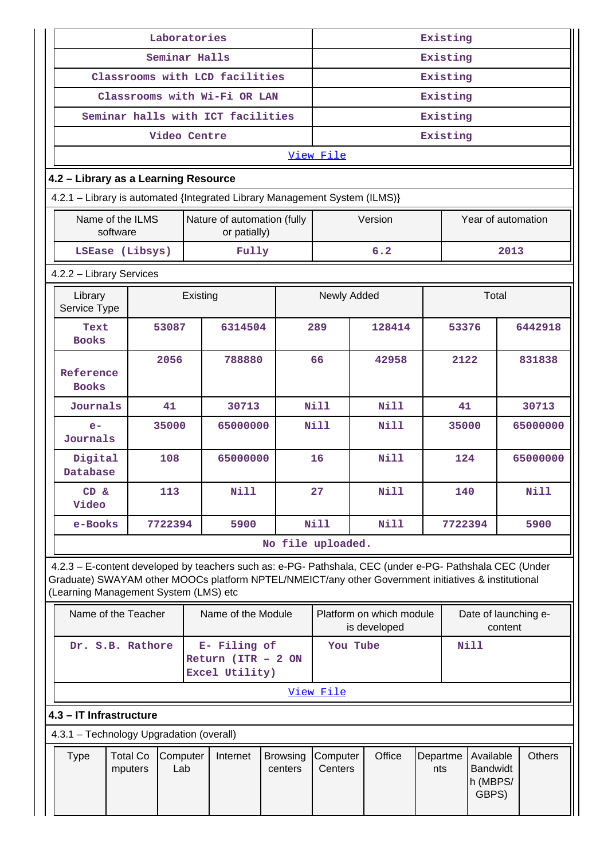| Laboratories                                                                                                                                                                                                                                            |                                   |              |                                                         | Existing |        |                     |             |                                                   |                    |               |                      |          |             |
|---------------------------------------------------------------------------------------------------------------------------------------------------------------------------------------------------------------------------------------------------------|-----------------------------------|--------------|---------------------------------------------------------|----------|--------|---------------------|-------------|---------------------------------------------------|--------------------|---------------|----------------------|----------|-------------|
|                                                                                                                                                                                                                                                         | Seminar Halls                     |              |                                                         |          |        | Existing            |             |                                                   |                    |               |                      |          |             |
|                                                                                                                                                                                                                                                         | Classrooms with LCD facilities    |              |                                                         |          |        | Existing            |             |                                                   |                    |               |                      |          |             |
|                                                                                                                                                                                                                                                         | Classrooms with Wi-Fi OR LAN      |              |                                                         |          |        | Existing            |             |                                                   |                    |               |                      |          |             |
|                                                                                                                                                                                                                                                         | Seminar halls with ICT facilities |              |                                                         |          |        | Existing            |             |                                                   |                    |               |                      |          |             |
|                                                                                                                                                                                                                                                         |                                   | Video Centre |                                                         |          |        |                     |             |                                                   |                    | Existing      |                      |          |             |
|                                                                                                                                                                                                                                                         |                                   |              |                                                         |          |        | View File           |             |                                                   |                    |               |                      |          |             |
| 4.2 - Library as a Learning Resource                                                                                                                                                                                                                    |                                   |              |                                                         |          |        |                     |             |                                                   |                    |               |                      |          |             |
| 4.2.1 - Library is automated {Integrated Library Management System (ILMS)}                                                                                                                                                                              |                                   |              |                                                         |          |        |                     |             |                                                   |                    |               |                      |          |             |
| Name of the ILMS<br>Nature of automation (fully<br>software<br>or patially)                                                                                                                                                                             |                                   |              |                                                         |          |        | Version             |             |                                                   | Year of automation |               |                      |          |             |
|                                                                                                                                                                                                                                                         | LSEase (Libsys)                   |              | Fully                                                   |          |        |                     |             | 6.2                                               |                    |               |                      | 2013     |             |
| 4.2.2 - Library Services                                                                                                                                                                                                                                |                                   |              |                                                         |          |        |                     |             |                                                   |                    |               |                      |          |             |
| Library<br>Service Type                                                                                                                                                                                                                                 |                                   | Existing     |                                                         |          |        | Newly Added         |             |                                                   |                    |               | Total                |          |             |
| Text<br><b>Books</b>                                                                                                                                                                                                                                    | 53087                             |              | 6314504                                                 |          |        | 289                 |             | 128414                                            |                    | 53376         |                      |          | 6442918     |
| Reference<br><b>Books</b>                                                                                                                                                                                                                               | 2056                              |              | 788880                                                  |          | 66     | 42958               |             |                                                   | 2122               |               |                      | 831838   |             |
| Journals                                                                                                                                                                                                                                                | 41                                |              | 30713                                                   |          |        | <b>Nill</b><br>Nill |             |                                                   | 41                 |               |                      | 30713    |             |
| $e-$<br>Journals                                                                                                                                                                                                                                        | 35000                             |              | 65000000                                                |          |        | <b>Nill</b><br>N11  |             |                                                   | 35000              |               |                      | 65000000 |             |
| Digital<br>Database                                                                                                                                                                                                                                     | 108                               |              | 65000000                                                |          |        | 16                  |             | Nill                                              |                    | 124           |                      |          | 65000000    |
| CD &<br>Video                                                                                                                                                                                                                                           | 113                               |              | <b>Nill</b>                                             |          |        | 27                  |             | Nill                                              |                    | 140           |                      |          | <b>Nill</b> |
| e-Books                                                                                                                                                                                                                                                 | 7722394                           |              | 5900                                                    |          |        | <b>Nill</b>         | <b>Nill</b> |                                                   |                    | 7722394       |                      | 5900     |             |
|                                                                                                                                                                                                                                                         |                                   |              |                                                         |          |        | No file uploaded.   |             |                                                   |                    |               |                      |          |             |
| 4.2.3 - E-content developed by teachers such as: e-PG- Pathshala, CEC (under e-PG- Pathshala CEC (Under<br>Graduate) SWAYAM other MOOCs platform NPTEL/NMEICT/any other Government initiatives & institutional<br>(Learning Management System (LMS) etc |                                   |              |                                                         |          |        |                     |             |                                                   |                    |               |                      |          |             |
| Name of the Teacher                                                                                                                                                                                                                                     |                                   |              | Name of the Module                                      |          |        |                     |             | Platform on which module<br>is developed          |                    |               | Date of launching e- | content  |             |
|                                                                                                                                                                                                                                                         | Dr. S.B. Rathore                  |              | E- Filing of<br>Return ( $ITR - 2 ON$<br>Excel Utility) |          |        | You Tube            |             |                                                   |                    |               | <b>Nill</b>          |          |             |
|                                                                                                                                                                                                                                                         |                                   |              |                                                         |          |        | View File           |             |                                                   |                    |               |                      |          |             |
| 4.3 - IT Infrastructure                                                                                                                                                                                                                                 |                                   |              |                                                         |          |        |                     |             |                                                   |                    |               |                      |          |             |
|                                                                                                                                                                                                                                                         |                                   |              |                                                         |          |        |                     |             |                                                   |                    |               |                      |          |             |
| 4.3.1 - Technology Upgradation (overall)<br><b>Total Co</b><br>Computer<br>Internet<br><b>Type</b><br><b>Browsing</b><br>Lab<br>mputers<br>centers                                                                                                      |                                   |              | Computer<br>Centers                                     |          | Office | Departme<br>nts     |             | Available<br><b>Bandwidt</b><br>h (MBPS/<br>GBPS) |                    | <b>Others</b> |                      |          |             |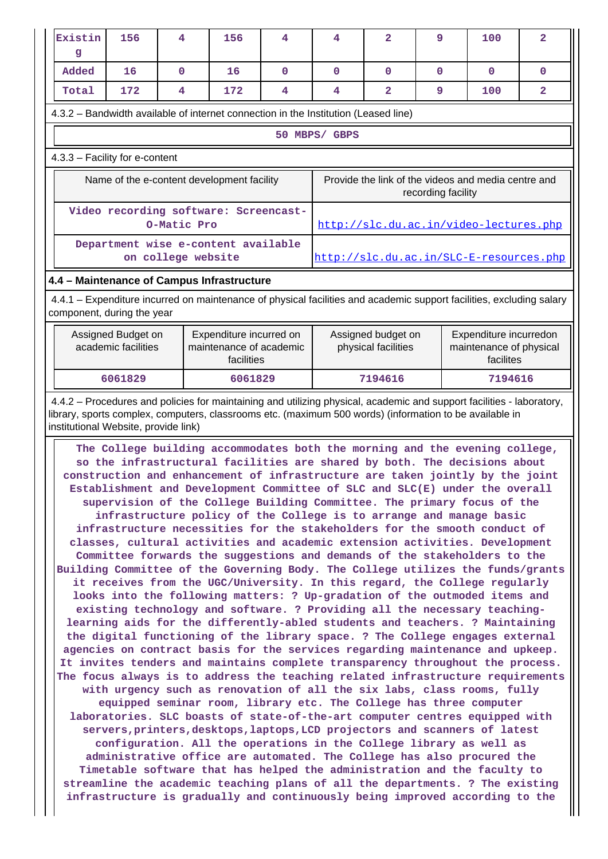| Existin<br>g                                                                                                                                                                                                                                                                                                                                                                                                                                                                                                                                                                                                                                                                                                                                                                                                                                                                                                                                                                                                                                                                                                                                                                                                                                                                                                                                                                                                                                                                                                                                                                                                             | 156                                                                                                                                                                                                                                                                                                                                                                                        | 4                  | 156                                                                                                         | 4        | 4             | $\overline{a}$ | 9                  | 100                                     | $\overline{2}$ |
|--------------------------------------------------------------------------------------------------------------------------------------------------------------------------------------------------------------------------------------------------------------------------------------------------------------------------------------------------------------------------------------------------------------------------------------------------------------------------------------------------------------------------------------------------------------------------------------------------------------------------------------------------------------------------------------------------------------------------------------------------------------------------------------------------------------------------------------------------------------------------------------------------------------------------------------------------------------------------------------------------------------------------------------------------------------------------------------------------------------------------------------------------------------------------------------------------------------------------------------------------------------------------------------------------------------------------------------------------------------------------------------------------------------------------------------------------------------------------------------------------------------------------------------------------------------------------------------------------------------------------|--------------------------------------------------------------------------------------------------------------------------------------------------------------------------------------------------------------------------------------------------------------------------------------------------------------------------------------------------------------------------------------------|--------------------|-------------------------------------------------------------------------------------------------------------|----------|---------------|----------------|--------------------|-----------------------------------------|----------------|
| Added                                                                                                                                                                                                                                                                                                                                                                                                                                                                                                                                                                                                                                                                                                                                                                                                                                                                                                                                                                                                                                                                                                                                                                                                                                                                                                                                                                                                                                                                                                                                                                                                                    | 16                                                                                                                                                                                                                                                                                                                                                                                         | $\mathbf{0}$       | 16                                                                                                          | $\Omega$ | $\Omega$      | $\mathbf 0$    | 0                  | $\Omega$                                | 0              |
| Total                                                                                                                                                                                                                                                                                                                                                                                                                                                                                                                                                                                                                                                                                                                                                                                                                                                                                                                                                                                                                                                                                                                                                                                                                                                                                                                                                                                                                                                                                                                                                                                                                    | 172                                                                                                                                                                                                                                                                                                                                                                                        | 4                  | 172                                                                                                         | 4        | 4             | $\overline{a}$ | 9                  | 100                                     | 2              |
|                                                                                                                                                                                                                                                                                                                                                                                                                                                                                                                                                                                                                                                                                                                                                                                                                                                                                                                                                                                                                                                                                                                                                                                                                                                                                                                                                                                                                                                                                                                                                                                                                          |                                                                                                                                                                                                                                                                                                                                                                                            |                    | 4.3.2 - Bandwidth available of internet connection in the Institution (Leased line)                         |          |               |                |                    |                                         |                |
|                                                                                                                                                                                                                                                                                                                                                                                                                                                                                                                                                                                                                                                                                                                                                                                                                                                                                                                                                                                                                                                                                                                                                                                                                                                                                                                                                                                                                                                                                                                                                                                                                          |                                                                                                                                                                                                                                                                                                                                                                                            |                    |                                                                                                             |          | 50 MBPS/ GBPS |                |                    |                                         |                |
| 4.3.3 - Facility for e-content                                                                                                                                                                                                                                                                                                                                                                                                                                                                                                                                                                                                                                                                                                                                                                                                                                                                                                                                                                                                                                                                                                                                                                                                                                                                                                                                                                                                                                                                                                                                                                                           |                                                                                                                                                                                                                                                                                                                                                                                            |                    |                                                                                                             |          |               |                |                    |                                         |                |
| Provide the link of the videos and media centre and<br>Name of the e-content development facility                                                                                                                                                                                                                                                                                                                                                                                                                                                                                                                                                                                                                                                                                                                                                                                                                                                                                                                                                                                                                                                                                                                                                                                                                                                                                                                                                                                                                                                                                                                        |                                                                                                                                                                                                                                                                                                                                                                                            |                    |                                                                                                             |          |               |                | recording facility |                                         |                |
|                                                                                                                                                                                                                                                                                                                                                                                                                                                                                                                                                                                                                                                                                                                                                                                                                                                                                                                                                                                                                                                                                                                                                                                                                                                                                                                                                                                                                                                                                                                                                                                                                          |                                                                                                                                                                                                                                                                                                                                                                                            | O-Matic Pro        | Video recording software: Screencast-                                                                       |          |               |                |                    | http://slc.du.ac.in/video-lectures.php  |                |
|                                                                                                                                                                                                                                                                                                                                                                                                                                                                                                                                                                                                                                                                                                                                                                                                                                                                                                                                                                                                                                                                                                                                                                                                                                                                                                                                                                                                                                                                                                                                                                                                                          |                                                                                                                                                                                                                                                                                                                                                                                            | on college website | Department wise e-content available                                                                         |          |               |                |                    | http://slc.du.ac.in/SLC-E-resources.php |                |
| 4.4 - Maintenance of Campus Infrastructure                                                                                                                                                                                                                                                                                                                                                                                                                                                                                                                                                                                                                                                                                                                                                                                                                                                                                                                                                                                                                                                                                                                                                                                                                                                                                                                                                                                                                                                                                                                                                                               |                                                                                                                                                                                                                                                                                                                                                                                            |                    |                                                                                                             |          |               |                |                    |                                         |                |
| 4.4.1 – Expenditure incurred on maintenance of physical facilities and academic support facilities, excluding salary                                                                                                                                                                                                                                                                                                                                                                                                                                                                                                                                                                                                                                                                                                                                                                                                                                                                                                                                                                                                                                                                                                                                                                                                                                                                                                                                                                                                                                                                                                     |                                                                                                                                                                                                                                                                                                                                                                                            |                    |                                                                                                             |          |               |                |                    |                                         |                |
| component, during the year<br>Assigned Budget on<br>Expenditure incurred on<br>academic facilities<br>maintenance of academic<br>facilities                                                                                                                                                                                                                                                                                                                                                                                                                                                                                                                                                                                                                                                                                                                                                                                                                                                                                                                                                                                                                                                                                                                                                                                                                                                                                                                                                                                                                                                                              |                                                                                                                                                                                                                                                                                                                                                                                            |                    | Expenditure incurredon<br>Assigned budget on<br>physical facilities<br>maintenance of physical<br>facilites |          |               |                |                    |                                         |                |
|                                                                                                                                                                                                                                                                                                                                                                                                                                                                                                                                                                                                                                                                                                                                                                                                                                                                                                                                                                                                                                                                                                                                                                                                                                                                                                                                                                                                                                                                                                                                                                                                                          | 6061829                                                                                                                                                                                                                                                                                                                                                                                    |                    | 6061829                                                                                                     |          |               | 7194616        |                    | 7194616                                 |                |
| construction and enhancement of infrastructure are taken jointly by the joint<br>Establishment and Development Committee of SLC and SLC(E) under the overall<br>supervision of the College Building Committee. The primary focus of the<br>infrastructure policy of the College is to arrange and manage basic<br>infrastructure necessities for the stakeholders for the smooth conduct of<br>classes, cultural activities and academic extension activities. Development<br>Committee forwards the suggestions and demands of the stakeholders to the<br>Building Committee of the Governing Body. The College utilizes the funds/grants<br>it receives from the UGC/University. In this regard, the College regularly<br>looks into the following matters: ? Up-gradation of the outmoded items and<br>existing technology and software. ? Providing all the necessary teaching-<br>learning aids for the differently-abled students and teachers. ? Maintaining<br>the digital functioning of the library space. ? The College engages external<br>agencies on contract basis for the services regarding maintenance and upkeep.<br>It invites tenders and maintains complete transparency throughout the process.<br>The focus always is to address the teaching related infrastructure requirements<br>with urgency such as renovation of all the six labs, class rooms, fully<br>equipped seminar room, library etc. The College has three computer<br>laboratories. SLC boasts of state-of-the-art computer centres equipped with<br>servers, printers, desktops, laptops, LCD projectors and scanners of latest |                                                                                                                                                                                                                                                                                                                                                                                            |                    |                                                                                                             |          |               |                |                    |                                         |                |
|                                                                                                                                                                                                                                                                                                                                                                                                                                                                                                                                                                                                                                                                                                                                                                                                                                                                                                                                                                                                                                                                                                                                                                                                                                                                                                                                                                                                                                                                                                                                                                                                                          | configuration. All the operations in the College library as well as<br>administrative office are automated. The College has also procured the<br>Timetable software that has helped the administration and the faculty to<br>streamline the academic teaching plans of all the departments. ? The existing<br>infrastructure is gradually and continuously being improved according to the |                    |                                                                                                             |          |               |                |                    |                                         |                |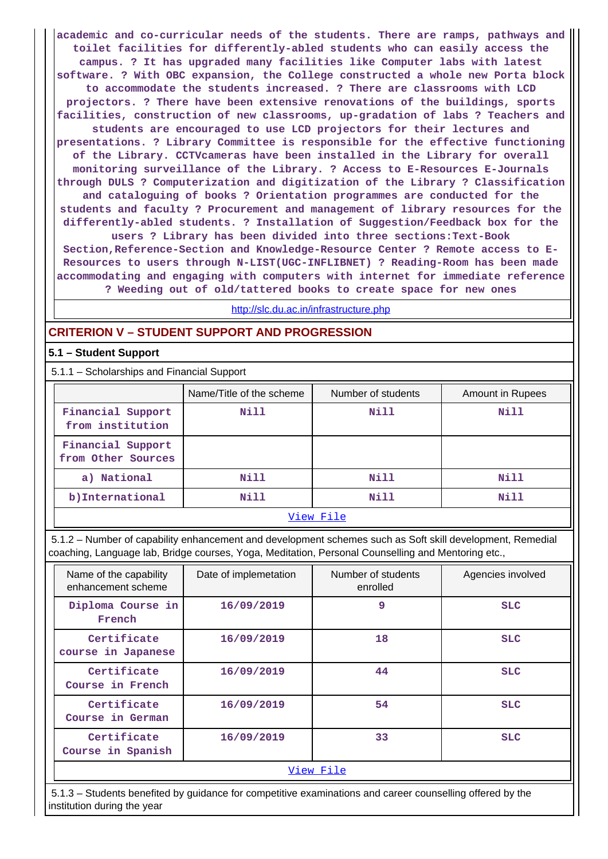**academic and co-curricular needs of the students. There are ramps, pathways and toilet facilities for differently-abled students who can easily access the campus. ? It has upgraded many facilities like Computer labs with latest software. ? With OBC expansion, the College constructed a whole new Porta block to accommodate the students increased. ? There are classrooms with LCD projectors. ? There have been extensive renovations of the buildings, sports facilities, construction of new classrooms, up-gradation of labs ? Teachers and students are encouraged to use LCD projectors for their lectures and presentations. ? Library Committee is responsible for the effective functioning of the Library. CCTVcameras have been installed in the Library for overall monitoring surveillance of the Library. ? Access to E-Resources E-Journals through DULS ? Computerization and digitization of the Library ? Classification and cataloguing of books ? Orientation programmes are conducted for the students and faculty ? Procurement and management of library resources for the differently-abled students. ? Installation of Suggestion/Feedback box for the users ? Library has been divided into three sections:Text-Book Section,Reference-Section and Knowledge-Resource Center ? Remote access to E-Resources to users through N-LIST(UGC-INFLIBNET) ? Reading-Room has been made**

**? Weeding out of old/tattered books to create space for new ones**

**accommodating and engaging with computers with internet for immediate reference**

#### <http://slc.du.ac.in/infrastructure.php>

#### **CRITERION V – STUDENT SUPPORT AND PROGRESSION**

#### **5.1 – Student Support**

5.1.1 – Scholarships and Financial Support

|                                         | Name/Title of the scheme | Number of students | Amount in Rupees |  |  |
|-----------------------------------------|--------------------------|--------------------|------------------|--|--|
| Financial Support<br>from institution   | Nill                     | Nill               | Nill             |  |  |
| Financial Support<br>from Other Sources |                          |                    |                  |  |  |
| a) National                             | Nill                     | Nill               | Nill             |  |  |
| b) International                        | Nill                     | Nill               | Nill             |  |  |
| View File                               |                          |                    |                  |  |  |

 5.1.2 – Number of capability enhancement and development schemes such as Soft skill development, Remedial coaching, Language lab, Bridge courses, Yoga, Meditation, Personal Counselling and Mentoring etc.,

| Name of the capability<br>enhancement scheme | Date of implemetation | Number of students<br>enrolled | Agencies involved |  |  |
|----------------------------------------------|-----------------------|--------------------------------|-------------------|--|--|
| Diploma Course in<br>French                  | 16/09/2019            | 9                              | <b>SLC</b>        |  |  |
| Certificate<br>course in Japanese            | 16/09/2019            | 18                             | <b>SLC</b>        |  |  |
| Certificate<br>Course in French              | 16/09/2019            | 44                             | <b>SLC</b>        |  |  |
| Certificate<br>Course in German              | 16/09/2019            | 54                             | <b>SLC</b>        |  |  |
| Certificate<br>Course in Spanish             | 16/09/2019            | 33                             | <b>SLC</b>        |  |  |
| View File                                    |                       |                                |                   |  |  |

 5.1.3 – Students benefited by guidance for competitive examinations and career counselling offered by the institution during the year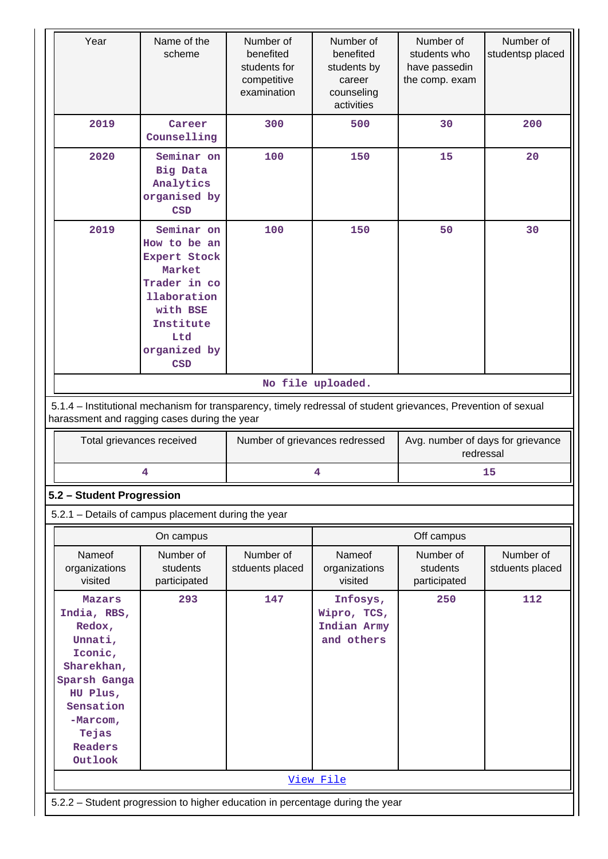| Year                                                                                                                                                             | Name of the<br>scheme                                                                                          | Number of<br>benefited<br>students for<br>competitive<br>examination | Number of<br>benefited<br>students by<br>career<br>counseling<br>activities | Number of<br>students who<br>have passedin<br>the comp. exam | Number of<br>studentsp placed |  |  |
|------------------------------------------------------------------------------------------------------------------------------------------------------------------|----------------------------------------------------------------------------------------------------------------|----------------------------------------------------------------------|-----------------------------------------------------------------------------|--------------------------------------------------------------|-------------------------------|--|--|
| 2019                                                                                                                                                             | Career<br>Counselling                                                                                          | 300                                                                  | 500                                                                         | 30                                                           | 200                           |  |  |
| 2020                                                                                                                                                             | Seminar on<br><b>Big Data</b><br>Analytics<br>organised by<br><b>CSD</b>                                       | 100                                                                  | 150                                                                         | 15                                                           | 20                            |  |  |
| 2019<br>Seminar on<br>How to be an<br>Expert Stock<br>Market<br>Trader in co<br><b>llaboration</b><br>with BSE<br>Institute<br>Ltd<br>organized by<br><b>CSD</b> |                                                                                                                | 100                                                                  | 150                                                                         | 50                                                           | 30                            |  |  |
|                                                                                                                                                                  |                                                                                                                |                                                                      | No file uploaded.                                                           |                                                              |                               |  |  |
|                                                                                                                                                                  | 5.1.4 - Institutional mechanism for transparency, timely redressal of student grievances, Prevention of sexual |                                                                      |                                                                             |                                                              |                               |  |  |
|                                                                                                                                                                  | harassment and ragging cases during the year                                                                   |                                                                      |                                                                             |                                                              |                               |  |  |
| Total grievances received                                                                                                                                        |                                                                                                                | Number of grievances redressed                                       |                                                                             | Avg. number of days for grievance<br>redressal               |                               |  |  |
|                                                                                                                                                                  | 4                                                                                                              |                                                                      | 4                                                                           |                                                              | 15                            |  |  |
| 5.2 - Student Progression                                                                                                                                        |                                                                                                                |                                                                      |                                                                             |                                                              |                               |  |  |
|                                                                                                                                                                  | 5.2.1 - Details of campus placement during the year                                                            |                                                                      |                                                                             |                                                              |                               |  |  |
|                                                                                                                                                                  | On campus                                                                                                      |                                                                      |                                                                             | Off campus                                                   |                               |  |  |
| Nameof<br>organizations<br>visited                                                                                                                               | Number of<br>students<br>participated                                                                          | Number of<br>stduents placed                                         | Nameof<br>organizations<br>visited                                          | Number of<br>students<br>participated                        | Number of<br>stduents placed  |  |  |
| Mazars<br>India, RBS,<br>Redox,<br>Unnati,<br>Iconic,<br>Sharekhan,<br>Sparsh Ganga<br>HU Plus,<br>Sensation<br>$-Marcom,$<br>Tejas<br>Readers<br>Outlook        | 293                                                                                                            | 147                                                                  | Infosys,<br>Wipro, TCS,<br>Indian Army<br>and others                        | 250                                                          | 112                           |  |  |
|                                                                                                                                                                  |                                                                                                                |                                                                      | View File                                                                   |                                                              |                               |  |  |
| 5.2.2 - Student progression to higher education in percentage during the year                                                                                    |                                                                                                                |                                                                      |                                                                             |                                                              |                               |  |  |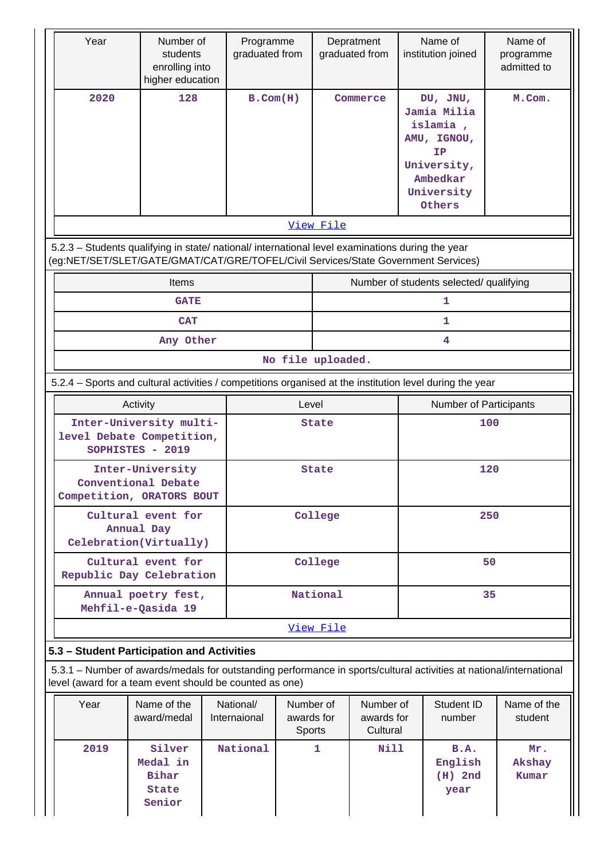| Year                                                                                                                                                                                   | Number of<br>students<br>enrolling into<br>higher education | Programme<br>graduated from |                                          |           | Depratment<br>graduated from        |     | Name of<br>institution joined                                                                               | Name of<br>programme<br>admitted to |
|----------------------------------------------------------------------------------------------------------------------------------------------------------------------------------------|-------------------------------------------------------------|-----------------------------|------------------------------------------|-----------|-------------------------------------|-----|-------------------------------------------------------------------------------------------------------------|-------------------------------------|
| 2020                                                                                                                                                                                   | 128                                                         | $B.$ Com $(H)$              |                                          |           | Commerce                            |     | DU, JNU,<br>Jamia Milia<br>islamia,<br>AMU, IGNOU,<br>IΡ<br>University,<br>Ambedkar<br>University<br>Others | M.Com.                              |
|                                                                                                                                                                                        |                                                             |                             |                                          | View File |                                     |     |                                                                                                             |                                     |
| 5.2.3 - Students qualifying in state/ national/ international level examinations during the year<br>(eg:NET/SET/SLET/GATE/GMAT/CAT/GRE/TOFEL/Civil Services/State Government Services) |                                                             |                             |                                          |           |                                     |     |                                                                                                             |                                     |
|                                                                                                                                                                                        | Items                                                       |                             |                                          |           |                                     |     | Number of students selected/ qualifying                                                                     |                                     |
|                                                                                                                                                                                        | <b>GATE</b>                                                 |                             |                                          |           |                                     |     | 1                                                                                                           |                                     |
|                                                                                                                                                                                        | <b>CAT</b><br>Any Other                                     |                             |                                          |           |                                     |     | 1<br>$\overline{\mathbf{4}}$                                                                                |                                     |
|                                                                                                                                                                                        |                                                             |                             | No file uploaded.                        |           |                                     |     |                                                                                                             |                                     |
| 5.2.4 - Sports and cultural activities / competitions organised at the institution level during the year                                                                               |                                                             |                             |                                          |           |                                     |     |                                                                                                             |                                     |
| Activity                                                                                                                                                                               |                                                             | Level                       |                                          |           | Number of Participants              |     |                                                                                                             |                                     |
| level Debate Competition,                                                                                                                                                              | Inter-University multi-<br>SOPHISTES - 2019                 |                             | <b>State</b>                             |           |                                     | 100 |                                                                                                             |                                     |
| Competition, ORATORS BOUT                                                                                                                                                              | Inter-University<br>Conventional Debate                     |                             | <b>State</b>                             |           |                                     | 120 |                                                                                                             |                                     |
|                                                                                                                                                                                        | Cultural event for<br>Annual Day<br>Celebration(Virtually)  |                             | College                                  |           |                                     | 250 |                                                                                                             |                                     |
| Republic Day Celebration                                                                                                                                                               | Cultural event for                                          |                             |                                          | College   |                                     | 50  |                                                                                                             |                                     |
|                                                                                                                                                                                        | Annual poetry fest,<br>Mehfil-e-Qasida 19                   |                             |                                          | National  |                                     |     |                                                                                                             | 35                                  |
|                                                                                                                                                                                        |                                                             |                             |                                          | View File |                                     |     |                                                                                                             |                                     |
| 5.3 - Student Participation and Activities                                                                                                                                             |                                                             |                             |                                          |           |                                     |     |                                                                                                             |                                     |
| 5.3.1 – Number of awards/medals for outstanding performance in sports/cultural activities at national/international<br>level (award for a team event should be counted as one)         |                                                             |                             |                                          |           |                                     |     |                                                                                                             |                                     |
| Year                                                                                                                                                                                   | Name of the<br>award/medal                                  | National/<br>Internaional   | Number of<br>awards for<br><b>Sports</b> |           | Number of<br>awards for<br>Cultural |     | Student ID<br>number                                                                                        | Name of the<br>student              |
| 2019                                                                                                                                                                                   | Silver<br>Medal in<br>Bihar<br><b>State</b><br>Senior       | National                    |                                          | 1         | <b>Nill</b>                         |     | B.A.<br>English<br>$(H)$ 2nd<br>year                                                                        | Mr.<br>Akshay<br>Kumar              |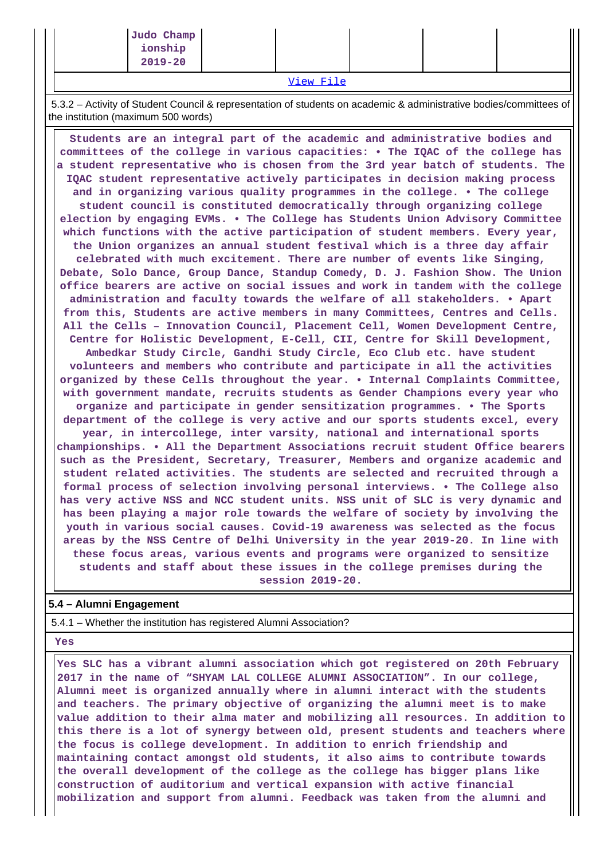| $-1$<br>$- -$ |  |  |  |  |  |  |
|---------------|--|--|--|--|--|--|
| $2019 - 20$   |  |  |  |  |  |  |
| ionship       |  |  |  |  |  |  |
| Judo Champ    |  |  |  |  |  |  |

[View File](https://assessmentonline.naac.gov.in/public/Postacc/awards_in_activities/10001_awards_in_activities_1640772752.xlsx)

 5.3.2 – Activity of Student Council & representation of students on academic & administrative bodies/committees of the institution (maximum 500 words)

 **Students are an integral part of the academic and administrative bodies and committees of the college in various capacities: • The IQAC of the college has a student representative who is chosen from the 3rd year batch of students. The IQAC student representative actively participates in decision making process and in organizing various quality programmes in the college. • The college student council is constituted democratically through organizing college election by engaging EVMs. • The College has Students Union Advisory Committee which functions with the active participation of student members. Every year, the Union organizes an annual student festival which is a three day affair celebrated with much excitement. There are number of events like Singing, Debate, Solo Dance, Group Dance, Standup Comedy, D. J. Fashion Show. The Union office bearers are active on social issues and work in tandem with the college administration and faculty towards the welfare of all stakeholders. • Apart from this, Students are active members in many Committees, Centres and Cells. All the Cells – Innovation Council, Placement Cell, Women Development Centre, Centre for Holistic Development, E-Cell, CII, Centre for Skill Development, Ambedkar Study Circle, Gandhi Study Circle, Eco Club etc. have student volunteers and members who contribute and participate in all the activities organized by these Cells throughout the year. • Internal Complaints Committee, with government mandate, recruits students as Gender Champions every year who organize and participate in gender sensitization programmes. • The Sports department of the college is very active and our sports students excel, every year, in intercollege, inter varsity, national and international sports championships. • All the Department Associations recruit student Office bearers such as the President, Secretary, Treasurer, Members and organize academic and student related activities. The students are selected and recruited through a formal process of selection involving personal interviews. • The College also has very active NSS and NCC student units. NSS unit of SLC is very dynamic and has been playing a major role towards the welfare of society by involving the youth in various social causes. Covid-19 awareness was selected as the focus areas by the NSS Centre of Delhi University in the year 2019-20. In line with these focus areas, various events and programs were organized to sensitize students and staff about these issues in the college premises during the session 2019-20.**

### **5.4 – Alumni Engagement**

5.4.1 – Whether the institution has registered Alumni Association?

 **Yes**

 **Yes SLC has a vibrant alumni association which got registered on 20th February 2017 in the name of "SHYAM LAL COLLEGE ALUMNI ASSOCIATION". In our college, Alumni meet is organized annually where in alumni interact with the students and teachers. The primary objective of organizing the alumni meet is to make value addition to their alma mater and mobilizing all resources. In addition to this there is a lot of synergy between old, present students and teachers where the focus is college development. In addition to enrich friendship and maintaining contact amongst old students, it also aims to contribute towards the overall development of the college as the college has bigger plans like construction of auditorium and vertical expansion with active financial mobilization and support from alumni. Feedback was taken from the alumni and**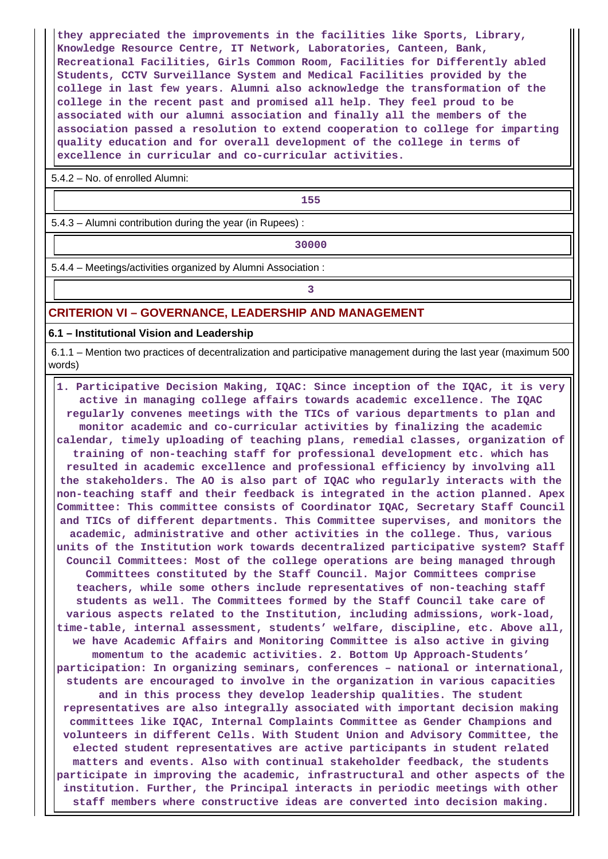**they appreciated the improvements in the facilities like Sports, Library, Knowledge Resource Centre, IT Network, Laboratories, Canteen, Bank, Recreational Facilities, Girls Common Room, Facilities for Differently abled Students, CCTV Surveillance System and Medical Facilities provided by the college in last few years. Alumni also acknowledge the transformation of the college in the recent past and promised all help. They feel proud to be associated with our alumni association and finally all the members of the association passed a resolution to extend cooperation to college for imparting quality education and for overall development of the college in terms of excellence in curricular and co-curricular activities.**

5.4.2 – No. of enrolled Alumni:

**155**

5.4.3 – Alumni contribution during the year (in Rupees) :

**1 30000** 

5.4.4 – Meetings/activities organized by Alumni Association :

**3**

#### **CRITERION VI – GOVERNANCE, LEADERSHIP AND MANAGEMENT**

**6.1 – Institutional Vision and Leadership**

 6.1.1 – Mention two practices of decentralization and participative management during the last year (maximum 500 words)

 **1. Participative Decision Making, IQAC: Since inception of the IQAC, it is very active in managing college affairs towards academic excellence. The IQAC regularly convenes meetings with the TICs of various departments to plan and monitor academic and co-curricular activities by finalizing the academic calendar, timely uploading of teaching plans, remedial classes, organization of training of non-teaching staff for professional development etc. which has resulted in academic excellence and professional efficiency by involving all the stakeholders. The AO is also part of IQAC who regularly interacts with the non-teaching staff and their feedback is integrated in the action planned. Apex Committee: This committee consists of Coordinator IQAC, Secretary Staff Council and TICs of different departments. This Committee supervises, and monitors the academic, administrative and other activities in the college. Thus, various units of the Institution work towards decentralized participative system? Staff Council Committees: Most of the college operations are being managed through Committees constituted by the Staff Council. Major Committees comprise teachers, while some others include representatives of non-teaching staff students as well. The Committees formed by the Staff Council take care of various aspects related to the Institution, including admissions, work-load, time-table, internal assessment, students' welfare, discipline, etc. Above all, we have Academic Affairs and Monitoring Committee is also active in giving momentum to the academic activities. 2. Bottom Up Approach-Students' participation: In organizing seminars, conferences – national or international, students are encouraged to involve in the organization in various capacities and in this process they develop leadership qualities. The student representatives are also integrally associated with important decision making committees like IQAC, Internal Complaints Committee as Gender Champions and volunteers in different Cells. With Student Union and Advisory Committee, the elected student representatives are active participants in student related matters and events. Also with continual stakeholder feedback, the students participate in improving the academic, infrastructural and other aspects of the institution. Further, the Principal interacts in periodic meetings with other staff members where constructive ideas are converted into decision making.**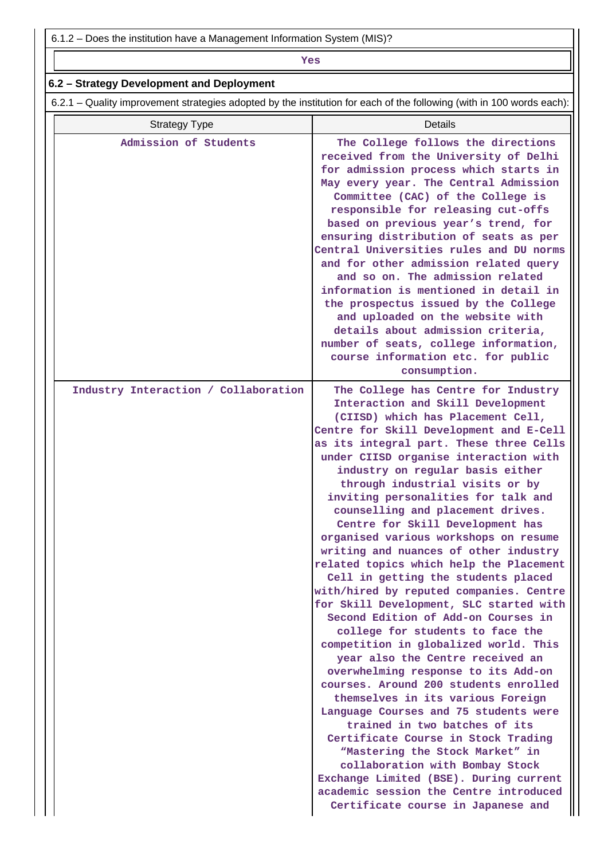6.1.2 – Does the institution have a Management Information System (MIS)?

## *Yes*

## **6.2 – Strategy Development and Deployment**

6.2.1 – Quality improvement strategies adopted by the institution for each of the following (with in 100 words each):

| <b>Strategy Type</b>                 | Details                                                                                                                                                                                                                                                                                                                                                                                                                                                                                                                                                                                                                                                                                                                                                                                                                                                                                                                                                                                                                                                                                                                                                                                                                                                                                     |
|--------------------------------------|---------------------------------------------------------------------------------------------------------------------------------------------------------------------------------------------------------------------------------------------------------------------------------------------------------------------------------------------------------------------------------------------------------------------------------------------------------------------------------------------------------------------------------------------------------------------------------------------------------------------------------------------------------------------------------------------------------------------------------------------------------------------------------------------------------------------------------------------------------------------------------------------------------------------------------------------------------------------------------------------------------------------------------------------------------------------------------------------------------------------------------------------------------------------------------------------------------------------------------------------------------------------------------------------|
| Admission of Students                | The College follows the directions<br>received from the University of Delhi<br>for admission process which starts in<br>May every year. The Central Admission<br>Committee (CAC) of the College is<br>responsible for releasing cut-offs<br>based on previous year's trend, for<br>ensuring distribution of seats as per<br>Central Universities rules and DU norms<br>and for other admission related query<br>and so on. The admission related<br>information is mentioned in detail in<br>the prospectus issued by the College<br>and uploaded on the website with<br>details about admission criteria,<br>number of seats, college information,<br>course information etc. for public<br>consumption.                                                                                                                                                                                                                                                                                                                                                                                                                                                                                                                                                                                   |
| Industry Interaction / Collaboration | The College has Centre for Industry<br>Interaction and Skill Development<br>(CIISD) which has Placement Cell,<br>Centre for Skill Development and E-Cell<br>as its integral part. These three Cells<br>under CIISD organise interaction with<br>industry on regular basis either<br>through industrial visits or by<br>inviting personalities for talk and<br>counselling and placement drives.<br>Centre for Skill Development has<br>organised various workshops on resume<br>writing and nuances of other industry<br>related topics which help the Placement<br>Cell in getting the students placed<br>with/hired by reputed companies. Centre<br>for Skill Development, SLC started with<br>Second Edition of Add-on Courses in<br>college for students to face the<br>competition in globalized world. This<br>year also the Centre received an<br>overwhelming response to its Add-on<br>courses. Around 200 students enrolled<br>themselves in its various Foreign<br>Language Courses and 75 students were<br>trained in two batches of its<br>Certificate Course in Stock Trading<br>"Mastering the Stock Market" in<br>collaboration with Bombay Stock<br>Exchange Limited (BSE). During current<br>academic session the Centre introduced<br>Certificate course in Japanese and |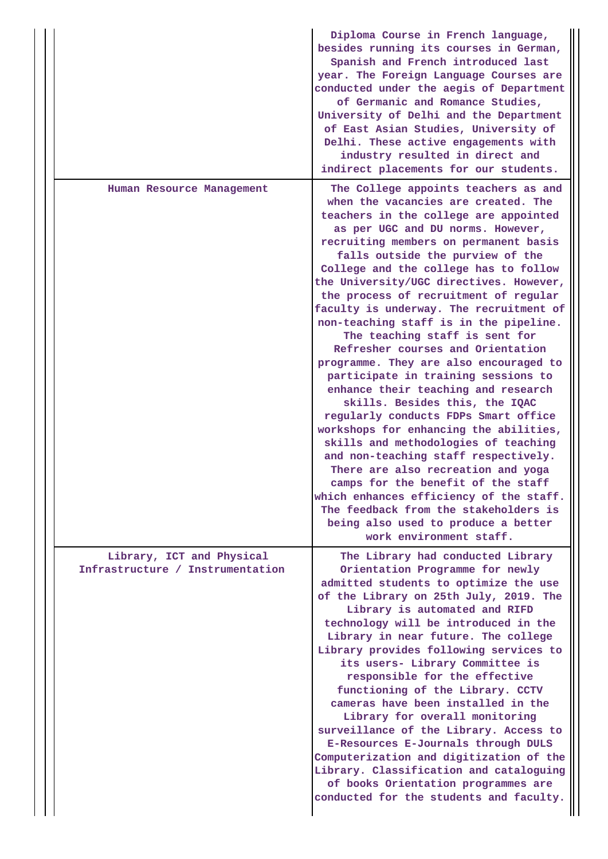|                                                               | Diploma Course in French language,<br>besides running its courses in German,<br>Spanish and French introduced last<br>year. The Foreign Language Courses are<br>conducted under the aegis of Department<br>of Germanic and Romance Studies,<br>University of Delhi and the Department<br>of East Asian Studies, University of<br>Delhi. These active engagements with<br>industry resulted in direct and<br>indirect placements for our students.                                                                                                                                                                                                                                                                                                                                                                                                                                                                                                                                                                                                                                             |
|---------------------------------------------------------------|-----------------------------------------------------------------------------------------------------------------------------------------------------------------------------------------------------------------------------------------------------------------------------------------------------------------------------------------------------------------------------------------------------------------------------------------------------------------------------------------------------------------------------------------------------------------------------------------------------------------------------------------------------------------------------------------------------------------------------------------------------------------------------------------------------------------------------------------------------------------------------------------------------------------------------------------------------------------------------------------------------------------------------------------------------------------------------------------------|
| Human Resource Management                                     | The College appoints teachers as and<br>when the vacancies are created. The<br>teachers in the college are appointed<br>as per UGC and DU norms. However,<br>recruiting members on permanent basis<br>falls outside the purview of the<br>College and the college has to follow<br>the University/UGC directives. However,<br>the process of recruitment of regular<br>faculty is underway. The recruitment of<br>non-teaching staff is in the pipeline.<br>The teaching staff is sent for<br>Refresher courses and Orientation<br>programme. They are also encouraged to<br>participate in training sessions to<br>enhance their teaching and research<br>skills. Besides this, the IQAC<br>regularly conducts FDPs Smart office<br>workshops for enhancing the abilities,<br>skills and methodologies of teaching<br>and non-teaching staff respectively.<br>There are also recreation and yoga<br>camps for the benefit of the staff<br>which enhances efficiency of the staff.<br>The feedback from the stakeholders is<br>being also used to produce a better<br>work environment staff. |
| Library, ICT and Physical<br>Infrastructure / Instrumentation | The Library had conducted Library<br>Orientation Programme for newly<br>admitted students to optimize the use<br>of the Library on 25th July, 2019. The<br>Library is automated and RIFD<br>technology will be introduced in the<br>Library in near future. The college<br>Library provides following services to<br>its users- Library Committee is<br>responsible for the effective<br>functioning of the Library. CCTV<br>cameras have been installed in the<br>Library for overall monitoring<br>surveillance of the Library. Access to<br>E-Resources E-Journals through DULS<br>Computerization and digitization of the<br>Library. Classification and cataloguing<br>of books Orientation programmes are<br>conducted for the students and faculty.                                                                                                                                                                                                                                                                                                                                    |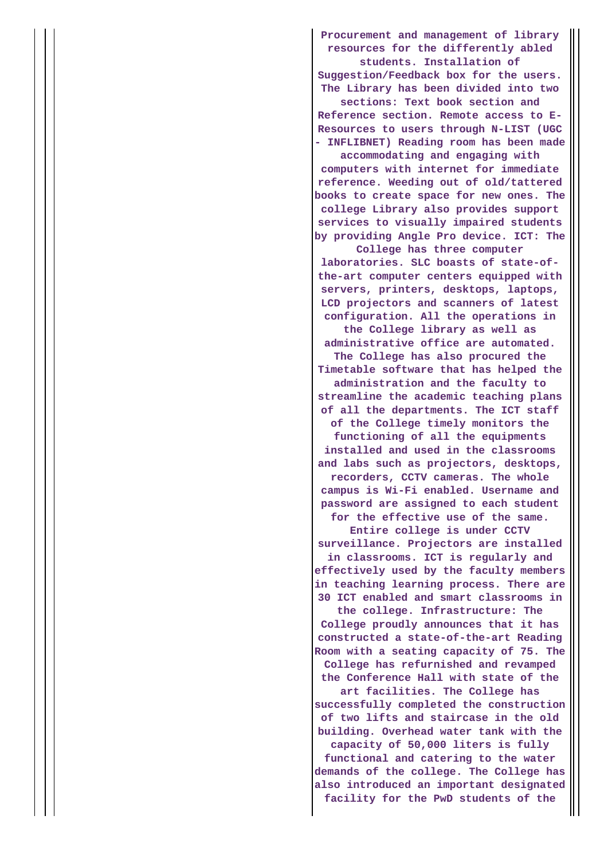**Procurement and management of library resources for the differently abled students. Installation of Suggestion/Feedback box for the users.**

**The Library has been divided into two sections: Text book section and Reference section. Remote access to E-Resources to users through N-LIST (UGC**

**- INFLIBNET) Reading room has been made accommodating and engaging with**

**computers with internet for immediate reference. Weeding out of old/tattered books to create space for new ones. The college Library also provides support services to visually impaired students by providing Angle Pro device. ICT: The**

**College has three computer laboratories. SLC boasts of state-ofthe-art computer centers equipped with servers, printers, desktops, laptops, LCD projectors and scanners of latest configuration. All the operations in the College library as well as administrative office are automated. The College has also procured the Timetable software that has helped the administration and the faculty to streamline the academic teaching plans of all the departments. The ICT staff of the College timely monitors the functioning of all the equipments installed and used in the classrooms and labs such as projectors, desktops, recorders, CCTV cameras. The whole campus is Wi-Fi enabled. Username and password are assigned to each student for the effective use of the same. Entire college is under CCTV surveillance. Projectors are installed in classrooms. ICT is regularly and effectively used by the faculty members in teaching learning process. There are 30 ICT enabled and smart classrooms in the college. Infrastructure: The College proudly announces that it has constructed a state-of-the-art Reading Room with a seating capacity of 75. The College has refurnished and revamped the Conference Hall with state of the art facilities. The College has successfully completed the construction of two lifts and staircase in the old building. Overhead water tank with the capacity of 50,000 liters is fully functional and catering to the water demands of the college. The College has also introduced an important designated facility for the PwD students of the**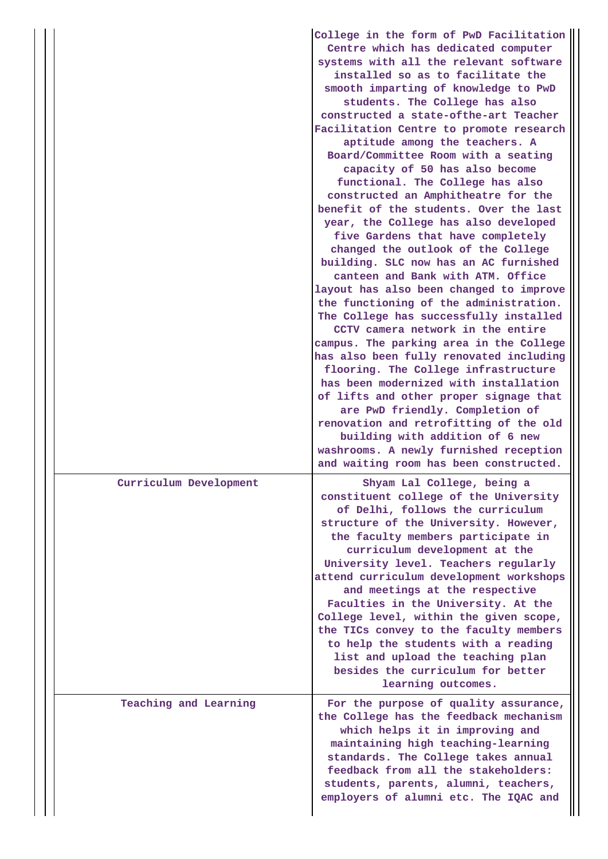|                        | College in the form of PwD Facilitation<br>Centre which has dedicated computer<br>systems with all the relevant software<br>installed so as to facilitate the<br>smooth imparting of knowledge to PwD<br>students. The College has also<br>constructed a state-ofthe-art Teacher<br>Facilitation Centre to promote research<br>aptitude among the teachers. A<br>Board/Committee Room with a seating<br>capacity of 50 has also become<br>functional. The College has also<br>constructed an Amphitheatre for the<br>benefit of the students. Over the last<br>year, the College has also developed<br>five Gardens that have completely<br>changed the outlook of the College<br>building. SLC now has an AC furnished<br>canteen and Bank with ATM. Office<br>layout has also been changed to improve<br>the functioning of the administration.<br>The College has successfully installed<br>CCTV camera network in the entire<br>campus. The parking area in the College<br>has also been fully renovated including<br>flooring. The College infrastructure<br>has been modernized with installation<br>of lifts and other proper signage that<br>are PwD friendly. Completion of<br>renovation and retrofitting of the old<br>building with addition of 6 new<br>washrooms. A newly furnished reception |
|------------------------|-------------------------------------------------------------------------------------------------------------------------------------------------------------------------------------------------------------------------------------------------------------------------------------------------------------------------------------------------------------------------------------------------------------------------------------------------------------------------------------------------------------------------------------------------------------------------------------------------------------------------------------------------------------------------------------------------------------------------------------------------------------------------------------------------------------------------------------------------------------------------------------------------------------------------------------------------------------------------------------------------------------------------------------------------------------------------------------------------------------------------------------------------------------------------------------------------------------------------------------------------------------------------------------------------------------|
| Curriculum Development | and waiting room has been constructed.<br>Shyam Lal College, being a<br>constituent college of the University<br>of Delhi, follows the curriculum<br>structure of the University. However,<br>the faculty members participate in<br>curriculum development at the<br>University level. Teachers regularly<br>attend curriculum development workshops<br>and meetings at the respective<br>Faculties in the University. At the<br>College level, within the given scope,<br>the TICs convey to the faculty members<br>to help the students with a reading<br>list and upload the teaching plan<br>besides the curriculum for better<br>learning outcomes.                                                                                                                                                                                                                                                                                                                                                                                                                                                                                                                                                                                                                                                    |
| Teaching and Learning  | For the purpose of quality assurance,<br>the College has the feedback mechanism<br>which helps it in improving and<br>maintaining high teaching-learning<br>standards. The College takes annual<br>feedback from all the stakeholders:<br>students, parents, alumni, teachers,<br>employers of alumni etc. The IQAC and                                                                                                                                                                                                                                                                                                                                                                                                                                                                                                                                                                                                                                                                                                                                                                                                                                                                                                                                                                                     |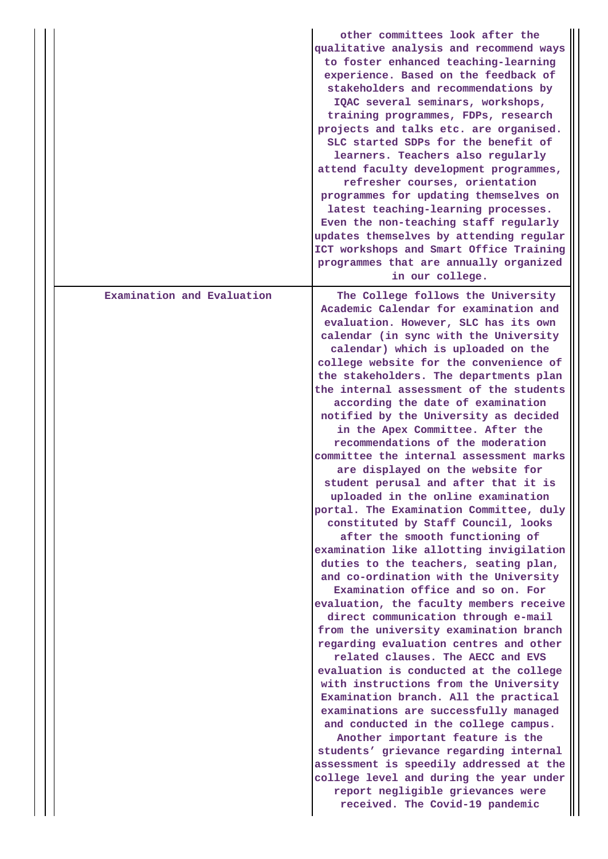|                            | other committees look after the<br>qualitative analysis and recommend ways<br>to foster enhanced teaching-learning<br>experience. Based on the feedback of<br>stakeholders and recommendations by<br>IQAC several seminars, workshops,<br>training programmes, FDPs, research<br>projects and talks etc. are organised.<br>SLC started SDPs for the benefit of<br>learners. Teachers also regularly<br>attend faculty development programmes,<br>refresher courses, orientation<br>programmes for updating themselves on<br>latest teaching-learning processes.<br>Even the non-teaching staff regularly<br>updates themselves by attending regular<br>ICT workshops and Smart Office Training<br>programmes that are annually organized<br>in our college.                                                                                                                                                                                                                                                                                                                                                                                                                                                                                                                                                                                                                                                                                                                                                                                                                                                      |
|----------------------------|------------------------------------------------------------------------------------------------------------------------------------------------------------------------------------------------------------------------------------------------------------------------------------------------------------------------------------------------------------------------------------------------------------------------------------------------------------------------------------------------------------------------------------------------------------------------------------------------------------------------------------------------------------------------------------------------------------------------------------------------------------------------------------------------------------------------------------------------------------------------------------------------------------------------------------------------------------------------------------------------------------------------------------------------------------------------------------------------------------------------------------------------------------------------------------------------------------------------------------------------------------------------------------------------------------------------------------------------------------------------------------------------------------------------------------------------------------------------------------------------------------------------------------------------------------------------------------------------------------------|
| Examination and Evaluation | The College follows the University<br>Academic Calendar for examination and<br>evaluation. However, SLC has its own<br>calendar (in sync with the University<br>calendar) which is uploaded on the<br>college website for the convenience of<br>the stakeholders. The departments plan<br>the internal assessment of the students<br>according the date of examination<br>notified by the University as decided<br>in the Apex Committee. After the<br>recommendations of the moderation<br>committee the internal assessment marks<br>are displayed on the website for<br>student perusal and after that it is<br>uploaded in the online examination<br>portal. The Examination Committee, duly<br>constituted by Staff Council, looks<br>after the smooth functioning of<br>examination like allotting invigilation<br>duties to the teachers, seating plan,<br>and co-ordination with the University<br>Examination office and so on. For<br>evaluation, the faculty members receive<br>direct communication through e-mail<br>from the university examination branch<br>regarding evaluation centres and other<br>related clauses. The AECC and EVS<br>evaluation is conducted at the college<br>with instructions from the University<br>Examination branch. All the practical<br>examinations are successfully managed<br>and conducted in the college campus.<br>Another important feature is the<br>students' grievance regarding internal<br>assessment is speedily addressed at the<br>college level and during the year under<br>report negligible grievances were<br>received. The Covid-19 pandemic |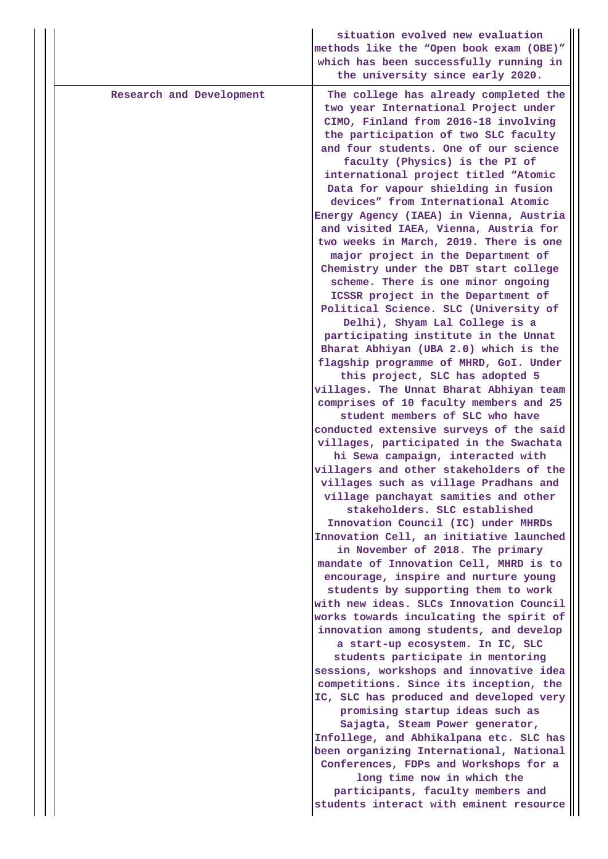|                          | situation evolved new evaluation<br>methods like the "Open book exam (OBE)"<br>which has been successfully running in<br>the university since early 2020.                                                                                                                                                                                                                                                                                                                                                                                                                                                                                                                                                                                                                                                                                                                                                                                                                                                                                                                                                                                                                                                                                                                                                                                                                                                                                                                                                                                                                                                                                                                                                                                                                                                                                                                                                                                                                                                                                                          |
|--------------------------|--------------------------------------------------------------------------------------------------------------------------------------------------------------------------------------------------------------------------------------------------------------------------------------------------------------------------------------------------------------------------------------------------------------------------------------------------------------------------------------------------------------------------------------------------------------------------------------------------------------------------------------------------------------------------------------------------------------------------------------------------------------------------------------------------------------------------------------------------------------------------------------------------------------------------------------------------------------------------------------------------------------------------------------------------------------------------------------------------------------------------------------------------------------------------------------------------------------------------------------------------------------------------------------------------------------------------------------------------------------------------------------------------------------------------------------------------------------------------------------------------------------------------------------------------------------------------------------------------------------------------------------------------------------------------------------------------------------------------------------------------------------------------------------------------------------------------------------------------------------------------------------------------------------------------------------------------------------------------------------------------------------------------------------------------------------------|
| Research and Development | The college has already completed the<br>two year International Project under<br>CIMO, Finland from 2016-18 involving<br>the participation of two SLC faculty<br>and four students. One of our science<br>faculty (Physics) is the PI of<br>international project titled "Atomic<br>Data for vapour shielding in fusion<br>devices" from International Atomic<br>Energy Agency (IAEA) in Vienna, Austria<br>and visited IAEA, Vienna, Austria for<br>two weeks in March, 2019. There is one<br>major project in the Department of<br>Chemistry under the DBT start college<br>scheme. There is one minor ongoing<br>ICSSR project in the Department of<br>Political Science. SLC (University of<br>Delhi), Shyam Lal College is a<br>participating institute in the Unnat<br>Bharat Abhiyan (UBA 2.0) which is the<br>flagship programme of MHRD, GoI. Under<br>this project, SLC has adopted 5<br>villages. The Unnat Bharat Abhiyan team<br>comprises of 10 faculty members and 25<br>student members of SLC who have<br>conducted extensive surveys of the said<br>villages, participated in the Swachata<br>hi Sewa campaign, interacted with<br>villagers and other stakeholders of the<br>villages such as village Pradhans and<br>village panchayat samities and other<br>stakeholders. SLC established<br>Innovation Council (IC) under MHRDs<br>Innovation Cell, an initiative launched<br>in November of 2018. The primary<br>mandate of Innovation Cell, MHRD is to<br>encourage, inspire and nurture young<br>students by supporting them to work<br>with new ideas. SLCs Innovation Council<br>works towards inculcating the spirit of<br>innovation among students, and develop<br>a start-up ecosystem. In IC, SLC<br>students participate in mentoring<br>sessions, workshops and innovative idea<br>competitions. Since its inception, the<br>IC, SLC has produced and developed very<br>promising startup ideas such as<br>Sajagta, Steam Power generator,<br>Infollege, and Abhikalpana etc. SLC has<br>been organizing International, National |
|                          | Conferences, FDPs and Workshops for a<br>long time now in which the<br>participants, faculty members and<br>students interact with eminent resource                                                                                                                                                                                                                                                                                                                                                                                                                                                                                                                                                                                                                                                                                                                                                                                                                                                                                                                                                                                                                                                                                                                                                                                                                                                                                                                                                                                                                                                                                                                                                                                                                                                                                                                                                                                                                                                                                                                |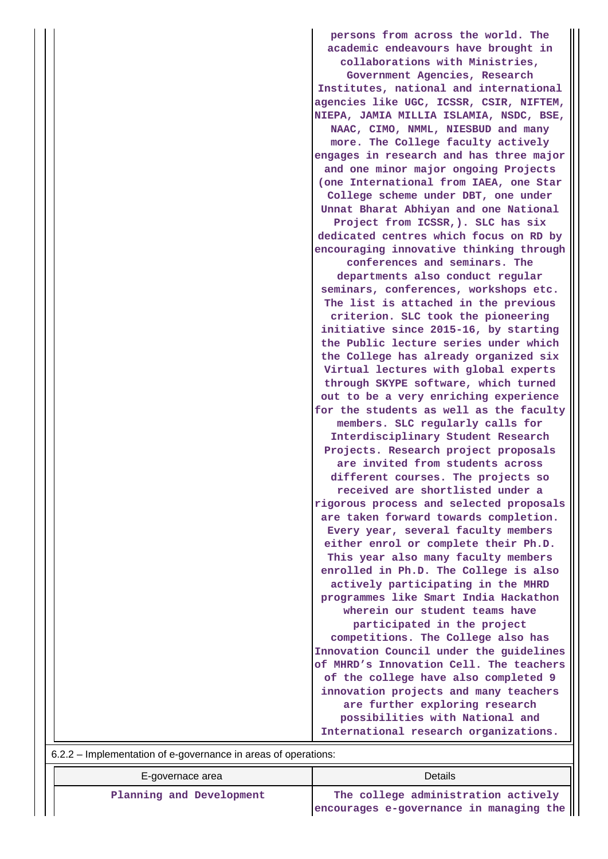**persons from across the world. The academic endeavours have brought in collaborations with Ministries,**

**Government Agencies, Research Institutes, national and international agencies like UGC, ICSSR, CSIR, NIFTEM, NIEPA, JAMIA MILLIA ISLAMIA, NSDC, BSE, NAAC, CIMO, NMML, NIESBUD and many more. The College faculty actively engages in research and has three major and one minor major ongoing Projects (one International from IAEA, one Star College scheme under DBT, one under Unnat Bharat Abhiyan and one National Project from ICSSR,). SLC has six dedicated centres which focus on RD by encouraging innovative thinking through conferences and seminars. The departments also conduct regular seminars, conferences, workshops etc. The list is attached in the previous criterion. SLC took the pioneering initiative since 2015-16, by starting the Public lecture series under which the College has already organized six Virtual lectures with global experts through SKYPE software, which turned out to be a very enriching experience for the students as well as the faculty members. SLC regularly calls for Interdisciplinary Student Research Projects. Research project proposals are invited from students across different courses. The projects so received are shortlisted under a rigorous process and selected proposals are taken forward towards completion. Every year, several faculty members either enrol or complete their Ph.D. This year also many faculty members enrolled in Ph.D. The College is also actively participating in the MHRD programmes like Smart India Hackathon wherein our student teams have participated in the project competitions. The College also has Innovation Council under the guidelines of MHRD's Innovation Cell. The teachers of the college have also completed 9 innovation projects and many teachers are further exploring research possibilities with National and International research organizations.**

| 6.2.2 – Implementation of e-governance in areas of operations: |  |
|----------------------------------------------------------------|--|
|                                                                |  |

| E-governace area         | Details                                                                           |
|--------------------------|-----------------------------------------------------------------------------------|
| Planning and Development | The college administration actively   <br>encourages e-governance in managing the |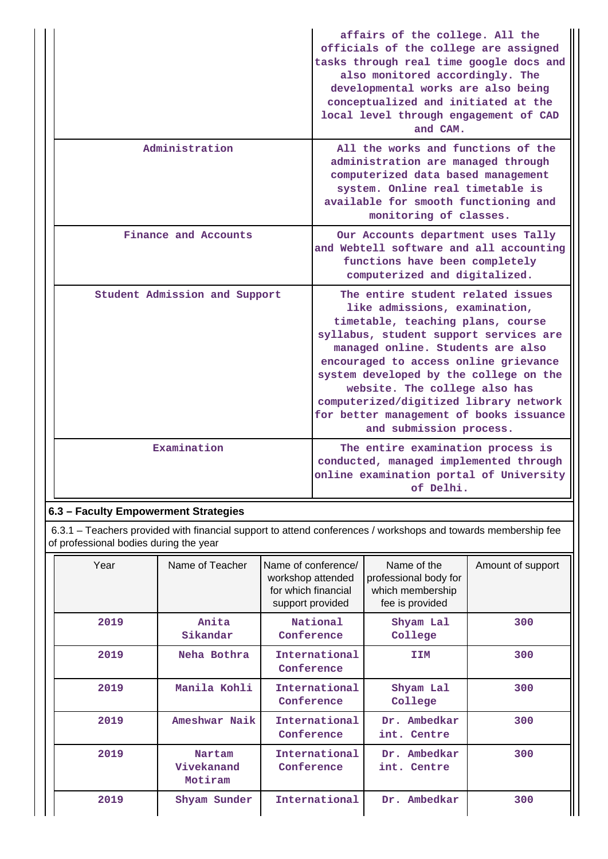|                               | affairs of the college. All the<br>officials of the college are assigned<br>tasks through real time google docs and<br>also monitored accordingly. The<br>developmental works are also being<br>conceptualized and initiated at the<br>local level through engagement of CAD<br>and CAM.                                                                                                                                   |
|-------------------------------|----------------------------------------------------------------------------------------------------------------------------------------------------------------------------------------------------------------------------------------------------------------------------------------------------------------------------------------------------------------------------------------------------------------------------|
| Administration                | All the works and functions of the<br>administration are managed through<br>computerized data based management<br>system. Online real timetable is<br>available for smooth functioning and<br>monitoring of classes.                                                                                                                                                                                                       |
| Finance and Accounts          | Our Accounts department uses Tally<br>and Webtell software and all accounting<br>functions have been completely<br>computerized and digitalized.                                                                                                                                                                                                                                                                           |
| Student Admission and Support | The entire student related issues<br>like admissions, examination,<br>timetable, teaching plans, course<br>syllabus, student support services are<br>managed online. Students are also<br>encouraged to access online grievance<br>system developed by the college on the<br>website. The college also has<br>computerized/digitized library network<br>for better management of books issuance<br>and submission process. |
| Examination                   | The entire examination process is<br>conducted, managed implemented through<br>online examination portal of University<br>of Delhi.                                                                                                                                                                                                                                                                                        |

## **6.3 – Faculty Empowerment Strategies**

 6.3.1 – Teachers provided with financial support to attend conferences / workshops and towards membership fee of professional bodies during the year

| Year | Name of Teacher                 | Name of conference/<br>workshop attended<br>for which financial<br>support provided | Name of the<br>professional body for<br>which membership<br>fee is provided | Amount of support |
|------|---------------------------------|-------------------------------------------------------------------------------------|-----------------------------------------------------------------------------|-------------------|
| 2019 | Anita<br>Sikandar               | National<br>Conference                                                              |                                                                             | 300               |
| 2019 | Neha Bothra                     | International<br><b>IIM</b><br>Conference                                           |                                                                             | 300               |
| 2019 | Manila Kohli                    | International<br>Conference                                                         |                                                                             | 300               |
| 2019 | Ameshwar Naik                   | International<br>Dr. Ambedkar<br>Conference<br>int. Centre                          |                                                                             | 300               |
| 2019 | Nartam<br>Vivekanand<br>Motiram | International<br>Conference                                                         | Dr. Ambedkar<br>int. Centre                                                 | 300               |
| 2019 | Shyam Sunder                    | International                                                                       | Ambedkar<br>Dr.                                                             | 300               |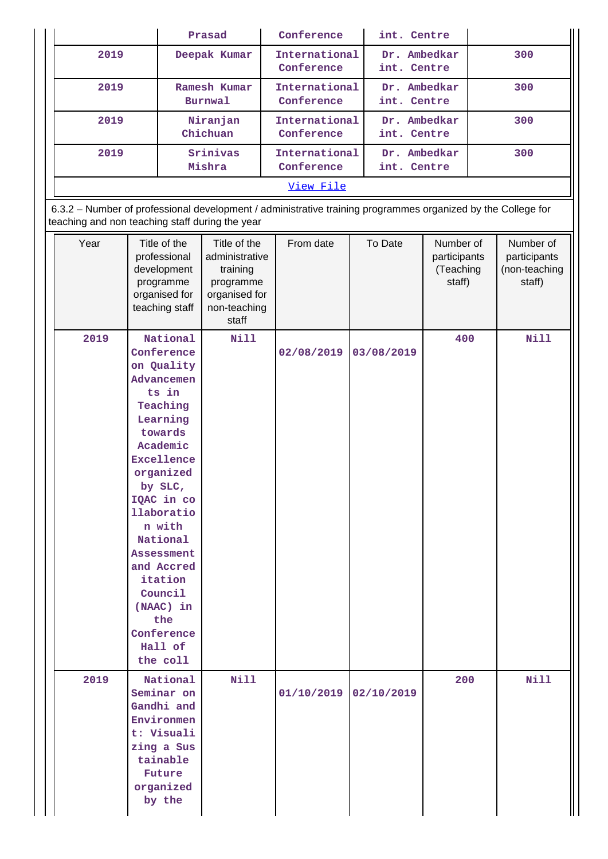| Prasad                         | Conference                                                 | int. Centre                 |     |  |  |  |
|--------------------------------|------------------------------------------------------------|-----------------------------|-----|--|--|--|
| Deepak Kumar                   | International<br>Conference                                | Dr. Ambedkar<br>int. Centre | 300 |  |  |  |
| Ramesh Kumar<br><b>Burnwal</b> | International<br>Conference                                | Dr. Ambedkar<br>int. Centre | 300 |  |  |  |
| Niranjan<br>Chichuan           | International<br>Conference                                | Dr. Ambedkar<br>int. Centre | 300 |  |  |  |
| Srinivas<br>Mishra             | International<br>Dr. Ambedkar<br>Conference<br>int. Centre |                             | 300 |  |  |  |
| View File                      |                                                            |                             |     |  |  |  |
|                                |                                                            |                             |     |  |  |  |

6.3.2 – Number of professional development / administrative training programmes organized by the College for teaching and non teaching staff during the year

| Year | Title of the<br>professional<br>development<br>programme<br>organised for<br>teaching staff                                                                                                                                                                                                                                 | Title of the<br>administrative<br>training<br>programme<br>organised for<br>non-teaching<br>staff | From date             | To Date    | Number of<br>participants<br>(Teaching<br>staff) | Number of<br>participants<br>(non-teaching<br>staff) |
|------|-----------------------------------------------------------------------------------------------------------------------------------------------------------------------------------------------------------------------------------------------------------------------------------------------------------------------------|---------------------------------------------------------------------------------------------------|-----------------------|------------|--------------------------------------------------|------------------------------------------------------|
| 2019 | National<br>Conference<br>on Quality<br>Advancemen<br>ts in<br>Teaching<br>Learning<br>towards<br>Academic<br><b>Excellence</b><br>organized<br>by SLC,<br>IQAC in co<br>llaboratio<br>n with<br>National<br><b>Assessment</b><br>and Accred<br>itation<br>Council<br>(NAAC) in<br>the<br>Conference<br>Hall of<br>the coll | Nill                                                                                              | 02/08/2019            | 03/08/2019 | 400                                              | Nill                                                 |
| 2019 | National<br>Seminar on<br>Gandhi and<br>Environmen<br>t: Visuali<br>zing a Sus<br>tainable<br>Future<br>$organized$<br>by the                                                                                                                                                                                               | Nill                                                                                              | 01/10/2019 02/10/2019 |            | 200                                              | <b>Nill</b>                                          |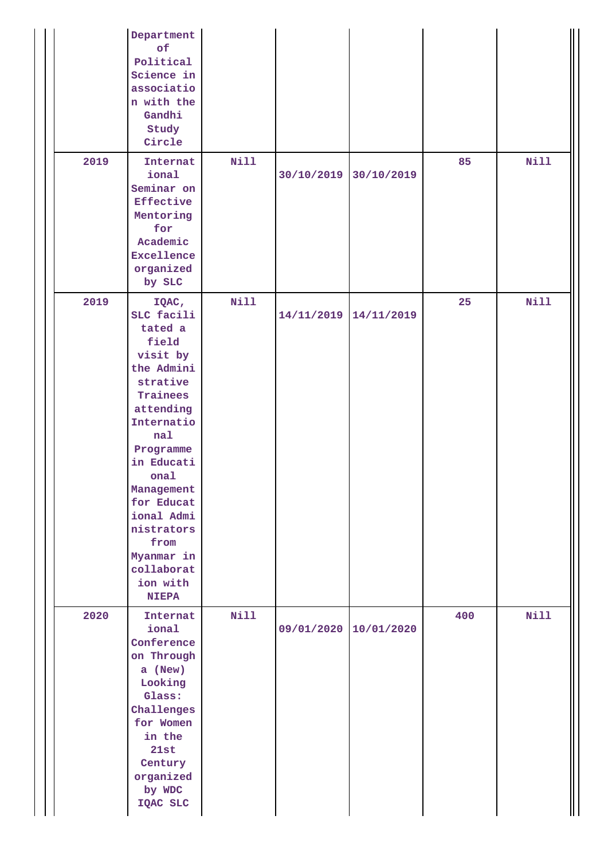|      | Department<br>of<br>Political<br>Science in<br>associatio<br>n with the<br>Gandhi<br>Study<br>Circle                                                                                                                                                                                   |      |            |            |     |      |
|------|----------------------------------------------------------------------------------------------------------------------------------------------------------------------------------------------------------------------------------------------------------------------------------------|------|------------|------------|-----|------|
| 2019 | Internat<br>ional<br>Seminar on<br>Effective<br>Mentoring<br>for<br>Academic<br><b>Excellence</b><br>$organized$<br>by SLC                                                                                                                                                             | Nill | 30/10/2019 | 30/10/2019 | 85  | Nill |
| 2019 | IQAC,<br>SLC facili<br>tated a<br>field<br>visit by<br>the Admini<br>strative<br>Trainees<br>attending<br>Internatio<br>nal<br>Programme<br>in Educati<br>onal<br>Management<br>for Educat<br>ional Admi<br>nistrators<br>from<br>Myanmar in<br>collaborat<br>ion with<br><b>NIEPA</b> | Nill | 14/11/2019 | 14/11/2019 | 25  | Nill |
| 2020 | Internat<br>ional<br>Conference<br>on Through<br>a (New)<br>Looking<br>Glass:<br>Challenges<br>for Women<br>in the<br>21st<br>Century<br>$organized$<br>by WDC<br>IQAC SLC                                                                                                             | Nill | 09/01/2020 | 10/01/2020 | 400 | Nill |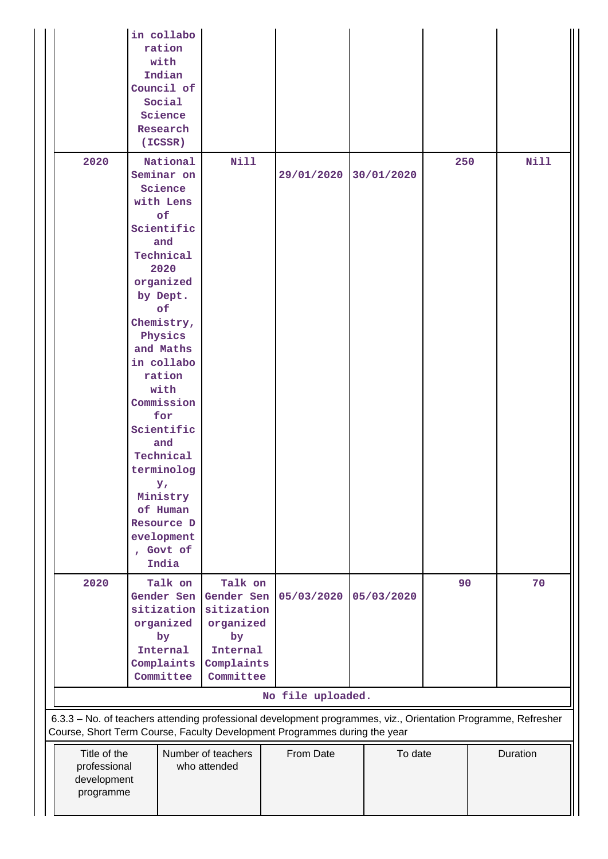|                                                                                                                                       | in collabo<br>ration<br>with<br>Indian<br>Council of<br>Social<br>Science<br>Research<br>(ICSSR)                                                                                                                                                                                                                                                                   |                                                                                               |                   |            |     |                                                                                                               |
|---------------------------------------------------------------------------------------------------------------------------------------|--------------------------------------------------------------------------------------------------------------------------------------------------------------------------------------------------------------------------------------------------------------------------------------------------------------------------------------------------------------------|-----------------------------------------------------------------------------------------------|-------------------|------------|-----|---------------------------------------------------------------------------------------------------------------|
| 2020                                                                                                                                  | National<br>Seminar on<br>Science<br>with Lens<br>of<br>Scientific<br>and<br>Technical<br>2020<br>organized<br>by Dept.<br>of<br>Chemistry,<br>Physics<br>and Maths<br>in collabo<br>ration<br>with<br>Commission<br>for<br>Scientific<br>and<br>Technical<br>terminolog<br>$\mathbf{y}$<br>Ministry<br>of Human<br>Resource D<br>evelopment<br>, Govt of<br>India | <b>Nill</b>                                                                                   | 29/01/2020        | 30/01/2020 | 250 | <b>Nill</b>                                                                                                   |
| 2020                                                                                                                                  | Talk on<br>Gender Sen<br>sitization<br>organized<br>by<br>Internal<br>Complaints<br>Committee                                                                                                                                                                                                                                                                      | Talk on<br>Gender Sen<br>sitization<br>organized<br>by<br>Internal<br>Complaints<br>Committee | 05/03/2020        | 05/03/2020 | 90  | 70                                                                                                            |
|                                                                                                                                       |                                                                                                                                                                                                                                                                                                                                                                    |                                                                                               | No file uploaded. |            |     | 6.3.3 - No. of teachers attending professional development programmes, viz., Orientation Programme, Refresher |
| Course, Short Term Course, Faculty Development Programmes during the year<br>Title of the<br>professional<br>development<br>programme |                                                                                                                                                                                                                                                                                                                                                                    | Number of teachers<br>who attended                                                            | From Date         | To date    |     | Duration                                                                                                      |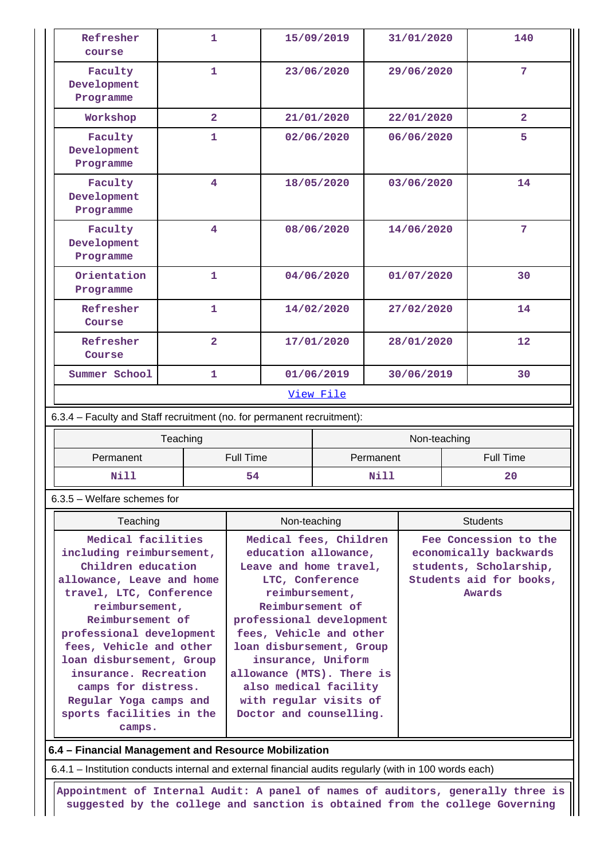| Refresher<br>course                                                    |                         |           | 15/09/2019      |                                                     | 31/01/2020 |                 | 140              |                         |
|------------------------------------------------------------------------|-------------------------|-----------|-----------------|-----------------------------------------------------|------------|-----------------|------------------|-------------------------|
| Faculty<br>Development<br>Programme                                    | $\mathbf{1}$            |           |                 | 23/06/2020                                          |            | 29/06/2020      |                  | 7 <sup>1</sup>          |
| Workshop                                                               | $\overline{2}$          |           |                 | 21/01/2020                                          |            | 22/01/2020      |                  | $\overline{2}$          |
| Faculty<br>Development<br>Programme                                    | 1                       |           |                 | 02/06/2020                                          |            | 06/06/2020      |                  | 5                       |
| Faculty<br>Development<br>Programme                                    | $\overline{\mathbf{4}}$ |           |                 | 18/05/2020                                          |            | 03/06/2020      |                  | 14                      |
| 4<br>Faculty<br>Development<br>Programme                               |                         |           | 08/06/2020      |                                                     | 14/06/2020 |                 | $7\phantom{.}$   |                         |
| Orientation<br>Programme                                               | $\mathbf{1}$            |           | 04/06/2020      |                                                     |            | 01/07/2020      |                  | 30                      |
| Refresher<br>Course                                                    | $\mathbf{1}$            |           | 14/02/2020      |                                                     | 27/02/2020 |                 | 14               |                         |
| Refresher<br>Course                                                    | $\overline{2}$          |           | 17/01/2020      |                                                     | 28/01/2020 |                 | 12               |                         |
| Summer School                                                          | $\mathbf{1}$            |           |                 | 01/06/2019                                          |            | 30/06/2019      |                  | 30                      |
|                                                                        |                         |           |                 | View File                                           |            |                 |                  |                         |
| 6.3.4 - Faculty and Staff recruitment (no. for permanent recruitment): |                         |           |                 |                                                     |            |                 |                  |                         |
|                                                                        | Teaching                |           |                 |                                                     |            | Non-teaching    |                  |                         |
| Permanent                                                              |                         | Full Time |                 | Permanent                                           |            |                 | <b>Full Time</b> |                         |
| Nill                                                                   |                         | 54        |                 | Nill                                                |            |                 |                  | 20                      |
| 6.3.5 - Welfare schemes for                                            |                         |           |                 |                                                     |            |                 |                  |                         |
| Teaching                                                               |                         |           | Non-teaching    |                                                     |            | <b>Students</b> |                  |                         |
| Medical facilities                                                     |                         |           |                 | Medical fees, Children                              |            |                 |                  | Fee Concession to the   |
| including reimbursement,                                               |                         |           |                 | education allowance,                                |            |                 |                  | economically backwards  |
| Children education                                                     |                         |           |                 | Leave and home travel,                              |            |                 |                  | students, Scholarship,  |
| allowance, Leave and home                                              |                         |           | LTC, Conference |                                                     |            |                 |                  | Students aid for books, |
| travel, LTC, Conference                                                |                         |           | reimbursement,  |                                                     |            |                 |                  | Awards                  |
| reimbursement,                                                         |                         |           |                 | Reimbursement of                                    |            |                 |                  |                         |
| Reimbursement of<br>professional development                           |                         |           |                 | professional development<br>fees, Vehicle and other |            |                 |                  |                         |
| fees, Vehicle and other                                                |                         |           |                 | loan disbursement, Group                            |            |                 |                  |                         |
|                                                                        |                         |           |                 |                                                     |            |                 |                  |                         |

**loan disbursement, Group insurance. Recreation camps for distress. Regular Yoga camps and sports facilities in the camps.**

## **6.4 – Financial Management and Resource Mobilization**

6.4.1 – Institution conducts internal and external financial audits regularly (with in 100 words each)

 **Appointment of Internal Audit: A panel of names of auditors, generally three is suggested by the college and sanction is obtained from the college Governing**

**insurance, Uniform allowance (MTS). There is also medical facility with regular visits of Doctor and counselling.**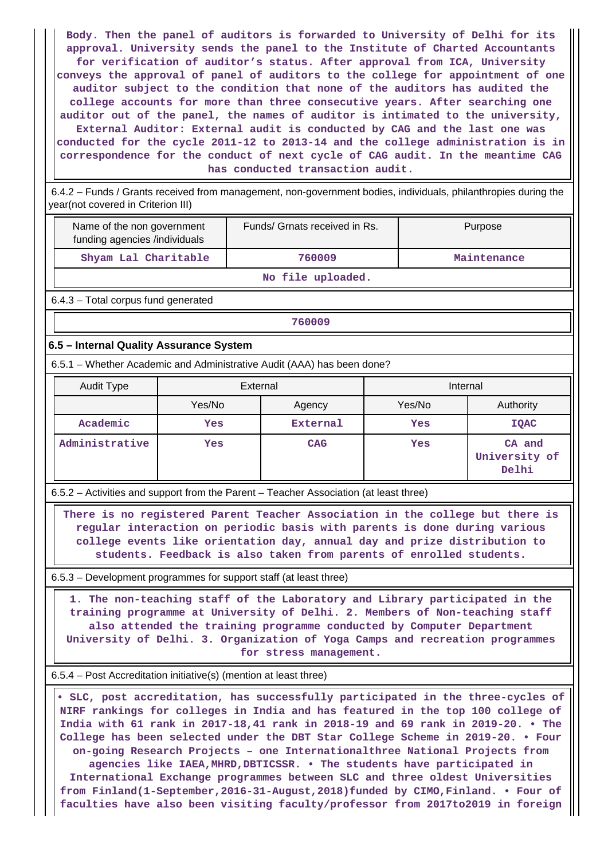**Body. Then the panel of auditors is forwarded to University of Delhi for its approval. University sends the panel to the Institute of Charted Accountants for verification of auditor's status. After approval from ICA, University conveys the approval of panel of auditors to the college for appointment of one auditor subject to the condition that none of the auditors has audited the college accounts for more than three consecutive years. After searching one auditor out of the panel, the names of auditor is intimated to the university, External Auditor: External audit is conducted by CAG and the last one was conducted for the cycle 2011-12 to 2013-14 and the college administration is in correspondence for the conduct of next cycle of CAG audit. In the meantime CAG has conducted transaction audit.**

 6.4.2 – Funds / Grants received from management, non-government bodies, individuals, philanthropies during the year(not covered in Criterion III)

| Name of the non government<br>funding agencies /individuals | Funds/ Grnats received in Rs. | Purpose     |  |
|-------------------------------------------------------------|-------------------------------|-------------|--|
| Shyam Lal Charitable                                        | 760009                        | Maintenance |  |

**No file uploaded.**

6.4.3 – Total corpus fund generated

**760009**

#### **6.5 – Internal Quality Assurance System**

6.5.1 – Whether Academic and Administrative Audit (AAA) has been done?

| Audit Type     | External |            | Internal |                                  |
|----------------|----------|------------|----------|----------------------------------|
|                | Yes/No   | Agency     | Yes/No   | Authority                        |
| Academic       | Yes      | External   | Yes      | <b>IQAC</b>                      |
| Administrative | Yes      | <b>CAG</b> | Yes      | CA and<br>University of<br>Delhi |

6.5.2 – Activities and support from the Parent – Teacher Association (at least three)

 **There is no registered Parent Teacher Association in the college but there is regular interaction on periodic basis with parents is done during various college events like orientation day, annual day and prize distribution to students. Feedback is also taken from parents of enrolled students.**

6.5.3 – Development programmes for support staff (at least three)

 **1. The non-teaching staff of the Laboratory and Library participated in the training programme at University of Delhi. 2. Members of Non-teaching staff also attended the training programme conducted by Computer Department University of Delhi. 3. Organization of Yoga Camps and recreation programmes for stress management.**

6.5.4 – Post Accreditation initiative(s) (mention at least three)

 **• SLC, post accreditation, has successfully participated in the three-cycles of NIRF rankings for colleges in India and has featured in the top 100 college of India with 61 rank in 2017-18,41 rank in 2018-19 and 69 rank in 2019-20. • The College has been selected under the DBT Star College Scheme in 2019-20. • Four on-going Research Projects – one Internationalthree National Projects from agencies like IAEA,MHRD,DBTICSSR. • The students have participated in International Exchange programmes between SLC and three oldest Universities from Finland(1-September,2016-31-August,2018)funded by CIMO,Finland. • Four of faculties have also been visiting faculty/professor from 2017to2019 in foreign**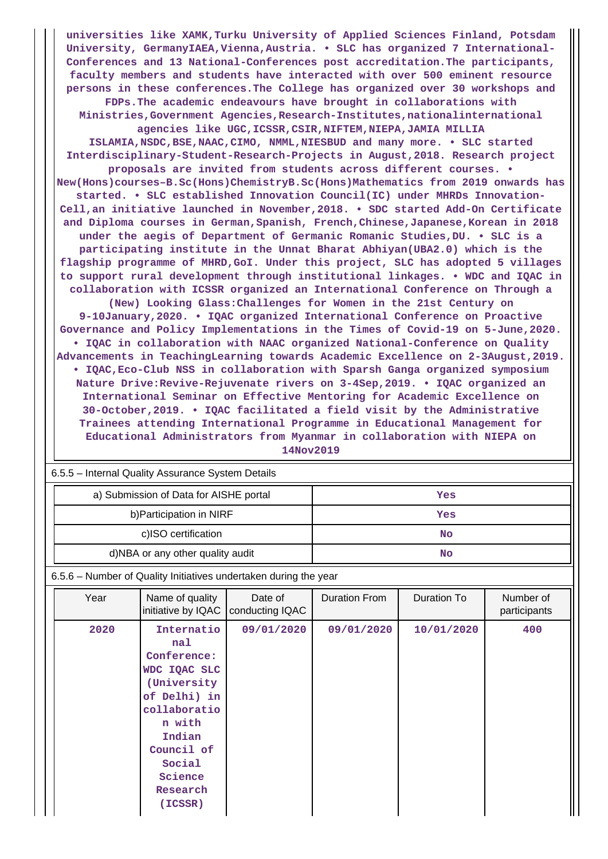**universities like XAMK,Turku University of Applied Sciences Finland, Potsdam** University, GermanyIAEA, Vienna, Austria. . SLC has organized 7 International-**Conferences and 13 National-Conferences post accreditation.The participants, faculty members and students have interacted with over 500 eminent resource persons in these conferences.The College has organized over 30 workshops and FDPs.The academic endeavours have brought in collaborations with Ministries,Government Agencies,Research-Institutes,nationalinternational agencies like UGC,ICSSR,CSIR,NIFTEM,NIEPA,JAMIA MILLIA ISLAMIA,NSDC,BSE,NAAC,CIMO, NMML,NIESBUD and many more. • SLC started Interdisciplinary-Student-Research-Projects in August,2018. Research project proposals are invited from students across different courses. • New(Hons)courses–B.Sc(Hons)ChemistryB.Sc(Hons)Mathematics from 2019 onwards has started. • SLC established Innovation Council(IC) under MHRDs Innovation-Cell,an initiative launched in November,2018. • SDC started Add-On Certificate and Diploma courses in German,Spanish, French,Chinese,Japanese,Korean in 2018 under the aegis of Department of Germanic Romanic Studies,DU. • SLC is a participating institute in the Unnat Bharat Abhiyan(UBA2.0) which is the flagship programme of MHRD,GoI. Under this project, SLC has adopted 5 villages to support rural development through institutional linkages. • WDC and IQAC in collaboration with ICSSR organized an International Conference on Through a (New) Looking Glass:Challenges for Women in the 21st Century on 9-10January,2020. • IQAC organized International Conference on Proactive Governance and Policy Implementations in the Times of Covid-19 on 5-June,2020. • IQAC in collaboration with NAAC organized National-Conference on Quality Advancements in TeachingLearning towards Academic Excellence on 2-3August,2019. • IQAC,Eco-Club NSS in collaboration with Sparsh Ganga organized symposium Nature Drive:Revive-Rejuvenate rivers on 3-4Sep,2019. • IQAC organized an International Seminar on Effective Mentoring for Academic Excellence on 30-October,2019. • IQAC facilitated a field visit by the Administrative Trainees attending International Programme in Educational Management for Educational Administrators from Myanmar in collaboration with NIEPA on 14Nov2019**

| 6.5.5 - Internal Quality Assurance System Details |     |  |  |  |  |
|---------------------------------------------------|-----|--|--|--|--|
| a) Submission of Data for AISHE portal            | Yes |  |  |  |  |
| b) Participation in NIRF                          | Yes |  |  |  |  |
| c)ISO certification                               | No  |  |  |  |  |
| d)NBA or any other quality audit                  | No  |  |  |  |  |

6.5.6 – Number of Quality Initiatives undertaken during the year

| Year | Name of quality<br>initiative by IQAC                                                                                                                                         | Date of<br>conducting IQAC | <b>Duration From</b> | <b>Duration To</b> | Number of<br>participants |
|------|-------------------------------------------------------------------------------------------------------------------------------------------------------------------------------|----------------------------|----------------------|--------------------|---------------------------|
| 2020 | Internatio<br>na1<br>Conference:<br>WDC IQAC SLC<br>(University<br>of Delhi) in<br>collaboratio<br>n with<br>Indian<br>Council of<br>Social<br>Science<br>Research<br>(ICSSR) | 09/01/2020                 | 09/01/2020           | 10/01/2020         | 400                       |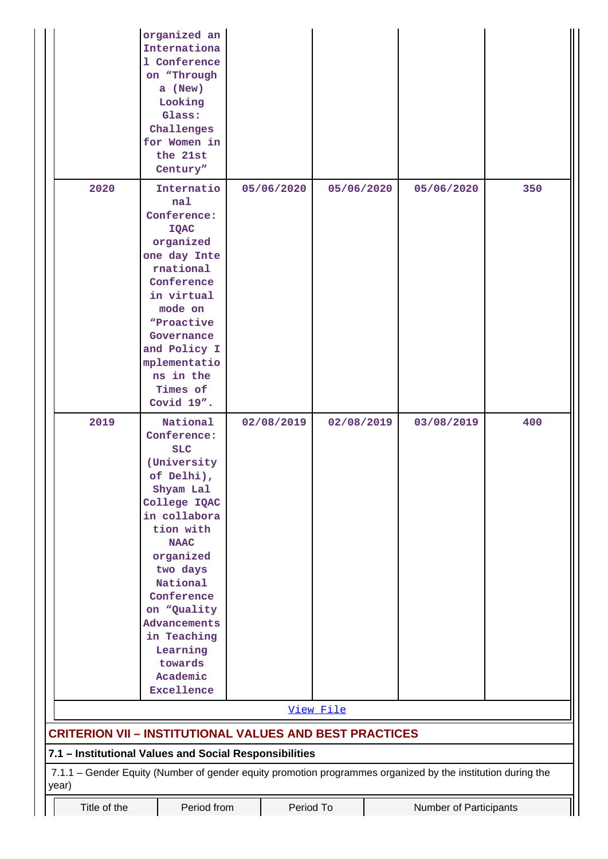|       |                                                                    |  | organized an<br>Internationa<br>1 Conference<br>on "Through<br>a (New)<br>Looking<br>Glass:<br>Challenges<br>for Women in<br>the 21st<br>Century"                                                                                                                                             |  |            |            |                                                                                                             |     |
|-------|--------------------------------------------------------------------|--|-----------------------------------------------------------------------------------------------------------------------------------------------------------------------------------------------------------------------------------------------------------------------------------------------|--|------------|------------|-------------------------------------------------------------------------------------------------------------|-----|
|       | 2020                                                               |  | Internatio<br>nal<br>Conference:<br><b>IQAC</b><br>organized<br>one day Inte<br>rnational<br>Conference<br>in virtual<br>mode on<br>"Proactive<br>Governance<br>and Policy I<br>mplementatio<br>ns in the<br>Times of<br>Covid 19".                                                           |  | 05/06/2020 | 05/06/2020 | 05/06/2020                                                                                                  | 350 |
|       | 2019                                                               |  | National<br>Conference:<br><b>SLC</b><br>(University<br>of Delhi),<br>Shyam Lal<br>College IQAC<br>in collabora<br>tion with<br><b>NAAC</b><br>organized<br>two days<br>National<br>Conference<br>on "Quality<br>Advancements<br>in Teaching<br>Learning<br>towards<br>Academic<br>Excellence |  | 02/08/2019 | 02/08/2019 | 03/08/2019                                                                                                  | 400 |
|       |                                                                    |  |                                                                                                                                                                                                                                                                                               |  |            | View File  |                                                                                                             |     |
|       |                                                                    |  | <b>CRITERION VII - INSTITUTIONAL VALUES AND BEST PRACTICES</b>                                                                                                                                                                                                                                |  |            |            |                                                                                                             |     |
|       |                                                                    |  | 7.1 - Institutional Values and Social Responsibilities                                                                                                                                                                                                                                        |  |            |            |                                                                                                             |     |
| year) |                                                                    |  |                                                                                                                                                                                                                                                                                               |  |            |            | 7.1.1 - Gender Equity (Number of gender equity promotion programmes organized by the institution during the |     |
|       | Title of the<br>Period from<br>Period To<br>Number of Participants |  |                                                                                                                                                                                                                                                                                               |  |            |            |                                                                                                             |     |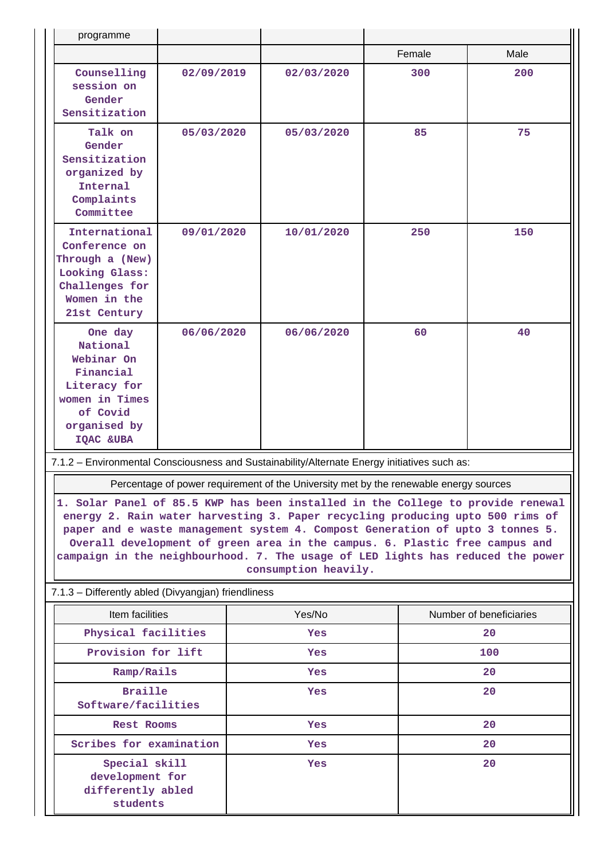| programme                                                                                                                 |                                                                                                                                                                                                                                                                                                                                                                                                                                             |        |                                                                                       |  |                         |      |
|---------------------------------------------------------------------------------------------------------------------------|---------------------------------------------------------------------------------------------------------------------------------------------------------------------------------------------------------------------------------------------------------------------------------------------------------------------------------------------------------------------------------------------------------------------------------------------|--------|---------------------------------------------------------------------------------------|--|-------------------------|------|
|                                                                                                                           |                                                                                                                                                                                                                                                                                                                                                                                                                                             |        |                                                                                       |  | Female                  | Male |
| Counselling<br>session on<br>Gender<br>Sensitization                                                                      | 02/09/2019                                                                                                                                                                                                                                                                                                                                                                                                                                  |        | 02/03/2020                                                                            |  | 300                     | 200  |
| Talk on<br>Gender<br>Sensitization<br>organized by<br>Internal<br>Complaints<br>Committee                                 | 05/03/2020                                                                                                                                                                                                                                                                                                                                                                                                                                  |        | 05/03/2020                                                                            |  | 85                      | 75   |
| International<br>Conference on<br>Through a (New)<br>Looking Glass:<br>Challenges for<br>Women in the<br>21st Century     | 09/01/2020                                                                                                                                                                                                                                                                                                                                                                                                                                  |        | 10/01/2020                                                                            |  | 250                     | 150  |
| One day<br>National<br>Webinar On<br>Financial<br>Literacy for<br>women in Times<br>of Covid<br>organised by<br>IQAC &UBA | 06/06/2020                                                                                                                                                                                                                                                                                                                                                                                                                                  |        | 06/06/2020                                                                            |  | 60                      | 40   |
| 7.1.2 - Environmental Consciousness and Sustainability/Alternate Energy initiatives such as:                              |                                                                                                                                                                                                                                                                                                                                                                                                                                             |        |                                                                                       |  |                         |      |
|                                                                                                                           |                                                                                                                                                                                                                                                                                                                                                                                                                                             |        | Percentage of power requirement of the University met by the renewable energy sources |  |                         |      |
|                                                                                                                           | 1. Solar Panel of 85.5 KWP has been installed in the College to provide renewal<br>energy 2. Rain water harvesting 3. Paper recycling producing upto 500 rims of<br>paper and e waste management system 4. Compost Generation of upto 3 tonnes 5.<br>Overall development of green area in the campus. 6. Plastic free campus and<br>campaign in the neighbourhood. 7. The usage of LED lights has reduced the power<br>consumption heavily. |        |                                                                                       |  |                         |      |
| 7.1.3 - Differently abled (Divyangjan) friendliness                                                                       |                                                                                                                                                                                                                                                                                                                                                                                                                                             |        |                                                                                       |  |                         |      |
| Item facilities                                                                                                           |                                                                                                                                                                                                                                                                                                                                                                                                                                             | Yes/No |                                                                                       |  | Number of beneficiaries |      |
| Physical facilities                                                                                                       |                                                                                                                                                                                                                                                                                                                                                                                                                                             |        | Yes                                                                                   |  |                         | 20   |
| Provision for lift                                                                                                        |                                                                                                                                                                                                                                                                                                                                                                                                                                             |        | Yes                                                                                   |  | 100                     |      |
| Ramp/Rails                                                                                                                |                                                                                                                                                                                                                                                                                                                                                                                                                                             |        | Yes                                                                                   |  |                         | 20   |
|                                                                                                                           | <b>Braille</b><br>Software/facilities                                                                                                                                                                                                                                                                                                                                                                                                       |        | Yes                                                                                   |  |                         | 20   |
|                                                                                                                           | <b>Rest Rooms</b>                                                                                                                                                                                                                                                                                                                                                                                                                           |        | Yes                                                                                   |  |                         | 20   |
| Scribes for examination                                                                                                   |                                                                                                                                                                                                                                                                                                                                                                                                                                             |        | Yes                                                                                   |  |                         | 20   |
| Special skill<br>development for<br>differently abled<br>students                                                         |                                                                                                                                                                                                                                                                                                                                                                                                                                             |        | Yes                                                                                   |  |                         | 20   |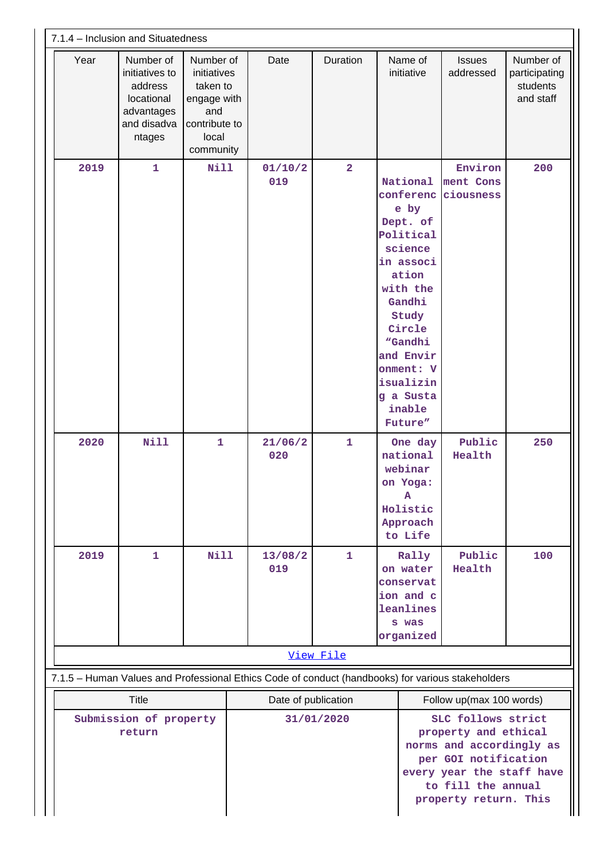| 7.1.4 - Inclusion and Situatedness |                                                                                             |                                                                                                   |                                                                                                   |                |                                                                                                                                                                                                                      |                                                                                                                                                                            |                                                     |
|------------------------------------|---------------------------------------------------------------------------------------------|---------------------------------------------------------------------------------------------------|---------------------------------------------------------------------------------------------------|----------------|----------------------------------------------------------------------------------------------------------------------------------------------------------------------------------------------------------------------|----------------------------------------------------------------------------------------------------------------------------------------------------------------------------|-----------------------------------------------------|
| Year                               | Number of<br>initiatives to<br>address<br>locational<br>advantages<br>and disadva<br>ntages | Number of<br>initiatives<br>taken to<br>engage with<br>and<br>contribute to<br>local<br>community | Date                                                                                              | Duration       | Name of<br>initiative                                                                                                                                                                                                | <b>Issues</b><br>addressed                                                                                                                                                 | Number of<br>participating<br>students<br>and staff |
| 2019                               | $\mathbf{1}$                                                                                | Nill                                                                                              | 01/10/2<br>019                                                                                    | $\overline{2}$ | National<br>conferenc<br>e by<br>Dept. of<br>Political<br>science<br>in associ<br>ation<br>with the<br>Gandhi<br>Study<br>Circle<br>"Gandhi<br>and Envir<br>onment: V<br>isualizin<br>g a Susta<br>inable<br>Future" | Environ<br>ment Cons<br>ciousness                                                                                                                                          | 200                                                 |
| 2020                               | <b>Nill</b>                                                                                 | $\mathbf{1}$                                                                                      | 21/06/2<br>020                                                                                    | $\mathbf{1}$   | One day<br>national<br>webinar<br>on Yoga:<br>Α<br>Holistic<br>Approach<br>to Life                                                                                                                                   | Public<br>Health                                                                                                                                                           | 250                                                 |
| 2019                               | $\mathbf{1}$                                                                                | <b>Nill</b>                                                                                       | 13/08/2<br>019                                                                                    | $\mathbf{1}$   | Rally<br>on water<br>conservat<br>ion and c<br>leanlines<br>s was<br>organized                                                                                                                                       | Public<br>Health                                                                                                                                                           | 100                                                 |
|                                    |                                                                                             |                                                                                                   |                                                                                                   | View File      |                                                                                                                                                                                                                      |                                                                                                                                                                            |                                                     |
|                                    |                                                                                             |                                                                                                   | 7.1.5 - Human Values and Professional Ethics Code of conduct (handbooks) for various stakeholders |                |                                                                                                                                                                                                                      |                                                                                                                                                                            |                                                     |
|                                    | <b>Title</b>                                                                                |                                                                                                   | Date of publication                                                                               |                |                                                                                                                                                                                                                      | Follow up(max 100 words)                                                                                                                                                   |                                                     |
| Submission of property<br>return   |                                                                                             |                                                                                                   |                                                                                                   | 31/01/2020     |                                                                                                                                                                                                                      | SLC follows strict<br>property and ethical<br>norms and accordingly as<br>per GOI notification<br>every year the staff have<br>to fill the annual<br>property return. This |                                                     |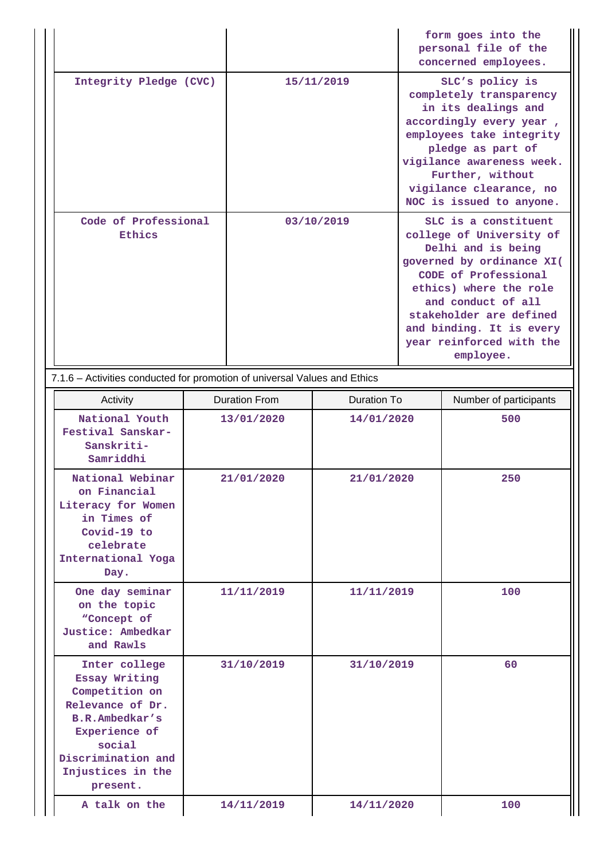|                                                                           |            | form goes into the<br>personal file of the<br>concerned employees.                                                                                                                                                                                                          |
|---------------------------------------------------------------------------|------------|-----------------------------------------------------------------------------------------------------------------------------------------------------------------------------------------------------------------------------------------------------------------------------|
| Integrity Pledge (CVC)                                                    | 15/11/2019 | SLC's policy is<br>completely transparency<br>in its dealings and<br>accordingly every year,<br>employees take integrity<br>pledge as part of<br>vigilance awareness week.<br>Further, without<br>vigilance clearance, no<br>NOC is issued to anyone.                       |
| Code of Professional<br>Ethics                                            | 03/10/2019 | SLC is a constituent<br>college of University of<br>Delhi and is being<br>governed by ordinance XI(<br>CODE of Professional<br>ethics) where the role<br>and conduct of all<br>stakeholder are defined<br>and binding. It is every<br>year reinforced with the<br>employee. |
| 7.1.6 – Activities conducted for promotion of universal Values and Ethics |            |                                                                                                                                                                                                                                                                             |

| Activity                                                                                                                                                                        | <b>Duration From</b> | <b>Duration To</b> | Number of participants |
|---------------------------------------------------------------------------------------------------------------------------------------------------------------------------------|----------------------|--------------------|------------------------|
| National Youth<br>Festival Sanskar-<br>Sanskriti-<br>Samriddhi                                                                                                                  | 13/01/2020           | 14/01/2020         | 500                    |
| National Webinar<br>on Financial<br>Literacy for Women<br>in Times of<br>Covid-19 to<br>celebrate<br>International Yoga<br>Day.                                                 | 21/01/2020           | 21/01/2020         | 250                    |
| One day seminar<br>on the topic<br>"Concept of<br>Justice: Ambedkar<br>and Rawls                                                                                                | 11/11/2019           | 11/11/2019         | 100                    |
| Inter college<br>Essay Writing<br>Competition on<br>Relevance of Dr.<br><b>B.R.Ambedkar's</b><br>Experience of<br>social<br>Discrimination and<br>Injustices in the<br>present. | 31/10/2019           | 31/10/2019         | 60                     |
| A talk on the                                                                                                                                                                   | 14/11/2019           | 14/11/2020         | 100                    |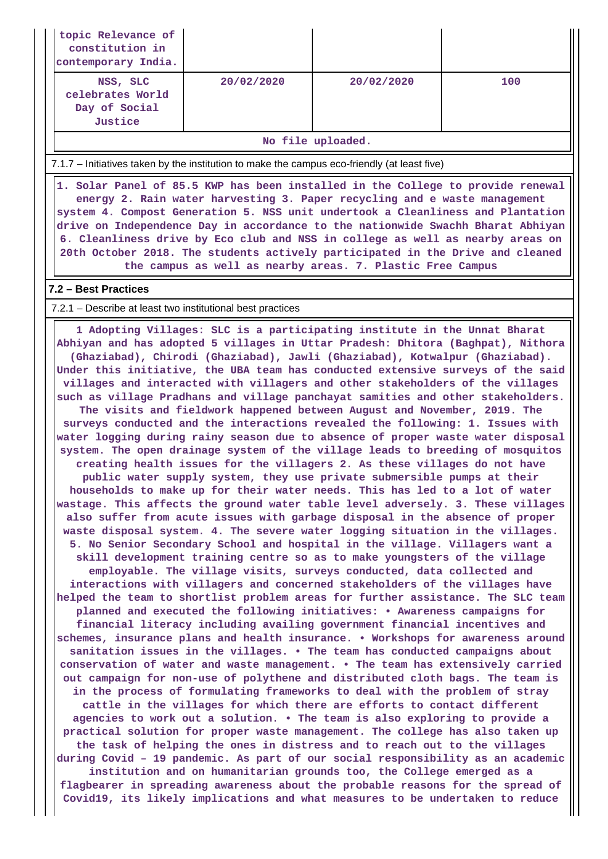| topic Relevance of<br>constitution in<br>contemporary India.                                 |            |                                                                                                                                                                                                                                                                                                                                                                                                                                                                                                                                                                                                                                                                                                                                                                                                                                                                                                                                                                                                                                                                                                                                                                                                                                                                                                                                                                                                                                                                                                                                                                                                                                                                                                                                                                                                                                                                                                                                                                                                                                                                                                                                                                                                                                                                                                                                                                                                                                                                                                                                                                                                                                                                                                                                                                                                                                                                                                                                                                           |     |
|----------------------------------------------------------------------------------------------|------------|---------------------------------------------------------------------------------------------------------------------------------------------------------------------------------------------------------------------------------------------------------------------------------------------------------------------------------------------------------------------------------------------------------------------------------------------------------------------------------------------------------------------------------------------------------------------------------------------------------------------------------------------------------------------------------------------------------------------------------------------------------------------------------------------------------------------------------------------------------------------------------------------------------------------------------------------------------------------------------------------------------------------------------------------------------------------------------------------------------------------------------------------------------------------------------------------------------------------------------------------------------------------------------------------------------------------------------------------------------------------------------------------------------------------------------------------------------------------------------------------------------------------------------------------------------------------------------------------------------------------------------------------------------------------------------------------------------------------------------------------------------------------------------------------------------------------------------------------------------------------------------------------------------------------------------------------------------------------------------------------------------------------------------------------------------------------------------------------------------------------------------------------------------------------------------------------------------------------------------------------------------------------------------------------------------------------------------------------------------------------------------------------------------------------------------------------------------------------------------------------------------------------------------------------------------------------------------------------------------------------------------------------------------------------------------------------------------------------------------------------------------------------------------------------------------------------------------------------------------------------------------------------------------------------------------------------------------------------------|-----|
| NSS, SLC<br>celebrates World<br>Day of Social<br>Justice                                     | 20/02/2020 | 20/02/2020                                                                                                                                                                                                                                                                                                                                                                                                                                                                                                                                                                                                                                                                                                                                                                                                                                                                                                                                                                                                                                                                                                                                                                                                                                                                                                                                                                                                                                                                                                                                                                                                                                                                                                                                                                                                                                                                                                                                                                                                                                                                                                                                                                                                                                                                                                                                                                                                                                                                                                                                                                                                                                                                                                                                                                                                                                                                                                                                                                | 100 |
|                                                                                              |            | No file uploaded.                                                                                                                                                                                                                                                                                                                                                                                                                                                                                                                                                                                                                                                                                                                                                                                                                                                                                                                                                                                                                                                                                                                                                                                                                                                                                                                                                                                                                                                                                                                                                                                                                                                                                                                                                                                                                                                                                                                                                                                                                                                                                                                                                                                                                                                                                                                                                                                                                                                                                                                                                                                                                                                                                                                                                                                                                                                                                                                                                         |     |
| 7.1.7 – Initiatives taken by the institution to make the campus eco-friendly (at least five) |            |                                                                                                                                                                                                                                                                                                                                                                                                                                                                                                                                                                                                                                                                                                                                                                                                                                                                                                                                                                                                                                                                                                                                                                                                                                                                                                                                                                                                                                                                                                                                                                                                                                                                                                                                                                                                                                                                                                                                                                                                                                                                                                                                                                                                                                                                                                                                                                                                                                                                                                                                                                                                                                                                                                                                                                                                                                                                                                                                                                           |     |
|                                                                                              |            | 1. Solar Panel of 85.5 KWP has been installed in the College to provide renewal<br>energy 2. Rain water harvesting 3. Paper recycling and e waste management<br>system 4. Compost Generation 5. NSS unit undertook a Cleanliness and Plantation<br>drive on Independence Day in accordance to the nationwide Swachh Bharat Abhiyan<br>6. Cleanliness drive by Eco club and NSS in college as well as nearby areas on<br>20th October 2018. The students actively participated in the Drive and cleaned<br>the campus as well as nearby areas. 7. Plastic Free Campus                                                                                                                                                                                                                                                                                                                                                                                                                                                                                                                                                                                                                                                                                                                                                                                                                                                                                                                                                                                                                                                                                                                                                                                                                                                                                                                                                                                                                                                                                                                                                                                                                                                                                                                                                                                                                                                                                                                                                                                                                                                                                                                                                                                                                                                                                                                                                                                                      |     |
| 7.2 - Best Practices                                                                         |            |                                                                                                                                                                                                                                                                                                                                                                                                                                                                                                                                                                                                                                                                                                                                                                                                                                                                                                                                                                                                                                                                                                                                                                                                                                                                                                                                                                                                                                                                                                                                                                                                                                                                                                                                                                                                                                                                                                                                                                                                                                                                                                                                                                                                                                                                                                                                                                                                                                                                                                                                                                                                                                                                                                                                                                                                                                                                                                                                                                           |     |
| 7.2.1 – Describe at least two institutional best practices                                   |            |                                                                                                                                                                                                                                                                                                                                                                                                                                                                                                                                                                                                                                                                                                                                                                                                                                                                                                                                                                                                                                                                                                                                                                                                                                                                                                                                                                                                                                                                                                                                                                                                                                                                                                                                                                                                                                                                                                                                                                                                                                                                                                                                                                                                                                                                                                                                                                                                                                                                                                                                                                                                                                                                                                                                                                                                                                                                                                                                                                           |     |
|                                                                                              |            | 1 Adopting Villages: SLC is a participating institute in the Unnat Bharat<br>Abhiyan and has adopted 5 villages in Uttar Pradesh: Dhitora (Baghpat), Nithora<br>(Ghaziabad), Chirodi (Ghaziabad), Jawli (Ghaziabad), Kotwalpur (Ghaziabad).<br>Under this initiative, the UBA team has conducted extensive surveys of the said<br>villages and interacted with villagers and other stakeholders of the villages<br>such as village Pradhans and village panchayat samities and other stakeholders.<br>The visits and fieldwork happened between August and November, 2019. The<br>surveys conducted and the interactions revealed the following: 1. Issues with<br>water logging during rainy season due to absence of proper waste water disposal<br>system. The open drainage system of the village leads to breeding of mosquitos<br>creating health issues for the villagers 2. As these villages do not have<br>public water supply system, they use private submersible pumps at their<br>households to make up for their water needs. This has led to a lot of water<br>wastage. This affects the ground water table level adversely. 3. These villages<br>also suffer from acute issues with garbage disposal in the absence of proper<br>waste disposal system. 4. The severe water logging situation in the villages.<br>5. No Senior Secondary School and hospital in the village. Villagers want a<br>skill development training centre so as to make youngsters of the village<br>employable. The village visits, surveys conducted, data collected and<br>interactions with villagers and concerned stakeholders of the villages have<br>helped the team to shortlist problem areas for further assistance. The SLC team<br>planned and executed the following initiatives: . Awareness campaigns for<br>financial literacy including availing government financial incentives and<br>schemes, insurance plans and health insurance. • Workshops for awareness around<br>sanitation issues in the villages. . The team has conducted campaigns about<br>conservation of water and waste management. . The team has extensively carried<br>out campaign for non-use of polythene and distributed cloth bags. The team is<br>in the process of formulating frameworks to deal with the problem of stray<br>cattle in the villages for which there are efforts to contact different<br>agencies to work out a solution. . The team is also exploring to provide a<br>practical solution for proper waste management. The college has also taken up<br>the task of helping the ones in distress and to reach out to the villages<br>during Covid - 19 pandemic. As part of our social responsibility as an academic<br>institution and on humanitarian grounds too, the College emerged as a<br>flagbearer in spreading awareness about the probable reasons for the spread of<br>Covid19, its likely implications and what measures to be undertaken to reduce |     |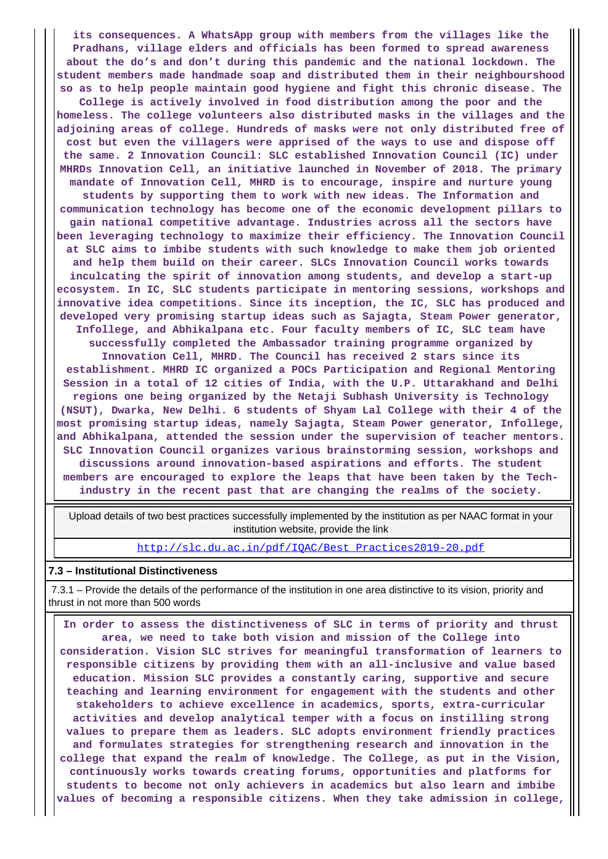**its consequences. A WhatsApp group with members from the villages like the Pradhans, village elders and officials has been formed to spread awareness about the do's and don't during this pandemic and the national lockdown. The student members made handmade soap and distributed them in their neighbourshood so as to help people maintain good hygiene and fight this chronic disease. The College is actively involved in food distribution among the poor and the homeless. The college volunteers also distributed masks in the villages and the adjoining areas of college. Hundreds of masks were not only distributed free of cost but even the villagers were apprised of the ways to use and dispose off the same. 2 Innovation Council: SLC established Innovation Council (IC) under MHRDs Innovation Cell, an initiative launched in November of 2018. The primary mandate of Innovation Cell, MHRD is to encourage, inspire and nurture young students by supporting them to work with new ideas. The Information and communication technology has become one of the economic development pillars to gain national competitive advantage. Industries across all the sectors have been leveraging technology to maximize their efficiency. The Innovation Council at SLC aims to imbibe students with such knowledge to make them job oriented and help them build on their career. SLCs Innovation Council works towards inculcating the spirit of innovation among students, and develop a start-up ecosystem. In IC, SLC students participate in mentoring sessions, workshops and innovative idea competitions. Since its inception, the IC, SLC has produced and developed very promising startup ideas such as Sajagta, Steam Power generator, Infollege, and Abhikalpana etc. Four faculty members of IC, SLC team have successfully completed the Ambassador training programme organized by Innovation Cell, MHRD. The Council has received 2 stars since its establishment. MHRD IC organized a POCs Participation and Regional Mentoring Session in a total of 12 cities of India, with the U.P. Uttarakhand and Delhi regions one being organized by the Netaji Subhash University is Technology (NSUT), Dwarka, New Delhi. 6 students of Shyam Lal College with their 4 of the most promising startup ideas, namely Sajagta, Steam Power generator, Infollege, and Abhikalpana, attended the session under the supervision of teacher mentors. SLC Innovation Council organizes various brainstorming session, workshops and discussions around innovation-based aspirations and efforts. The student members are encouraged to explore the leaps that have been taken by the Techindustry in the recent past that are changing the realms of the society.**

 Upload details of two best practices successfully implemented by the institution as per NAAC format in your institution website, provide the link

[http://slc.du.ac.in/pdf/IQAC/Best\\_Practices2019-20.pdf](http://slc.du.ac.in/pdf/IQAC/Best_Practices2019-20.pdf)

#### **7.3 – Institutional Distinctiveness**

 7.3.1 – Provide the details of the performance of the institution in one area distinctive to its vision, priority and thrust in not more than 500 words

 **In order to assess the distinctiveness of SLC in terms of priority and thrust area, we need to take both vision and mission of the College into consideration. Vision SLC strives for meaningful transformation of learners to responsible citizens by providing them with an all-inclusive and value based education. Mission SLC provides a constantly caring, supportive and secure teaching and learning environment for engagement with the students and other stakeholders to achieve excellence in academics, sports, extra-curricular activities and develop analytical temper with a focus on instilling strong values to prepare them as leaders. SLC adopts environment friendly practices and formulates strategies for strengthening research and innovation in the college that expand the realm of knowledge. The College, as put in the Vision, continuously works towards creating forums, opportunities and platforms for students to become not only achievers in academics but also learn and imbibe values of becoming a responsible citizens. When they take admission in college,**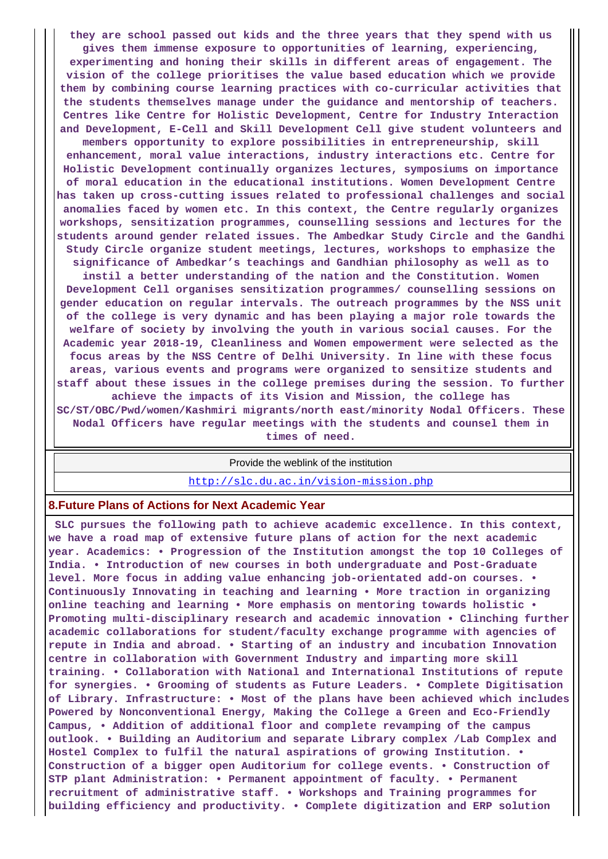**they are school passed out kids and the three years that they spend with us gives them immense exposure to opportunities of learning, experiencing, experimenting and honing their skills in different areas of engagement. The vision of the college prioritises the value based education which we provide them by combining course learning practices with co-curricular activities that the students themselves manage under the guidance and mentorship of teachers. Centres like Centre for Holistic Development, Centre for Industry Interaction and Development, E-Cell and Skill Development Cell give student volunteers and members opportunity to explore possibilities in entrepreneurship, skill enhancement, moral value interactions, industry interactions etc. Centre for Holistic Development continually organizes lectures, symposiums on importance of moral education in the educational institutions. Women Development Centre has taken up cross-cutting issues related to professional challenges and social anomalies faced by women etc. In this context, the Centre regularly organizes workshops, sensitization programmes, counselling sessions and lectures for the students around gender related issues. The Ambedkar Study Circle and the Gandhi Study Circle organize student meetings, lectures, workshops to emphasize the significance of Ambedkar's teachings and Gandhian philosophy as well as to instil a better understanding of the nation and the Constitution. Women Development Cell organises sensitization programmes/ counselling sessions on gender education on regular intervals. The outreach programmes by the NSS unit of the college is very dynamic and has been playing a major role towards the welfare of society by involving the youth in various social causes. For the Academic year 2018-19, Cleanliness and Women empowerment were selected as the focus areas by the NSS Centre of Delhi University. In line with these focus areas, various events and programs were organized to sensitize students and staff about these issues in the college premises during the session. To further achieve the impacts of its Vision and Mission, the college has SC/ST/OBC/Pwd/women/Kashmiri migrants/north east/minority Nodal Officers. These Nodal Officers have regular meetings with the students and counsel them in times of need.**

Provide the weblink of the institution

<http://slc.du.ac.in/vision-mission.php>

### **8.Future Plans of Actions for Next Academic Year**

 **SLC pursues the following path to achieve academic excellence. In this context, we have a road map of extensive future plans of action for the next academic year. Academics: • Progression of the Institution amongst the top 10 Colleges of India. • Introduction of new courses in both undergraduate and Post-Graduate level. More focus in adding value enhancing job-orientated add-on courses. • Continuously Innovating in teaching and learning • More traction in organizing online teaching and learning • More emphasis on mentoring towards holistic • Promoting multi-disciplinary research and academic innovation • Clinching further academic collaborations for student/faculty exchange programme with agencies of repute in India and abroad. • Starting of an industry and incubation Innovation centre in collaboration with Government Industry and imparting more skill training. • Collaboration with National and International Institutions of repute for synergies. • Grooming of students as Future Leaders. • Complete Digitisation of Library. Infrastructure: • Most of the plans have been achieved which includes Powered by Nonconventional Energy, Making the College a Green and Eco-Friendly Campus, • Addition of additional floor and complete revamping of the campus outlook. • Building an Auditorium and separate Library complex /Lab Complex and Hostel Complex to fulfil the natural aspirations of growing Institution. • Construction of a bigger open Auditorium for college events. • Construction of STP plant Administration: • Permanent appointment of faculty. • Permanent recruitment of administrative staff. • Workshops and Training programmes for building efficiency and productivity. • Complete digitization and ERP solution**